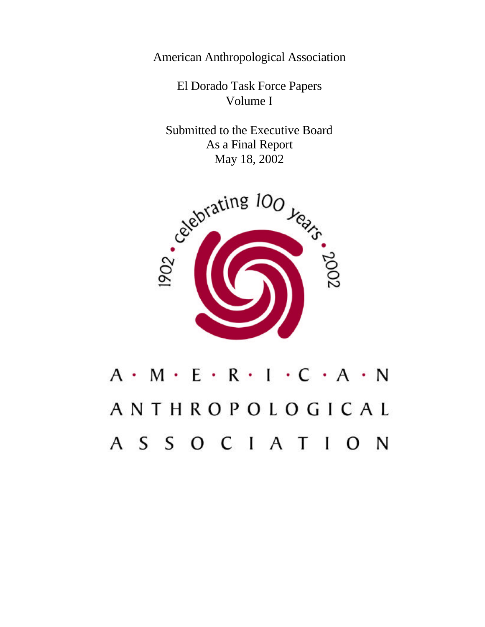American Anthropological Association

El Dorado Task Force Papers Volume I

Submitted to the Executive Board As a Final Report May 18, 2002



# $A \cdot M \cdot E \cdot R \cdot I \cdot C \cdot A \cdot N$ ANTHROPOLOGICAL A S S O C I A T I O N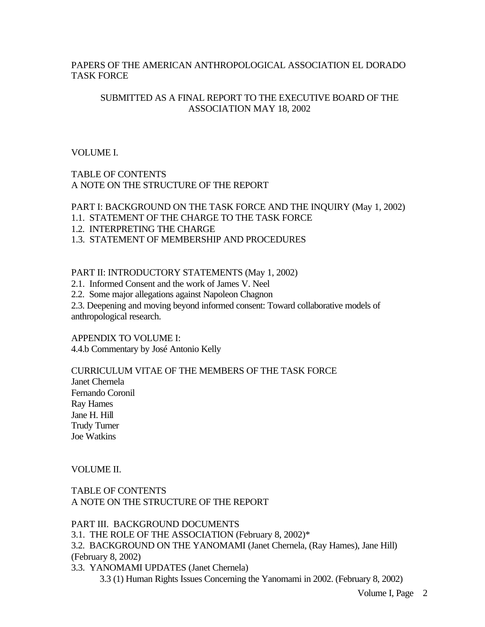# PAPERS OF THE AMERICAN ANTHROPOLOGICAL ASSOCIATION EL DORADO TASK FORCE

# SUBMITTED AS A FINAL REPORT TO THE EXECUTIVE BOARD OF THE ASSOCIATION MAY 18, 2002

VOLUME I.

# TABLE OF CONTENTS A NOTE ON THE STRUCTURE OF THE REPORT

## PART I: BACKGROUND ON THE TASK FORCE AND THE INQUIRY (May 1, 2002) 1.1. STATEMENT OF THE CHARGE TO THE TASK FORCE

- 1.2. INTERPRETING THE CHARGE
- 1.3. STATEMENT OF MEMBERSHIP AND PROCEDURES

## PART II: INTRODUCTORY STATEMENTS (May 1, 2002)

- 2.1. Informed Consent and the work of James V. Neel
- 2.2. Some major allegations against Napoleon Chagnon

2.3. Deepening and moving beyond informed consent: Toward collaborative models of anthropological research.

APPENDIX TO VOLUME I: 4.4.b Commentary by José Antonio Kelly

# CURRICULUM VITAE OF THE MEMBERS OF THE TASK FORCE Janet Chernela Fernando Coronil Ray Hames Jane H. Hill Trudy Turner Joe Watkins

VOLUME II.

TABLE OF CONTENTS A NOTE ON THE STRUCTURE OF THE REPORT

PART III. BACKGROUND DOCUMENTS 3.1. THE ROLE OF THE ASSOCIATION (February 8, 2002)\* 3.2. BACKGROUND ON THE YANOMAMI (Janet Chernela, (Ray Hames), Jane Hill) (February 8, 2002) 3.3. YANOMAMI UPDATES (Janet Chernela) 3.3 (1) Human Rights Issues Concerning the Yanomami in 2002. (February 8, 2002)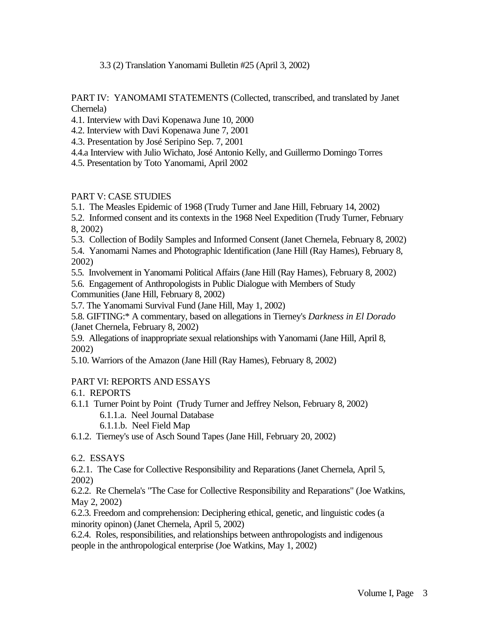3.3 (2) Translation Yanomami Bulletin #25 (April 3, 2002)

PART IV: YANOMAMI STATEMENTS (Collected, transcribed, and translated by Janet Chernela)

4.1. Interview with Davi Kopenawa June 10, 2000

4.2. Interview with Davi Kopenawa June 7, 2001

4.3. Presentation by José Seripino Sep. 7, 2001

4.4.a Interview with Julio Wichato, José Antonio Kelly, and Guillermo Domingo Torres

4.5. Presentation by Toto Yanomami, April 2002

# PART V: CASE STUDIES

5.1. The Measles Epidemic of 1968 (Trudy Turner and Jane Hill, February 14, 2002)

5.2. Informed consent and its contexts in the 1968 Neel Expedition (Trudy Turner, February 8, 2002)

5.3. Collection of Bodily Samples and Informed Consent (Janet Chernela, February 8, 2002)

5.4. Yanomami Names and Photographic Identification (Jane Hill (Ray Hames), February 8, 2002)

5.5. Involvement in Yanomami Political Affairs (Jane Hill (Ray Hames), February 8, 2002)

5.6. Engagement of Anthropologists in Public Dialogue with Members of Study Communities (Jane Hill, February 8, 2002)

5.7. The Yanomami Survival Fund (Jane Hill, May 1, 2002)

5.8. GIFTING:\* A commentary, based on allegations in Tierney's *Darkness in El Dorado* (Janet Chernela, February 8, 2002)

5.9. Allegations of inappropriate sexual relationships with Yanomami (Jane Hill, April 8, 2002)

5.10. Warriors of the Amazon (Jane Hill (Ray Hames), February 8, 2002)

# PART VI: REPORTS AND ESSAYS

6.1. REPORTS

6.1.1 Turner Point by Point (Trudy Turner and Jeffrey Nelson, February 8, 2002) 6.1.1.a. Neel Journal Database 6.1.1.b. Neel Field Map

6.1.2. Tierney's use of Asch Sound Tapes (Jane Hill, February 20, 2002)

6.2. ESSAYS

6.2.1. The Case for Collective Responsibility and Reparations (Janet Chernela, April 5, 2002)

6.2.2. Re Chernela's "The Case for Collective Responsibility and Reparations" (Joe Watkins, May 2, 2002)

6.2.3. Freedom and comprehension: Deciphering ethical, genetic, and linguistic codes (a minority opinon) (Janet Chernela, April 5, 2002)

6.2.4. Roles, responsibilities, and relationships between anthropologists and indigenous people in the anthropological enterprise (Joe Watkins, May 1, 2002)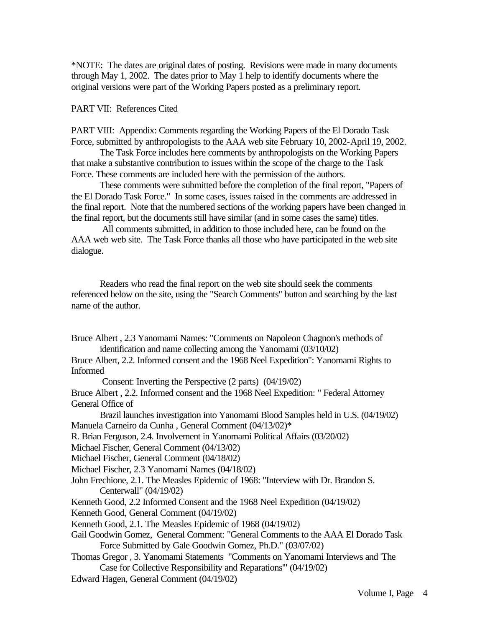\*NOTE: The dates are original dates of posting. Revisions were made in many documents through May 1, 2002. The dates prior to May 1 help to identify documents where the original versions were part of the Working Papers posted as a preliminary report.

#### PART VII: References Cited

PART VIII: Appendix: Comments regarding the Working Papers of the El Dorado Task Force, submitted by anthropologists to the AAA web site February 10, 2002-April 19, 2002.

The Task Force includes here comments by anthropologists on the Working Papers that make a substantive contribution to issues within the scope of the charge to the Task Force. These comments are included here with the permission of the authors.

These comments were submitted before the completion of the final report, "Papers of the El Dorado Task Force." In some cases, issues raised in the comments are addressed in the final report. Note that the numbered sections of the working papers have been changed in the final report, but the documents still have similar (and in some cases the same) titles.

 All comments submitted, in addition to those included here, can be found on the AAA web web site. The Task Force thanks all those who have participated in the web site dialogue.

Readers who read the final report on the web site should seek the comments referenced below on the site, using the "Search Comments" button and searching by the last name of the author.

Bruce Albert , 2.3 Yanomami Names: "Comments on Napoleon Chagnon's methods of identification and name collecting among the Yanomami (03/10/02)

Bruce Albert, 2.2. Informed consent and the 1968 Neel Expedition": Yanomami Rights to Informed

Consent: Inverting the Perspective (2 parts) (04/19/02)

Bruce Albert , 2.2. Informed consent and the 1968 Neel Expedition: " Federal Attorney General Office of

Brazil launches investigation into Yanomami Blood Samples held in U.S. (04/19/02) Manuela Carneiro da Cunha , General Comment (04/13/02)\*

R. Brian Ferguson, 2.4. Involvement in Yanomami Political Affairs (03/20/02)

Michael Fischer, General Comment (04/13/02)

Michael Fischer, General Comment (04/18/02)

Michael Fischer, 2.3 Yanomami Names (04/18/02)

- John Frechione, 2.1. The Measles Epidemic of 1968: "Interview with Dr. Brandon S. Centerwall" (04/19/02)
- Kenneth Good, 2.2 Informed Consent and the 1968 Neel Expedition (04/19/02)

Kenneth Good, General Comment (04/19/02)

Kenneth Good, 2.1. The Measles Epidemic of 1968 (04/19/02)

- Gail Goodwin Gomez, General Comment: "General Comments to the AAA El Dorado Task Force Submitted by Gale Goodwin Gomez, Ph.D." (03/07/02)
- Thomas Gregor , 3. Yanomami Statements "Comments on Yanomami Interviews and 'The Case for Collective Responsibility and Reparations'" (04/19/02)
- Edward Hagen, General Comment (04/19/02)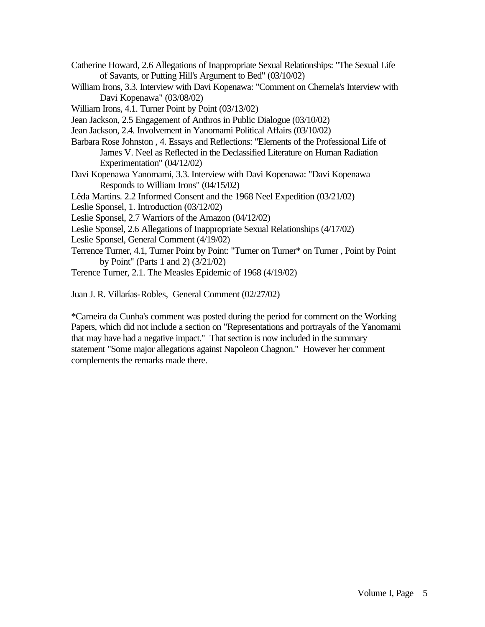- Catherine Howard, 2.6 Allegations of Inappropriate Sexual Relationships: "The Sexual Life of Savants, or Putting Hill's Argument to Bed" (03/10/02)
- William Irons, 3.3. Interview with Davi Kopenawa: "Comment on Chernela's Interview with Davi Kopenawa" (03/08/02)
- William Irons, 4.1. Turner Point by Point (03/13/02)
- Jean Jackson, 2.5 Engagement of Anthros in Public Dialogue (03/10/02)
- Jean Jackson, 2.4. Involvement in Yanomami Political Affairs (03/10/02)
- Barbara Rose Johnston , 4. Essays and Reflections: "Elements of the Professional Life of James V. Neel as Reflected in the Declassified Literature on Human Radiation Experimentation" (04/12/02)
- Davi Kopenawa Yanomami, 3.3. Interview with Davi Kopenawa: "Davi Kopenawa Responds to William Irons" (04/15/02)
- Lêda Martins. 2.2 Informed Consent and the 1968 Neel Expedition (03/21/02)
- Leslie Sponsel, 1. Introduction (03/12/02)
- Leslie Sponsel, 2.7 Warriors of the Amazon (04/12/02)
- Leslie Sponsel, 2.6 Allegations of Inappropriate Sexual Relationships (4/17/02)
- Leslie Sponsel, General Comment (4/19/02)
- Terrence Turner, 4.1, Turner Point by Point: "Turner on Turner\* on Turner , Point by Point by Point" (Parts 1 and 2) (3/21/02)
- Terence Turner, 2.1. The Measles Epidemic of 1968 (4/19/02)
- Juan J. R. Villarías-Robles, General Comment (02/27/02)

\*Carneira da Cunha's comment was posted during the period for comment on the Working Papers, which did not include a section on "Representations and portrayals of the Yanomami that may have had a negative impact." That section is now included in the summary statement "Some major allegations against Napoleon Chagnon." However her comment complements the remarks made there.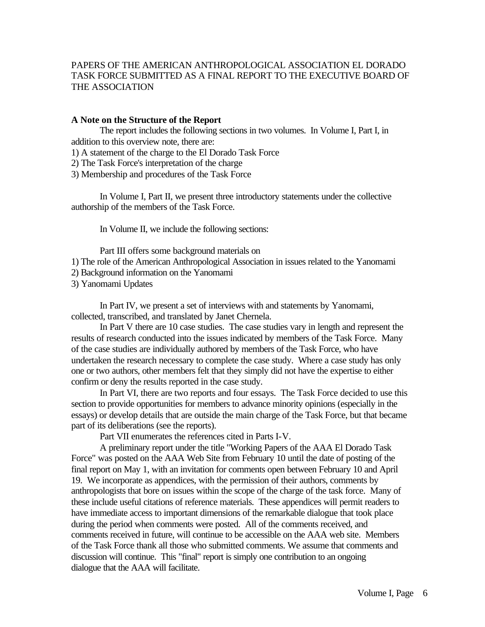# PAPERS OF THE AMERICAN ANTHROPOLOGICAL ASSOCIATION EL DORADO TASK FORCE SUBMITTED AS A FINAL REPORT TO THE EXECUTIVE BOARD OF THE ASSOCIATION

#### **A Note on the Structure of the Report**

The report includes the following sections in two volumes. In Volume I, Part I, in addition to this overview note, there are:

1) A statement of the charge to the El Dorado Task Force

2) The Task Force's interpretation of the charge

3) Membership and procedures of the Task Force

In Volume I, Part II, we present three introductory statements under the collective authorship of the members of the Task Force.

In Volume II, we include the following sections:

Part III offers some background materials on 1) The role of the American Anthropological Association in issues related to the Yanomami 2) Background information on the Yanomami

3) Yanomami Updates

In Part IV, we present a set of interviews with and statements by Yanomami, collected, transcribed, and translated by Janet Chernela.

In Part V there are 10 case studies. The case studies vary in length and represent the results of research conducted into the issues indicated by members of the Task Force. Many of the case studies are individually authored by members of the Task Force, who have undertaken the research necessary to complete the case study. Where a case study has only one or two authors, other members felt that they simply did not have the expertise to either confirm or deny the results reported in the case study.

In Part VI, there are two reports and four essays. The Task Force decided to use this section to provide opportunities for members to advance minority opinions (especially in the essays) or develop details that are outside the main charge of the Task Force, but that became part of its deliberations (see the reports).

Part VII enumerates the references cited in Parts I-V.

A preliminary report under the title "Working Papers of the AAA El Dorado Task Force" was posted on the AAA Web Site from February 10 until the date of posting of the final report on May 1, with an invitation for comments open between February 10 and April 19. We incorporate as appendices, with the permission of their authors, comments by anthropologists that bore on issues within the scope of the charge of the task force. Many of these include useful citations of reference materials. These appendices will permit readers to have immediate access to important dimensions of the remarkable dialogue that took place during the period when comments were posted. All of the comments received, and comments received in future, will continue to be accessible on the AAA web site. Members of the Task Force thank all those who submitted comments. We assume that comments and discussion will continue. This "final" report is simply one contribution to an ongoing dialogue that the AAA will facilitate.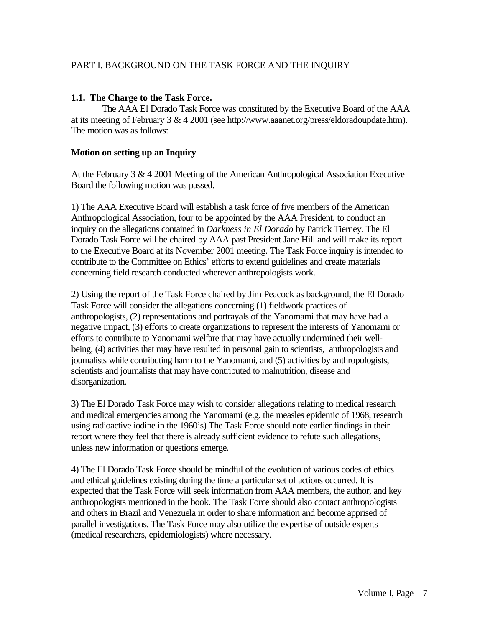# PART I. BACKGROUND ON THE TASK FORCE AND THE INQUIRY

## **1.1. The Charge to the Task Force.**

 The AAA El Dorado Task Force was constituted by the Executive Board of the AAA at its meeting of February 3 & 4 2001 (see http://www.aaanet.org/press/eldoradoupdate.htm). The motion was as follows:

## **Motion on setting up an Inquiry**

At the February 3 & 4 2001 Meeting of the American Anthropological Association Executive Board the following motion was passed.

1) The AAA Executive Board will establish a task force of five members of the American Anthropological Association, four to be appointed by the AAA President, to conduct an inquiry on the allegations contained in *Darkness in El Dorado* by Patrick Tierney. The El Dorado Task Force will be chaired by AAA past President Jane Hill and will make its report to the Executive Board at its November 2001 meeting. The Task Force inquiry is intended to contribute to the Committee on Ethics' efforts to extend guidelines and create materials concerning field research conducted wherever anthropologists work.

2) Using the report of the Task Force chaired by Jim Peacock as background, the El Dorado Task Force will consider the allegations concerning (1) fieldwork practices of anthropologists, (2) representations and portrayals of the Yanomami that may have had a negative impact, (3) efforts to create organizations to represent the interests of Yanomami or efforts to contribute to Yanomami welfare that may have actually undermined their wellbeing, (4) activities that may have resulted in personal gain to scientists, anthropologists and journalists while contributing harm to the Yanomami, and (5) activities by anthropologists, scientists and journalists that may have contributed to malnutrition, disease and disorganization.

3) The El Dorado Task Force may wish to consider allegations relating to medical research and medical emergencies among the Yanomami (e.g. the measles epidemic of 1968, research using radioactive iodine in the 1960's) The Task Force should note earlier findings in their report where they feel that there is already sufficient evidence to refute such allegations, unless new information or questions emerge.

4) The El Dorado Task Force should be mindful of the evolution of various codes of ethics and ethical guidelines existing during the time a particular set of actions occurred. It is expected that the Task Force will seek information from AAA members, the author, and key anthropologists mentioned in the book. The Task Force should also contact anthropologists and others in Brazil and Venezuela in order to share information and become apprised of parallel investigations. The Task Force may also utilize the expertise of outside experts (medical researchers, epidemiologists) where necessary.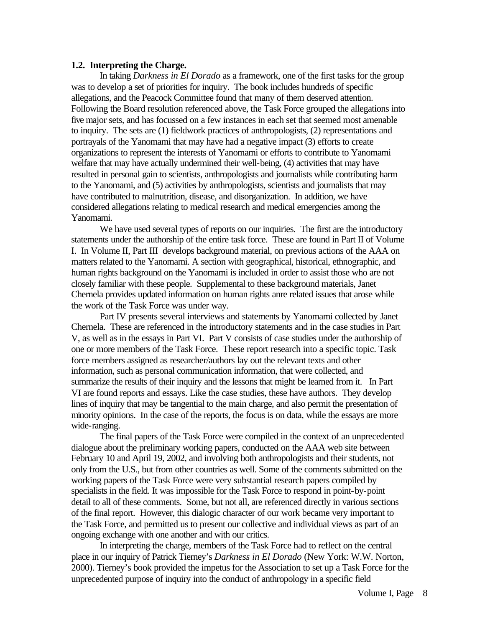## **1.2. Interpreting the Charge.**

In taking *Darkness in El Dorado* as a framework, one of the first tasks for the group was to develop a set of priorities for inquiry. The book includes hundreds of specific allegations, and the Peacock Committee found that many of them deserved attention. Following the Board resolution referenced above, the Task Force grouped the allegations into five major sets, and has focussed on a few instances in each set that seemed most amenable to inquiry. The sets are (1) fieldwork practices of anthropologists, (2) representations and portrayals of the Yanomami that may have had a negative impact (3) efforts to create organizations to represent the interests of Yanomami or efforts to contribute to Yanomami welfare that may have actually undermined their well-being, (4) activities that may have resulted in personal gain to scientists, anthropologists and journalists while contributing harm to the Yanomami, and (5) activities by anthropologists, scientists and journalists that may have contributed to malnutrition, disease, and disorganization. In addition, we have considered allegations relating to medical research and medical emergencies among the Yanomami.

We have used several types of reports on our inquiries. The first are the introductory statements under the authorship of the entire task force. These are found in Part II of Volume I. In Volume II, Part III develops background material, on previous actions of the AAA on matters related to the Yanomami. A section with geographical, historical, ethnographic, and human rights background on the Yanomami is included in order to assist those who are not closely familiar with these people. Supplemental to these background materials, Janet Chernela provides updated information on human rights anre related issues that arose while the work of the Task Force was under way.

Part IV presents several interviews and statements by Yanomami collected by Janet Chernela. These are referenced in the introductory statements and in the case studies in Part V, as well as in the essays in Part VI. Part V consists of case studies under the authorship of one or more members of the Task Force. These report research into a specific topic. Task force members assigned as researcher/authors lay out the relevant texts and other information, such as personal communication information, that were collected, and summarize the results of their inquiry and the lessons that might be learned from it. In Part VI are found reports and essays. Like the case studies, these have authors. They develop lines of inquiry that may be tangential to the main charge, and also permit the presentation of minority opinions. In the case of the reports, the focus is on data, while the essays are more wide-ranging.

The final papers of the Task Force were compiled in the context of an unprecedented dialogue about the preliminary working papers, conducted on the AAA web site between February 10 and April 19, 2002, and involving both anthropologists and their students, not only from the U.S., but from other countries as well. Some of the comments submitted on the working papers of the Task Force were very substantial research papers compiled by specialists in the field. It was impossible for the Task Force to respond in point-by-point detail to all of these comments. Some, but not all, are referenced directly in various sections of the final report. However, this dialogic character of our work became very important to the Task Force, and permitted us to present our collective and individual views as part of an ongoing exchange with one another and with our critics.

In interpreting the charge, members of the Task Force had to reflect on the central place in our inquiry of Patrick Tierney's *Darkness in El Dorado* (New York: W.W. Norton, 2000). Tierney's book provided the impetus for the Association to set up a Task Force for the unprecedented purpose of inquiry into the conduct of anthropology in a specific field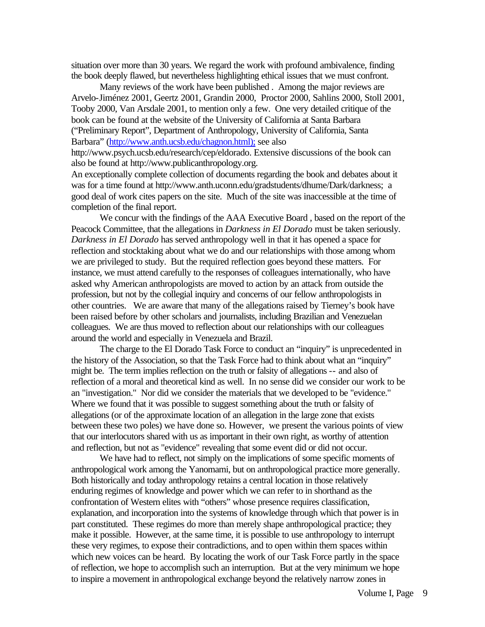situation over more than 30 years. We regard the work with profound ambivalence, finding the book deeply flawed, but nevertheless highlighting ethical issues that we must confront.

Many reviews of the work have been published . Among the major reviews are Arvelo-Jiménez 2001, Geertz 2001, Grandin 2000, Proctor 2000, Sahlins 2000, Stoll 2001, Tooby 2000, Van Arsdale 2001, to mention only a few. One very detailed critique of the book can be found at the website of the University of California at Santa Barbara ("Preliminary Report", Department of Anthropology, University of California, Santa Barbara" (http://www.anth.ucsb.edu/chagnon.html); see also

http://www.psych.ucsb.edu/research/cep/eldorado. Extensive discussions of the book can also be found at http://www.publicanthropology.org.

An exceptionally complete collection of documents regarding the book and debates about it was for a time found at http://www.anth.uconn.edu/gradstudents/dhume/Dark/darkness; a good deal of work cites papers on the site. Much of the site was inaccessible at the time of completion of the final report.

We concur with the findings of the AAA Executive Board , based on the report of the Peacock Committee, that the allegations in *Darkness in El Dorado* must be taken seriously. *Darkness in El Dorado* has served anthropology well in that it has opened a space for reflection and stocktaking about what we do and our relationships with those among whom we are privileged to study. But the required reflection goes beyond these matters. For instance, we must attend carefully to the responses of colleagues internationally, who have asked why American anthropologists are moved to action by an attack from outside the profession, but not by the collegial inquiry and concerns of our fellow anthropologists in other countries. We are aware that many of the allegations raised by Tierney's book have been raised before by other scholars and journalists, including Brazilian and Venezuelan colleagues. We are thus moved to reflection about our relationships with our colleagues around the world and especially in Venezuela and Brazil.

The charge to the El Dorado Task Force to conduct an "inquiry" is unprecedented in the history of the Association, so that the Task Force had to think about what an "inquiry" might be. The term implies reflection on the truth or falsity of allegations -- and also of reflection of a moral and theoretical kind as well. In no sense did we consider our work to be an "investigation." Nor did we consider the materials that we developed to be "evidence." Where we found that it was possible to suggest something about the truth or falsity of allegations (or of the approximate location of an allegation in the large zone that exists between these two poles) we have done so. However, we present the various points of view that our interlocutors shared with us as important in their own right, as worthy of attention and reflection, but not as "evidence" revealing that some event did or did not occur.

We have had to reflect, not simply on the implications of some specific moments of anthropological work among the Yanomami, but on anthropological practice more generally. Both historically and today anthropology retains a central location in those relatively enduring regimes of knowledge and power which we can refer to in shorthand as the confrontation of Western elites with "others" whose presence requires classification, explanation, and incorporation into the systems of knowledge through which that power is in part constituted. These regimes do more than merely shape anthropological practice; they make it possible. However, at the same time, it is possible to use anthropology to interrupt these very regimes, to expose their contradictions, and to open within them spaces within which new voices can be heard. By locating the work of our Task Force partly in the space of reflection, we hope to accomplish such an interruption. But at the very minimum we hope to inspire a movement in anthropological exchange beyond the relatively narrow zones in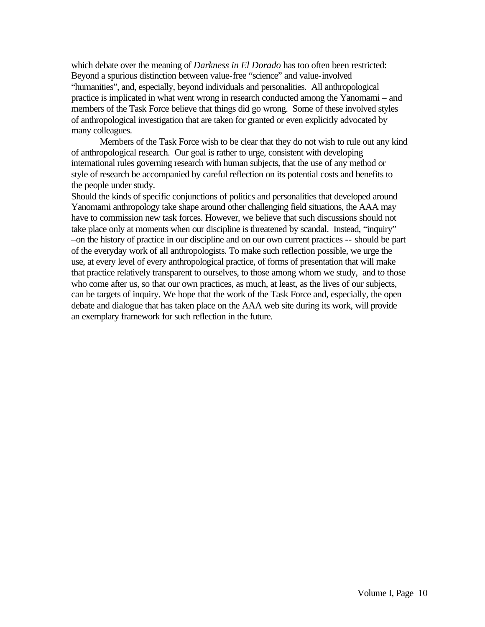which debate over the meaning of *Darkness in El Dorado* has too often been restricted: Beyond a spurious distinction between value-free "science" and value-involved "humanities", and, especially, beyond individuals and personalities. All anthropological practice is implicated in what went wrong in research conducted among the Yanomami – and members of the Task Force believe that things did go wrong. Some of these involved styles of anthropological investigation that are taken for granted or even explicitly advocated by many colleagues.

Members of the Task Force wish to be clear that they do not wish to rule out any kind of anthropological research. Our goal is rather to urge, consistent with developing international rules governing research with human subjects, that the use of any method or style of research be accompanied by careful reflection on its potential costs and benefits to the people under study.

Should the kinds of specific conjunctions of politics and personalities that developed around Yanomami anthropology take shape around other challenging field situations, the AAA may have to commission new task forces. However, we believe that such discussions should not take place only at moments when our discipline is threatened by scandal. Instead, "inquiry" –on the history of practice in our discipline and on our own current practices -- should be part of the everyday work of all anthropologists. To make such reflection possible, we urge the use, at every level of every anthropological practice, of forms of presentation that will make that practice relatively transparent to ourselves, to those among whom we study, and to those who come after us, so that our own practices, as much, at least, as the lives of our subjects, can be targets of inquiry. We hope that the work of the Task Force and, especially, the open debate and dialogue that has taken place on the AAA web site during its work, will provide an exemplary framework for such reflection in the future.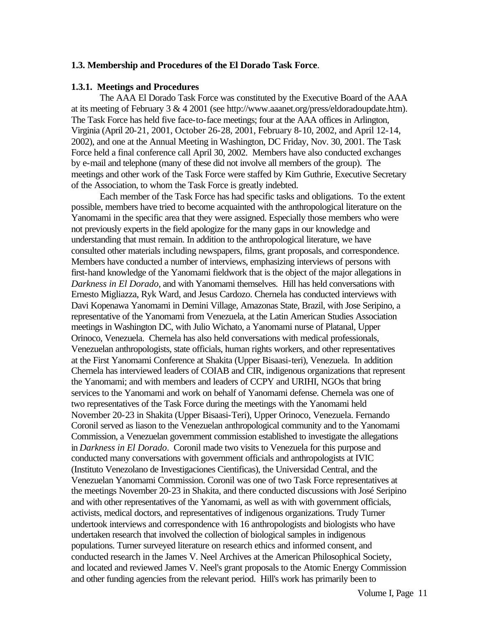#### **1.3. Membership and Procedures of the El Dorado Task Force**.

#### **1.3.1. Meetings and Procedures**

The AAA El Dorado Task Force was constituted by the Executive Board of the AAA at its meeting of February 3 & 4 2001 (see http://www.aaanet.org/press/eldoradoupdate.htm). The Task Force has held five face-to-face meetings; four at the AAA offices in Arlington, Virginia (April 20-21, 2001, October 26-28, 2001, February 8-10, 2002, and April 12-14, 2002), and one at the Annual Meeting in Washington, DC Friday, Nov. 30, 2001. The Task Force held a final conference call April 30, 2002. Members have also conducted exchanges by e-mail and telephone (many of these did not involve all members of the group). The meetings and other work of the Task Force were staffed by Kim Guthrie, Executive Secretary of the Association, to whom the Task Force is greatly indebted.

Each member of the Task Force has had specific tasks and obligations. To the extent possible, members have tried to become acquainted with the anthropological literature on the Yanomami in the specific area that they were assigned. Especially those members who were not previously experts in the field apologize for the many gaps in our knowledge and understanding that must remain. In addition to the anthropological literature, we have consulted other materials including newspapers, films, grant proposals, and correspondence. Members have conducted a number of interviews, emphasizing interviews of persons with first-hand knowledge of the Yanomami fieldwork that is the object of the major allegations in *Darkness in El Dorado*, and with Yanomami themselves. Hill has held conversations with Ernesto Migliazza, Ryk Ward, and Jesus Cardozo. Chernela has conducted interviews with Davi Kopenawa Yanomami in Demini Village, Amazonas State, Brazil, with Jose Seripino, a representative of the Yanomami from Venezuela, at the Latin American Studies Association meetings in Washington DC, with Julio Wichato, a Yanomami nurse of Platanal, Upper Orinoco, Venezuela. Chernela has also held conversations with medical professionals, Venezuelan anthropologists, state officials, human rights workers, and other representatives at the First Yanomami Conference at Shakita (Upper Bisaasi-teri), Venezuela. In addition Chernela has interviewed leaders of COIAB and CIR, indigenous organizations that represent the Yanomami; and with members and leaders of CCPY and URIHI, NGOs that bring services to the Yanomami and work on behalf of Yanomami defense. Chernela was one of two representatives of the Task Force during the meetings with the Yanomami held November 20-23 in Shakita (Upper Bisaasi-Teri), Upper Orinoco, Venezuela. Fernando Coronil served as liason to the Venezuelan anthropological community and to the Yanomami Commission, a Venezuelan government commission established to investigate the allegations in *Darkness in El Dorado*. Coronil made two visits to Venezuela for this purpose and conducted many conversations with government officials and anthropologists at IVIC (Instituto Venezolano de Investigaciones Cientificas), the Universidad Central, and the Venezuelan Yanomami Commission. Coronil was one of two Task Force representatives at the meetings November 20-23 in Shakita, and there conducted discussions with José Seripino and with other representatives of the Yanomami, as well as with with government officials, activists, medical doctors, and representatives of indigenous organizations. Trudy Turner undertook interviews and correspondence with 16 anthropologists and biologists who have undertaken research that involved the collection of biological samples in indigenous populations. Turner surveyed literature on research ethics and informed consent, and conducted research in the James V. Neel Archives at the American Philosophical Society, and located and reviewed James V. Neel's grant proposals to the Atomic Energy Commission and other funding agencies from the relevant period. Hill's work has primarily been to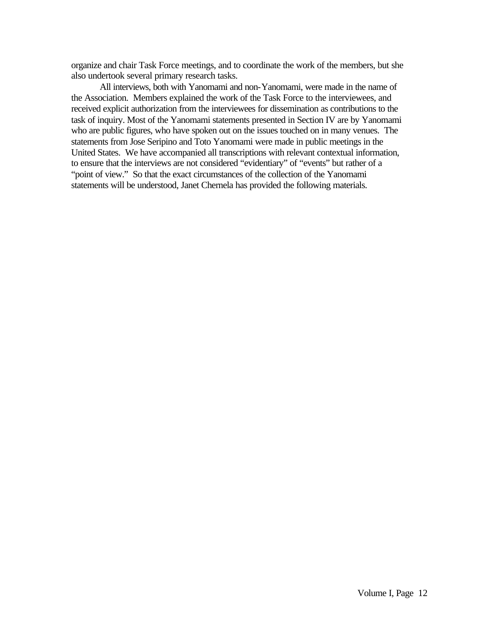organize and chair Task Force meetings, and to coordinate the work of the members, but she also undertook several primary research tasks.

All interviews, both with Yanomami and non-Yanomami, were made in the name of the Association. Members explained the work of the Task Force to the interviewees, and received explicit authorization from the interviewees for dissemination as contributions to the task of inquiry. Most of the Yanomami statements presented in Section IV are by Yanomami who are public figures, who have spoken out on the issues touched on in many venues. The statements from Jose Seripino and Toto Yanomami were made in public meetings in the United States. We have accompanied all transcriptions with relevant contextual information, to ensure that the interviews are not considered "evidentiary" of "events" but rather of a "point of view." So that the exact circumstances of the collection of the Yanomami statements will be understood, Janet Chernela has provided the following materials.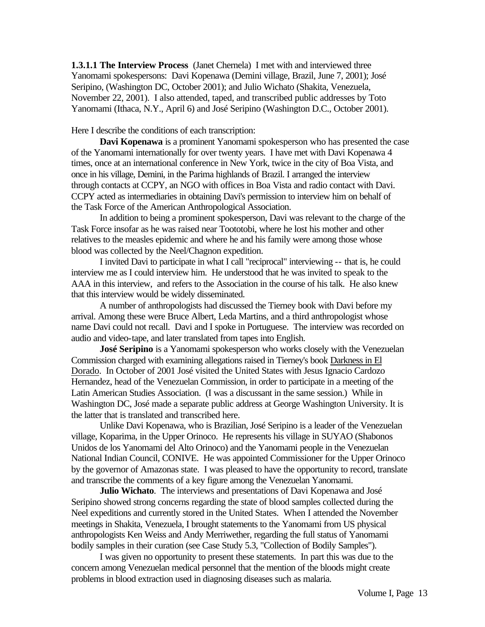**1.3.1.1 The Interview Process** (Janet Chernela) I met with and interviewed three Yanomami spokespersons: Davi Kopenawa (Demini village, Brazil, June 7, 2001); José Seripino, (Washington DC, October 2001); and Julio Wichato (Shakita, Venezuela, November 22, 2001). I also attended, taped, and transcribed public addresses by Toto Yanomami (Ithaca, N.Y., April 6) and José Seripino (Washington D.C., October 2001).

Here I describe the conditions of each transcription:

**Davi Kopenawa** is a prominent Yanomami spokesperson who has presented the case of the Yanomami internationally for over twenty years. I have met with Davi Kopenawa 4 times, once at an international conference in New York, twice in the city of Boa Vista, and once in his village, Demini, in the Parima highlands of Brazil. I arranged the interview through contacts at CCPY, an NGO with offices in Boa Vista and radio contact with Davi. CCPY acted as intermediaries in obtaining Davi's permission to interview him on behalf of the Task Force of the American Anthropological Association.

In addition to being a prominent spokesperson, Davi was relevant to the charge of the Task Force insofar as he was raised near Toototobi, where he lost his mother and other relatives to the measles epidemic and where he and his family were among those whose blood was collected by the Neel/Chagnon expedition.

I invited Davi to participate in what I call "reciprocal" interviewing -- that is, he could interview me as I could interview him. He understood that he was invited to speak to the AAA in this interview, and refers to the Association in the course of his talk. He also knew that this interview would be widely disseminated.

A number of anthropologists had discussed the Tierney book with Davi before my arrival. Among these were Bruce Albert, Leda Martins, and a third anthropologist whose name Davi could not recall. Davi and I spoke in Portuguese. The interview was recorded on audio and video-tape, and later translated from tapes into English.

**José Seripino** is a Yanomami spokesperson who works closely with the Venezuelan Commission charged with examining allegations raised in Tierney's book Darkness in El Dorado. In October of 2001 José visited the United States with Jesus Ignacio Cardozo Hernandez, head of the Venezuelan Commission, in order to participate in a meeting of the Latin American Studies Association. (I was a discussant in the same session.) While in Washington DC, José made a separate public address at George Washington University. It is the latter that is translated and transcribed here.

Unlike Davi Kopenawa, who is Brazilian, José Seripino is a leader of the Venezuelan village, Koparima, in the Upper Orinoco. He represents his village in SUYAO (Shabonos Unidos de los Yanomami del Alto Orinoco) and the Yanomami people in the Venezuelan National Indian Council, CONIVE. He was appointed Commissioner for the Upper Orinoco by the governor of Amazonas state. I was pleased to have the opportunity to record, translate and transcribe the comments of a key figure among the Venezuelan Yanomami.

**Julio Wichato**. The interviews and presentations of Davi Kopenawa and José Seripino showed strong concerns regarding the state of blood samples collected during the Neel expeditions and currently stored in the United States. When I attended the November meetings in Shakita, Venezuela, I brought statements to the Yanomami from US physical anthropologists Ken Weiss and Andy Merriwether, regarding the full status of Yanomami bodily samples in their curation (see Case Study 5.3, "Collection of Bodily Samples").

I was given no opportunity to present these statements. In part this was due to the concern among Venezuelan medical personnel that the mention of the bloods might create problems in blood extraction used in diagnosing diseases such as malaria.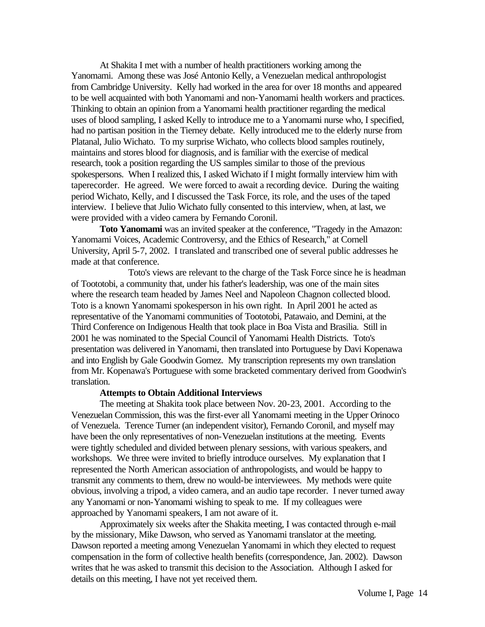At Shakita I met with a number of health practitioners working among the Yanomami. Among these was José Antonio Kelly, a Venezuelan medical anthropologist from Cambridge University. Kelly had worked in the area for over 18 months and appeared to be well acquainted with both Yanomami and non-Yanomami health workers and practices. Thinking to obtain an opinion from a Yanomami health practitioner regarding the medical uses of blood sampling, I asked Kelly to introduce me to a Yanomami nurse who, I specified, had no partisan position in the Tierney debate. Kelly introduced me to the elderly nurse from Platanal, Julio Wichato. To my surprise Wichato, who collects blood samples routinely, maintains and stores blood for diagnosis, and is familiar with the exercise of medical research, took a position regarding the US samples similar to those of the previous spokespersons. When I realized this, I asked Wichato if I might formally interview him with taperecorder. He agreed. We were forced to await a recording device. During the waiting period Wichato, Kelly, and I discussed the Task Force, its role, and the uses of the taped interview. I believe that Julio Wichato fully consented to this interview, when, at last, we were provided with a video camera by Fernando Coronil.

**Toto Yanomami** was an invited speaker at the conference, "Tragedy in the Amazon: Yanomami Voices, Academic Controversy, and the Ethics of Research," at Cornell University, April 5-7, 2002. I translated and transcribed one of several public addresses he made at that conference.

Toto's views are relevant to the charge of the Task Force since he is headman of Toototobi, a community that, under his father's leadership, was one of the main sites where the research team headed by James Neel and Napoleon Chagnon collected blood. Toto is a known Yanomami spokesperson in his own right. In April 2001 he acted as representative of the Yanomami communities of Toototobi, Patawaio, and Demini, at the Third Conference on Indigenous Health that took place in Boa Vista and Brasilia. Still in 2001 he was nominated to the Special Council of Yanomami Health Districts. Toto's presentation was delivered in Yanomami, then translated into Portuguese by Davi Kopenawa and into English by Gale Goodwin Gomez. My transcription represents my own translation from Mr. Kopenawa's Portuguese with some bracketed commentary derived from Goodwin's translation.

#### **Attempts to Obtain Additional Interviews**

The meeting at Shakita took place between Nov. 20-23, 2001. According to the Venezuelan Commission, this was the first-ever all Yanomami meeting in the Upper Orinoco of Venezuela. Terence Turner (an independent visitor), Fernando Coronil, and myself may have been the only representatives of non-Venezuelan institutions at the meeting. Events were tightly scheduled and divided between plenary sessions, with various speakers, and workshops. We three were invited to briefly introduce ourselves. My explanation that I represented the North American association of anthropologists, and would be happy to transmit any comments to them, drew no would-be interviewees. My methods were quite obvious, involving a tripod, a video camera, and an audio tape recorder. I never turned away any Yanomami or non-Yanomami wishing to speak to me. If my colleagues were approached by Yanomami speakers, I am not aware of it.

Approximately six weeks after the Shakita meeting, I was contacted through e-mail by the missionary, Mike Dawson, who served as Yanomami translator at the meeting. Dawson reported a meeting among Venezuelan Yanomami in which they elected to request compensation in the form of collective health benefits (correspondence, Jan. 2002). Dawson writes that he was asked to transmit this decision to the Association. Although I asked for details on this meeting, I have not yet received them.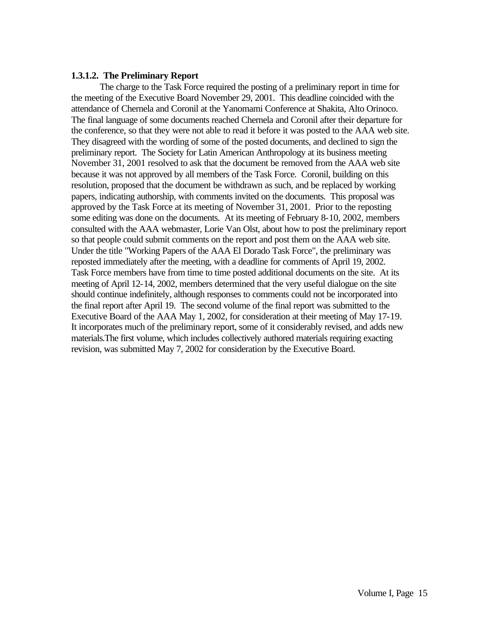## **1.3.1.2. The Preliminary Report**

The charge to the Task Force required the posting of a preliminary report in time for the meeting of the Executive Board November 29, 2001. This deadline coincided with the attendance of Chernela and Coronil at the Yanomami Conference at Shakita, Alto Orinoco. The final language of some documents reached Chernela and Coronil after their departure for the conference, so that they were not able to read it before it was posted to the AAA web site. They disagreed with the wording of some of the posted documents, and declined to sign the preliminary report. The Society for Latin American Anthropology at its business meeting November 31, 2001 resolved to ask that the document be removed from the AAA web site because it was not approved by all members of the Task Force. Coronil, building on this resolution, proposed that the document be withdrawn as such, and be replaced by working papers, indicating authorship, with comments invited on the documents. This proposal was approved by the Task Force at its meeting of November 31, 2001. Prior to the reposting some editing was done on the documents. At its meeting of February 8-10, 2002, members consulted with the AAA webmaster, Lorie Van Olst, about how to post the preliminary report so that people could submit comments on the report and post them on the AAA web site. Under the title "Working Papers of the AAA El Dorado Task Force", the preliminary was reposted immediately after the meeting, with a deadline for comments of April 19, 2002. Task Force members have from time to time posted additional documents on the site. At its meeting of April 12-14, 2002, members determined that the very useful dialogue on the site should continue indefinitely, although responses to comments could not be incorporated into the final report after April 19. The second volume of the final report was submitted to the Executive Board of the AAA May 1, 2002, for consideration at their meeting of May 17-19. It incorporates much of the preliminary report, some of it considerably revised, and adds new materials.The first volume, which includes collectively authored materials requiring exacting revision, was submitted May 7, 2002 for consideration by the Executive Board.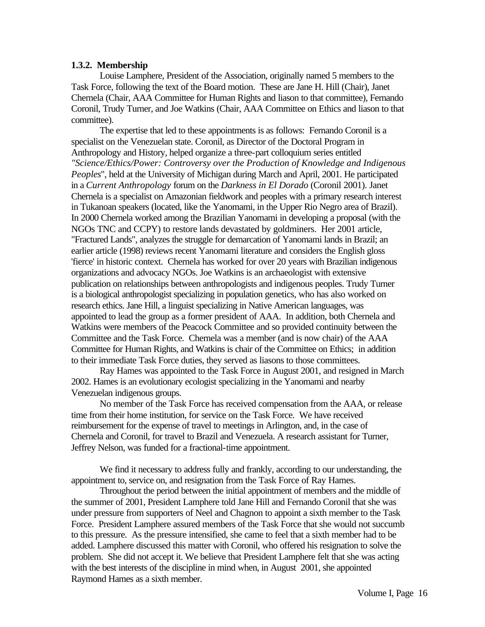## **1.3.2. Membership**

Louise Lamphere, President of the Association, originally named 5 members to the Task Force, following the text of the Board motion. These are Jane H. Hill (Chair), Janet Chernela (Chair, AAA Committee for Human Rights and liason to that committee), Fernando Coronil, Trudy Turner, and Joe Watkins (Chair, AAA Committee on Ethics and liason to that committee).

The expertise that led to these appointments is as follows: Fernando Coronil is a specialist on the Venezuelan state. Coronil, as Director of the Doctoral Program in Anthropology and History, helped organize a three-part colloquium series entitled *"Science/Ethics/Power: Controversy over the Production of Knowledge and Indigenous Peoples*", held at the University of Michigan during March and April, 2001. He participated in a *Current Anthropology* forum on the *Darkness in El Dorado* (Coronil 2001). Janet Chernela is a specialist on Amazonian fieldwork and peoples with a primary research interest in Tukanoan speakers (located, like the Yanomami, in the Upper Rio Negro area of Brazil). In 2000 Chernela worked among the Brazilian Yanomami in developing a proposal (with the NGOs TNC and CCPY) to restore lands devastated by goldminers. Her 2001 article, "Fractured Lands", analyzes the struggle for demarcation of Yanomami lands in Brazil; an earlier article (1998) reviews recent Yanomami literature and considers the English gloss 'fierce' in historic context. Chernela has worked for over 20 years with Brazilian indigenous organizations and advocacy NGOs. Joe Watkins is an archaeologist with extensive publication on relationships between anthropologists and indigenous peoples. Trudy Turner is a biological anthropologist specializing in population genetics, who has also worked on research ethics. Jane Hill, a linguist specializing in Native American languages, was appointed to lead the group as a former president of AAA. In addition, both Chernela and Watkins were members of the Peacock Committee and so provided continuity between the Committee and the Task Force. Chernela was a member (and is now chair) of the AAA Committee for Human Rights, and Watkins is chair of the Committee on Ethics; in addition to their immediate Task Force duties, they served as liasons to those committees.

Ray Hames was appointed to the Task Force in August 2001, and resigned in March 2002. Hames is an evolutionary ecologist specializing in the Yanomami and nearby Venezuelan indigenous groups.

No member of the Task Force has received compensation from the AAA, or release time from their home institution, for service on the Task Force. We have received reimbursement for the expense of travel to meetings in Arlington, and, in the case of Chernela and Coronil, for travel to Brazil and Venezuela. A research assistant for Turner, Jeffrey Nelson, was funded for a fractional-time appointment.

We find it necessary to address fully and frankly, according to our understanding, the appointment to, service on, and resignation from the Task Force of Ray Hames.

Throughout the period between the initial appointment of members and the middle of the summer of 2001, President Lamphere told Jane Hill and Fernando Coronil that she was under pressure from supporters of Neel and Chagnon to appoint a sixth member to the Task Force. President Lamphere assured members of the Task Force that she would not succumb to this pressure. As the pressure intensified, she came to feel that a sixth member had to be added. Lamphere discussed this matter with Coronil, who offered his resignation to solve the problem. She did not accept it. We believe that President Lamphere felt that she was acting with the best interests of the discipline in mind when, in August 2001, she appointed Raymond Hames as a sixth member.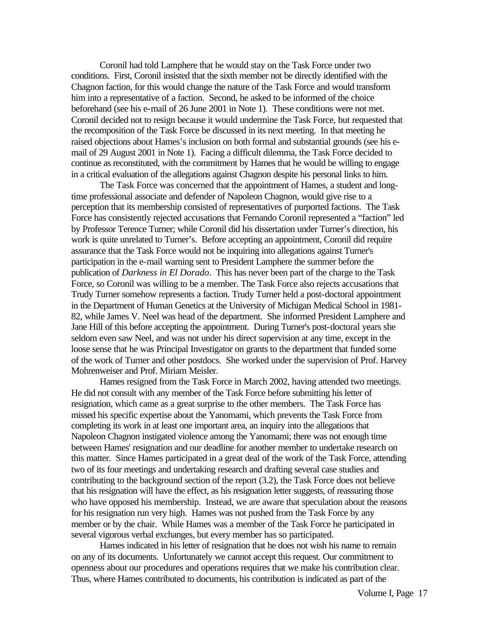Coronil had told Lamphere that he would stay on the Task Force under two conditions. First, Coronil insisted that the sixth member not be directly identified with the Chagnon faction, for this would change the nature of the Task Force and would transform him into a representative of a faction. Second, he asked to be informed of the choice beforehand (see his e-mail of 26 June 2001 in Note 1). These conditions were not met. Coronil decided not to resign because it would undermine the Task Force, but requested that the recomposition of the Task Force be discussed in its next meeting. In that meeting he raised objections about Hames's inclusion on both formal and substantial grounds (see his email of 29 August 2001 in Note 1). Facing a difficult dilemma, the Task Force decided to continue as reconstituted, with the commitment by Hames that he would be willing to engage in a critical evaluation of the allegations against Chagnon despite his personal links to him.

The Task Force was concerned that the appointment of Hames, a student and longtime professional associate and defender of Napoleon Chagnon, would give rise to a perception that its membership consisted of representatives of purported factions. The Task Force has consistently rejected accusations that Fernando Coronil represented a "faction" led by Professor Terence Turner; while Coronil did his dissertation under Turner's direction, his work is quite unrelated to Turner's. Before accepting an appointment, Coronil did require assurance that the Task Force would not be inquiring into allegations against Turner's participation in the e-mail warning sent to President Lamphere the summer before the publication of *Darkness in El Dorado*. This has never been part of the charge to the Task Force, so Coronil was willing to be a member. The Task Force also rejects accusations that Trudy Turner somehow represents a faction. Trudy Turner held a post-doctoral appointment in the Department of Human Genetics at the University of Michigan Medical School in 1981- 82, while James V. Neel was head of the department. She informed President Lamphere and Jane Hill of this before accepting the appointment. During Turner's post-doctoral years she seldom even saw Neel, and was not under his direct supervision at any time, except in the loose sense that he was Principal Investigator on grants to the department that funded some of the work of Turner and other postdocs. She worked under the supervision of Prof. Harvey Mohrenweiser and Prof. Miriam Meisler.

Hames resigned from the Task Force in March 2002, having attended two meetings. He did not consult with any member of the Task Force before submitting his letter of resignation, which came as a great surprise to the other members. The Task Force has missed his specific expertise about the Yanomami, which prevents the Task Force from completing its work in at least one important area, an inquiry into the allegations that Napoleon Chagnon instigated violence among the Yanomami; there was not enough time between Hames' resignation and our deadline for another member to undertake research on this matter. Since Hames participated in a great deal of the work of the Task Force, attending two of its four meetings and undertaking research and drafting several case studies and contributing to the background section of the report (3.2), the Task Force does not believe that his resignation will have the effect, as his resignation letter suggests, of reassuring those who have opposed his membership. Instead, we are aware that speculation about the reasons for his resignation run very high. Hames was not pushed from the Task Force by any member or by the chair. While Hames was a member of the Task Force he participated in several vigorous verbal exchanges, but every member has so participated.

Hames indicated in his letter of resignation that he does not wish his name to remain on any of its documents. Unfortunately we cannot accept this request. Our commitment to openness about our procedures and operations requires that we make his contribution clear. Thus, where Hames contributed to documents, his contribution is indicated as part of the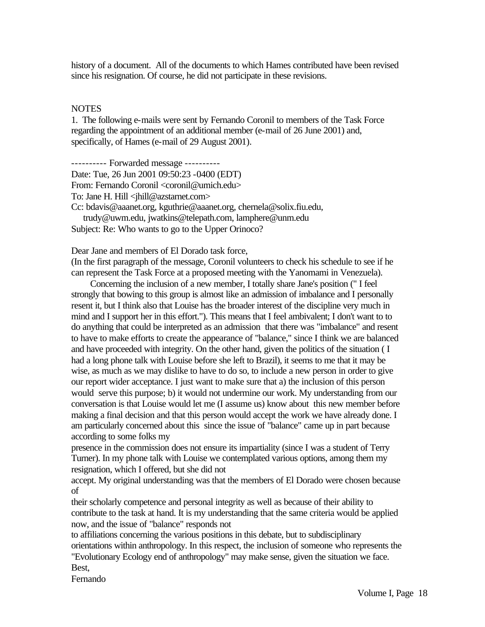history of a document. All of the documents to which Hames contributed have been revised since his resignation. Of course, he did not participate in these revisions.

#### **NOTES**

1. The following e-mails were sent by Fernando Coronil to members of the Task Force regarding the appointment of an additional member (e-mail of 26 June 2001) and, specifically, of Hames (e-mail of 29 August 2001).

---------- Forwarded message ---------- Date: Tue, 26 Jun 2001 09:50:23 -0400 (EDT) From: Fernando Coronil <coronil@umich.edu> To: Jane H. Hill <jhill@azstarnet.com> Cc: bdavis@aaanet.org, kguthrie@aaanet.org, chernela@solix.fiu.edu, trudy@uwm.edu, jwatkins@telepath.com, lamphere@unm.edu Subject: Re: Who wants to go to the Upper Orinoco?

Dear Jane and members of El Dorado task force,

(In the first paragraph of the message, Coronil volunteers to check his schedule to see if he can represent the Task Force at a proposed meeting with the Yanomami in Venezuela).

 Concerning the inclusion of a new member, I totally share Jane's position (" I feel strongly that bowing to this group is almost like an admission of imbalance and I personally resent it, but I think also that Louise has the broader interest of the discipline very much in mind and I support her in this effort."). This means that I feel ambivalent; I don't want to to do anything that could be interpreted as an admission that there was "imbalance" and resent to have to make efforts to create the appearance of "balance," since I think we are balanced and have proceeded with integrity. On the other hand, given the politics of the situation ( I had a long phone talk with Louise before she left to Brazil), it seems to me that it may be wise, as much as we may dislike to have to do so, to include a new person in order to give our report wider acceptance. I just want to make sure that a) the inclusion of this person would serve this purpose; b) it would not undermine our work. My understanding from our conversation is that Louise would let me (I assume us) know about this new member before making a final decision and that this person would accept the work we have already done. I am particularly concerned about this since the issue of "balance" came up in part because according to some folks my

presence in the commission does not ensure its impartiality (since I was a student of Terry Turner). In my phone talk with Louise we contemplated various options, among them my resignation, which I offered, but she did not

accept. My original understanding was that the members of El Dorado were chosen because of

their scholarly competence and personal integrity as well as because of their ability to contribute to the task at hand. It is my understanding that the same criteria would be applied now, and the issue of "balance" responds not

to affiliations concerning the various positions in this debate, but to subdisciplinary orientations within anthropology. In this respect, the inclusion of someone who represents the "Evolutionary Ecology end of anthropology" may make sense, given the situation we face. Best,

Fernando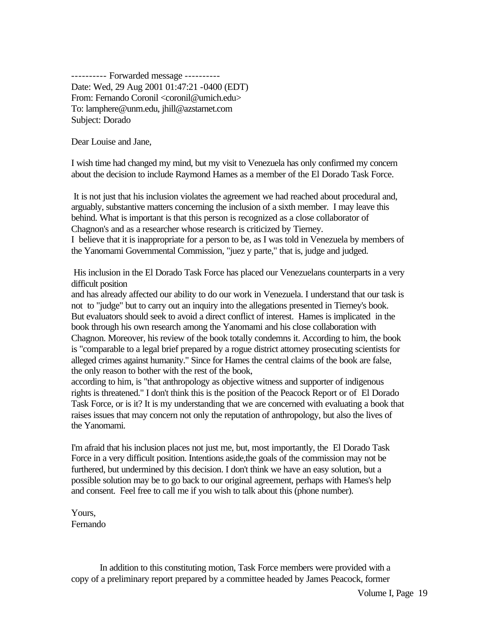---------- Forwarded message ---------- Date: Wed, 29 Aug 2001 01:47:21 -0400 (EDT) From: Fernando Coronil <coronil@umich.edu> To: lamphere@unm.edu, jhill@azstarnet.com Subject: Dorado

Dear Louise and Jane,

I wish time had changed my mind, but my visit to Venezuela has only confirmed my concern about the decision to include Raymond Hames as a member of the El Dorado Task Force.

 It is not just that his inclusion violates the agreement we had reached about procedural and, arguably, substantive matters concerning the inclusion of a sixth member. I may leave this behind. What is important is that this person is recognized as a close collaborator of Chagnon's and as a researcher whose research is criticized by Tierney.

I believe that it is inappropriate for a person to be, as I was told in Venezuela by members of the Yanomami Governmental Commission, "juez y parte," that is, judge and judged.

 His inclusion in the El Dorado Task Force has placed our Venezuelans counterparts in a very difficult position

and has already affected our ability to do our work in Venezuela. I understand that our task is not to "judge" but to carry out an inquiry into the allegations presented in Tierney's book. But evaluators should seek to avoid a direct conflict of interest. Hames is implicated in the book through his own research among the Yanomami and his close collaboration with Chagnon. Moreover, his review of the book totally condemns it. According to him, the book is "comparable to a legal brief prepared by a rogue district attorney prosecuting scientists for alleged crimes against humanity." Since for Hames the central claims of the book are false, the only reason to bother with the rest of the book,

according to him, is "that anthropology as objective witness and supporter of indigenous rights is threatened." I don't think this is the position of the Peacock Report or of El Dorado Task Force, or is it? It is my understanding that we are concerned with evaluating a book that raises issues that may concern not only the reputation of anthropology, but also the lives of the Yanomami.

I'm afraid that his inclusion places not just me, but, most importantly, the El Dorado Task Force in a very difficult position. Intentions aside,the goals of the commission may not be furthered, but undermined by this decision. I don't think we have an easy solution, but a possible solution may be to go back to our original agreement, perhaps with Hames's help and consent. Feel free to call me if you wish to talk about this (phone number).

Yours, Fernando

In addition to this constituting motion, Task Force members were provided with a copy of a preliminary report prepared by a committee headed by James Peacock, former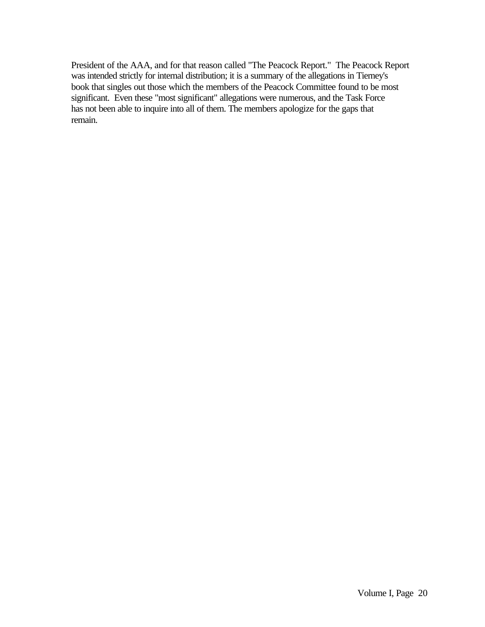President of the AAA, and for that reason called "The Peacock Report." The Peacock Report was intended strictly for internal distribution; it is a summary of the allegations in Tierney's book that singles out those which the members of the Peacock Committee found to be most significant. Even these "most significant" allegations were numerous, and the Task Force has not been able to inquire into all of them. The members apologize for the gaps that remain.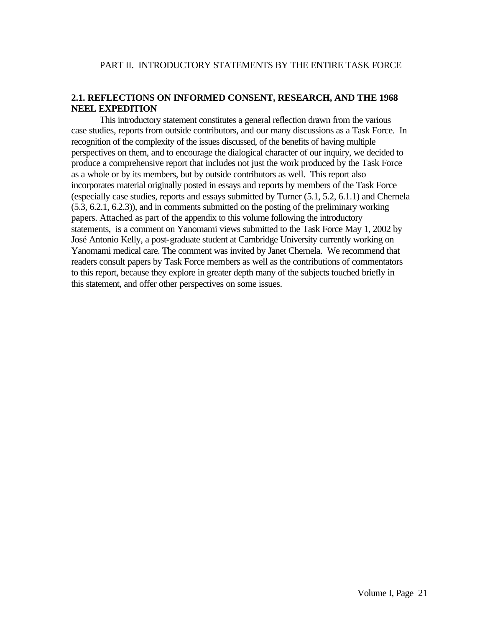# **2.1. REFLECTIONS ON INFORMED CONSENT, RESEARCH, AND THE 1968 NEEL EXPEDITION**

This introductory statement constitutes a general reflection drawn from the various case studies, reports from outside contributors, and our many discussions as a Task Force. In recognition of the complexity of the issues discussed, of the benefits of having multiple perspectives on them, and to encourage the dialogical character of our inquiry, we decided to produce a comprehensive report that includes not just the work produced by the Task Force as a whole or by its members, but by outside contributors as well. This report also incorporates material originally posted in essays and reports by members of the Task Force (especially case studies, reports and essays submitted by Turner (5.1, 5.2, 6.1.1) and Chernela (5.3, 6.2.1, 6.2.3)), and in comments submitted on the posting of the preliminary working papers. Attached as part of the appendix to this volume following the introductory statements, is a comment on Yanomami views submitted to the Task Force May 1, 2002 by José Antonio Kelly, a post-graduate student at Cambridge University currently working on Yanomami medical care. The comment was invited by Janet Chernela. We recommend that readers consult papers by Task Force members as well as the contributions of commentators to this report, because they explore in greater depth many of the subjects touched briefly in this statement, and offer other perspectives on some issues.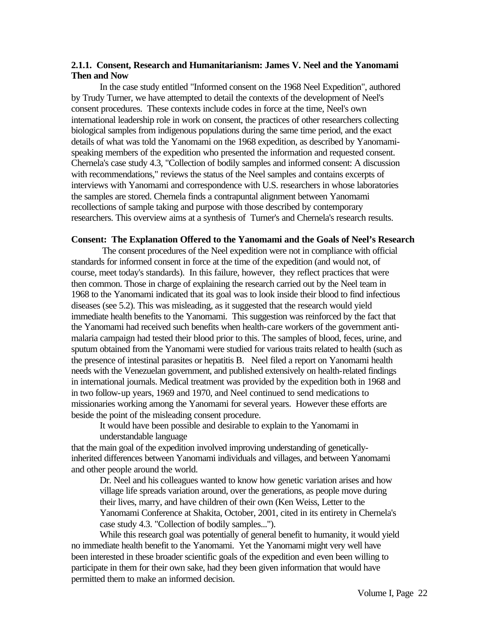# **2.1.1. Consent, Research and Humanitarianism: James V. Neel and the Yanomami Then and Now**

In the case study entitled "Informed consent on the 1968 Neel Expedition", authored by Trudy Turner, we have attempted to detail the contexts of the development of Neel's consent procedures. These contexts include codes in force at the time, Neel's own international leadership role in work on consent, the practices of other researchers collecting biological samples from indigenous populations during the same time period, and the exact details of what was told the Yanomami on the 1968 expedition, as described by Yanomamispeaking members of the expedition who presented the information and requested consent. Chernela's case study 4.3, "Collection of bodily samples and informed consent: A discussion with recommendations," reviews the status of the Neel samples and contains excerpts of interviews with Yanomami and correspondence with U.S. researchers in whose laboratories the samples are stored. Chernela finds a contrapuntal alignment between Yanomami recollections of sample taking and purpose with those described by contemporary researchers. This overview aims at a synthesis of Turner's and Chernela's research results.

## **Consent: The Explanation Offered to the Yanomami and the Goals of Neel's Research**

 The consent procedures of the Neel expedition were not in compliance with official standards for informed consent in force at the time of the expedition (and would not, of course, meet today's standards). In this failure, however, they reflect practices that were then common. Those in charge of explaining the research carried out by the Neel team in 1968 to the Yanomami indicated that its goal was to look inside their blood to find infectious diseases (see 5.2). This was misleading, as it suggested that the research would yield immediate health benefits to the Yanomami. This suggestion was reinforced by the fact that the Yanomami had received such benefits when health-care workers of the government antimalaria campaign had tested their blood prior to this. The samples of blood, feces, urine, and sputum obtained from the Yanomami were studied for various traits related to health (such as the presence of intestinal parasites or hepatitis B. Neel filed a report on Yanomami health needs with the Venezuelan government, and published extensively on health-related findings in international journals. Medical treatment was provided by the expedition both in 1968 and in two follow-up years, 1969 and 1970, and Neel continued to send medications to missionaries working among the Yanomami for several years. However these efforts are beside the point of the misleading consent procedure.

It would have been possible and desirable to explain to the Yanomami in understandable language

that the main goal of the expedition involved improving understanding of geneticallyinherited differences between Yanomami individuals and villages, and between Yanomami and other people around the world.

Dr. Neel and his colleagues wanted to know how genetic variation arises and how village life spreads variation around, over the generations, as people move during their lives, marry, and have children of their own (Ken Weiss, Letter to the Yanomami Conference at Shakita, October, 2001, cited in its entirety in Chernela's case study 4.3. "Collection of bodily samples...").

While this research goal was potentially of general benefit to humanity, it would yield no immediate health benefit to the Yanomami. Yet the Yanomami might very well have been interested in these broader scientific goals of the expedition and even been willing to participate in them for their own sake, had they been given information that would have permitted them to make an informed decision.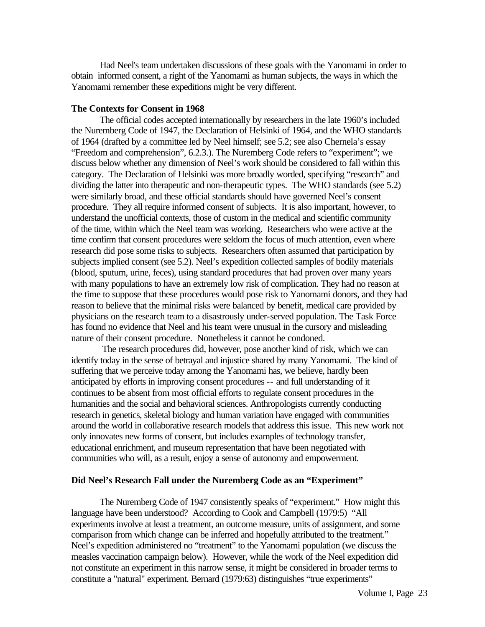Had Neel's team undertaken discussions of these goals with the Yanomami in order to obtain informed consent, a right of the Yanomami as human subjects, the ways in which the Yanomami remember these expeditions might be very different.

#### **The Contexts for Consent in 1968**

The official codes accepted internationally by researchers in the late 1960's included the Nuremberg Code of 1947, the Declaration of Helsinki of 1964, and the WHO standards of 1964 (drafted by a committee led by Neel himself; see 5.2; see also Chernela's essay "Freedom and comprehension", 6.2.3.). The Nuremberg Code refers to "experiment"; we discuss below whether any dimension of Neel's work should be considered to fall within this category. The Declaration of Helsinki was more broadly worded, specifying "research" and dividing the latter into therapeutic and non-therapeutic types. The WHO standards (see 5.2) were similarly broad, and these official standards should have governed Neel's consent procedure. They all require informed consent of subjects. It is also important, however, to understand the unofficial contexts, those of custom in the medical and scientific community of the time, within which the Neel team was working. Researchers who were active at the time confirm that consent procedures were seldom the focus of much attention, even where research did pose some risks to subjects. Researchers often assumed that participation by subjects implied consent (see 5.2). Neel's expedition collected samples of bodily materials (blood, sputum, urine, feces), using standard procedures that had proven over many years with many populations to have an extremely low risk of complication. They had no reason at the time to suppose that these procedures would pose risk to Yanomami donors, and they had reason to believe that the minimal risks were balanced by benefit, medical care provided by physicians on the research team to a disastrously under-served population. The Task Force has found no evidence that Neel and his team were unusual in the cursory and misleading nature of their consent procedure. Nonetheless it cannot be condoned.

 The research procedures did, however, pose another kind of risk, which we can identify today in the sense of betrayal and injustice shared by many Yanomami. The kind of suffering that we perceive today among the Yanomami has, we believe, hardly been anticipated by efforts in improving consent procedures -- and full understanding of it continues to be absent from most official efforts to regulate consent procedures in the humanities and the social and behavioral sciences. Anthropologists currently conducting research in genetics, skeletal biology and human variation have engaged with communities around the world in collaborative research models that address this issue. This new work not only innovates new forms of consent, but includes examples of technology transfer, educational enrichment, and museum representation that have been negotiated with communities who will, as a result, enjoy a sense of autonomy and empowerment.

#### **Did Neel's Research Fall under the Nuremberg Code as an "Experiment"**

The Nuremberg Code of 1947 consistently speaks of "experiment." How might this language have been understood? According to Cook and Campbell (1979:5) "All experiments involve at least a treatment, an outcome measure, units of assignment, and some comparison from which change can be inferred and hopefully attributed to the treatment." Neel's expedition administered no "treatment" to the Yanomami population (we discuss the measles vaccination campaign below). However, while the work of the Neel expedition did not constitute an experiment in this narrow sense, it might be considered in broader terms to constitute a "natural" experiment. Bernard (1979:63) distinguishes "true experiments"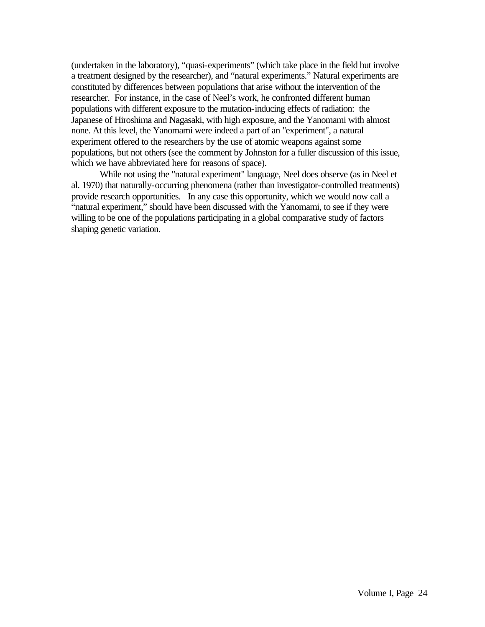(undertaken in the laboratory), "quasi-experiments" (which take place in the field but involve a treatment designed by the researcher), and "natural experiments." Natural experiments are constituted by differences between populations that arise without the intervention of the researcher. For instance, in the case of Neel's work, he confronted different human populations with different exposure to the mutation-inducing effects of radiation: the Japanese of Hiroshima and Nagasaki, with high exposure, and the Yanomami with almost none. At this level, the Yanomami were indeed a part of an "experiment", a natural experiment offered to the researchers by the use of atomic weapons against some populations, but not others (see the comment by Johnston for a fuller discussion of this issue, which we have abbreviated here for reasons of space).

While not using the "natural experiment" language, Neel does observe (as in Neel et al. 1970) that naturally-occurring phenomena (rather than investigator-controlled treatments) provide research opportunities. In any case this opportunity, which we would now call a "natural experiment," should have been discussed with the Yanomami, to see if they were willing to be one of the populations participating in a global comparative study of factors shaping genetic variation.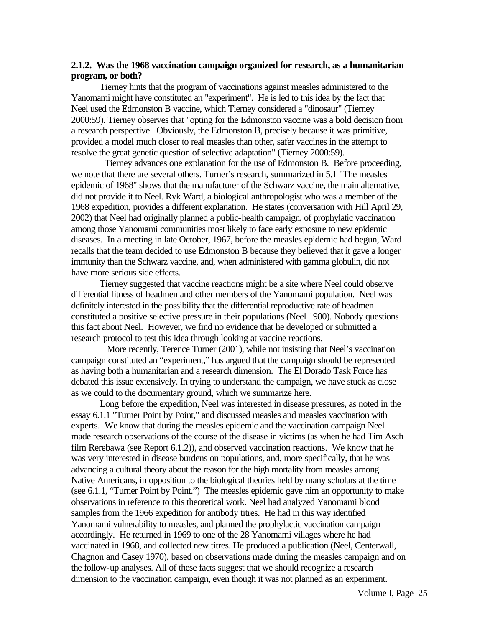# **2.1.2. Was the 1968 vaccination campaign organized for research, as a humanitarian program, or both?**

Tierney hints that the program of vaccinations against measles administered to the Yanomami might have constituted an "experiment". He is led to this idea by the fact that Neel used the Edmonston B vaccine, which Tierney considered a "dinosaur" (Tierney 2000:59). Tierney observes that "opting for the Edmonston vaccine was a bold decision from a research perspective. Obviously, the Edmonston B, precisely because it was primitive, provided a model much closer to real measles than other, safer vaccines in the attempt to resolve the great genetic question of selective adaptation" (Tierney 2000:59).

 Tierney advances one explanation for the use of Edmonston B. Before proceeding, we note that there are several others. Turner's research, summarized in 5.1 "The measles epidemic of 1968" shows that the manufacturer of the Schwarz vaccine, the main alternative, did not provide it to Neel. Ryk Ward, a biological anthropologist who was a member of the 1968 expedition, provides a different explanation. He states (conversation with Hill April 29, 2002) that Neel had originally planned a public-health campaign, of prophylatic vaccination among those Yanomami communities most likely to face early exposure to new epidemic diseases. In a meeting in late October, 1967, before the measles epidemic had begun, Ward recalls that the team decided to use Edmonston B because they believed that it gave a longer immunity than the Schwarz vaccine, and, when administered with gamma globulin, did not have more serious side effects.

Tierney suggested that vaccine reactions might be a site where Neel could observe differential fitness of headmen and other members of the Yanomami population. Neel was definitely interested in the possibility that the differential reproductive rate of headmen constituted a positive selective pressure in their populations (Neel 1980). Nobody questions this fact about Neel. However, we find no evidence that he developed or submitted a research protocol to test this idea through looking at vaccine reactions.

 More recently, Terence Turner (2001), while not insisting that Neel's vaccination campaign constituted an "experiment," has argued that the campaign should be represented as having both a humanitarian and a research dimension. The El Dorado Task Force has debated this issue extensively. In trying to understand the campaign, we have stuck as close as we could to the documentary ground, which we summarize here.

Long before the expedition, Neel was interested in disease pressures, as noted in the essay 6.1.1 "Turner Point by Point," and discussed measles and measles vaccination with experts. We know that during the measles epidemic and the vaccination campaign Neel made research observations of the course of the disease in victims (as when he had Tim Asch film Rerebawa (see Report 6.1.2)), and observed vaccination reactions. We know that he was very interested in disease burdens on populations, and, more specifically, that he was advancing a cultural theory about the reason for the high mortality from measles among Native Americans, in opposition to the biological theories held by many scholars at the time (see 6.1.1, "Turner Point by Point.") The measles epidemic gave him an opportunity to make observations in reference to this theoretical work. Neel had analyzed Yanomami blood samples from the 1966 expedition for antibody titres. He had in this way identified Yanomami vulnerability to measles, and planned the prophylactic vaccination campaign accordingly. He returned in 1969 to one of the 28 Yanomami villages where he had vaccinated in 1968, and collected new titres. He produced a publication (Neel, Centerwall, Chagnon and Casey 1970), based on observations made during the measles campaign and on the follow-up analyses. All of these facts suggest that we should recognize a research dimension to the vaccination campaign, even though it was not planned as an experiment.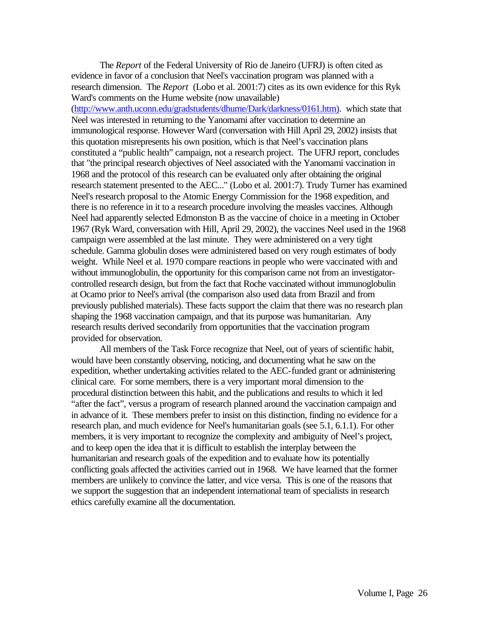The *Report* of the Federal University of Rio de Janeiro (UFRJ) is often cited as evidence in favor of a conclusion that Neel's vaccination program was planned with a research dimension. The *Report* (Lobo et al. 2001:7) cites as its own evidence for this Ryk Ward's comments on the Hume website (now unavailable) (http://www.anth.uconn.edu/gradstudents/dhume/Dark/darkness/0161.htm). which state that Neel was interested in returning to the Yanomami after vaccination to determine an immunological response. However Ward (conversation with Hill April 29, 2002) insists that this quotation misrepresents his own position, which is that Neel's vaccination plans constituted a "public health" campaign, not a research project. The UFRJ report, concludes that "the principal research objectives of Neel associated with the Yanomami vaccination in 1968 and the protocol of this research can be evaluated only after obtaining the original research statement presented to the AEC..." (Lobo et al. 2001:7). Trudy Turner has examined Neel's research proposal to the Atomic Energy Commission for the 1968 expedition, and there is no reference in it to a research procedure involving the measles vaccines. Although Neel had apparently selected Edmonston B as the vaccine of choice in a meeting in October 1967 (Ryk Ward, conversation with Hill, April 29, 2002), the vaccines Neel used in the 1968 campaign were assembled at the last minute. They were administered on a very tight schedule. Gamma globulin doses were administered based on very rough estimates of body weight. While Neel et al. 1970 compare reactions in people who were vaccinated with and without immunoglobulin, the opportunity for this comparison came not from an investigatorcontrolled research design, but from the fact that Roche vaccinated without immunoglobulin at Ocamo prior to Neel's arrival (the comparison also used data from Brazil and from previously published materials). These facts support the claim that there was no research plan shaping the 1968 vaccination campaign, and that its purpose was humanitarian. Any research results derived secondarily from opportunities that the vaccination program provided for observation.

All members of the Task Force recognize that Neel, out of years of scientific habit, would have been constantly observing, noticing, and documenting what he saw on the expedition, whether undertaking activities related to the AEC-funded grant or administering clinical care. For some members, there is a very important moral dimension to the procedural distinction between this habit, and the publications and results to which it led "after the fact", versus a program of research planned around the vaccination campaign and in advance of it. These members prefer to insist on this distinction, finding no evidence for a research plan, and much evidence for Neel's humanitarian goals (see 5.1, 6.1.1). For other members, it is very important to recognize the complexity and ambiguity of Neel's project, and to keep open the idea that it is difficult to establish the interplay between the humanitarian and research goals of the expedition and to evaluate how its potentially conflicting goals affected the activities carried out in 1968. We have learned that the former members are unlikely to convince the latter, and vice versa. This is one of the reasons that we support the suggestion that an independent international team of specialists in research ethics carefully examine all the documentation.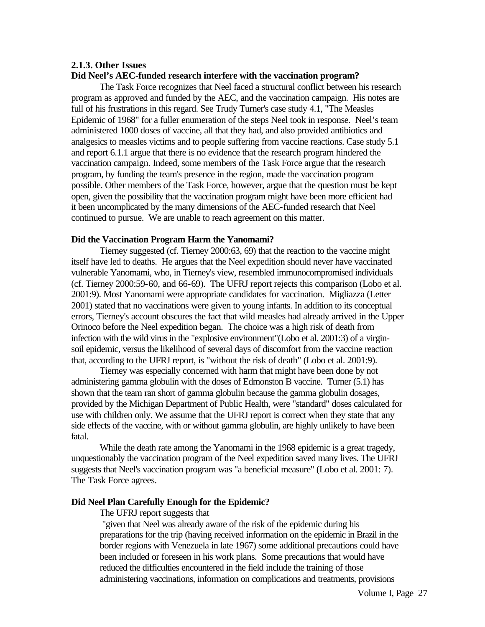## **2.1.3. Other Issues**

#### **Did Neel's AEC-funded research interfere with the vaccination program?**

The Task Force recognizes that Neel faced a structural conflict between his research program as approved and funded by the AEC, and the vaccination campaign. His notes are full of his frustrations in this regard. See Trudy Turner's case study 4.1, "The Measles Epidemic of 1968" for a fuller enumeration of the steps Neel took in response. Neel's team administered 1000 doses of vaccine, all that they had, and also provided antibiotics and analgesics to measles victims and to people suffering from vaccine reactions. Case study 5.1 and report 6.1.1 argue that there is no evidence that the research program hindered the vaccination campaign. Indeed, some members of the Task Force argue that the research program, by funding the team's presence in the region, made the vaccination program possible. Other members of the Task Force, however, argue that the question must be kept open, given the possibility that the vaccination program might have been more efficient had it been uncomplicated by the many dimensions of the AEC-funded research that Neel continued to pursue. We are unable to reach agreement on this matter.

#### **Did the Vaccination Program Harm the Yanomami?**

Tierney suggested (cf. Tierney 2000:63, 69) that the reaction to the vaccine might itself have led to deaths. He argues that the Neel expedition should never have vaccinated vulnerable Yanomami, who, in Tierney's view, resembled immunocompromised individuals (cf. Tierney 2000:59-60, and 66-69). The UFRJ report rejects this comparison (Lobo et al. 2001:9). Most Yanomami were appropriate candidates for vaccination. Migliazza (Letter 2001) stated that no vaccinations were given to young infants. In addition to its conceptual errors, Tierney's account obscures the fact that wild measles had already arrived in the Upper Orinoco before the Neel expedition began. The choice was a high risk of death from infection with the wild virus in the "explosive environment"(Lobo et al. 2001:3) of a virginsoil epidemic, versus the likelihood of several days of discomfort from the vaccine reaction that, according to the UFRJ report, is "without the risk of death" (Lobo et al. 2001:9).

Tierney was especially concerned with harm that might have been done by not administering gamma globulin with the doses of Edmonston B vaccine. Turner (5.1) has shown that the team ran short of gamma globulin because the gamma globulin dosages, provided by the Michigan Department of Public Health, were "standard" doses calculated for use with children only. We assume that the UFRJ report is correct when they state that any side effects of the vaccine, with or without gamma globulin, are highly unlikely to have been fatal.

While the death rate among the Yanomami in the 1968 epidemic is a great tragedy, unquestionably the vaccination program of the Neel expedition saved many lives. The UFRJ suggests that Neel's vaccination program was "a beneficial measure" (Lobo et al. 2001: 7). The Task Force agrees.

## **Did Neel Plan Carefully Enough for the Epidemic?**

#### The UFRJ report suggests that

 "given that Neel was already aware of the risk of the epidemic during his preparations for the trip (having received information on the epidemic in Brazil in the border regions with Venezuela in late 1967) some additional precautions could have been included or foreseen in his work plans. Some precautions that would have reduced the difficulties encountered in the field include the training of those administering vaccinations, information on complications and treatments, provisions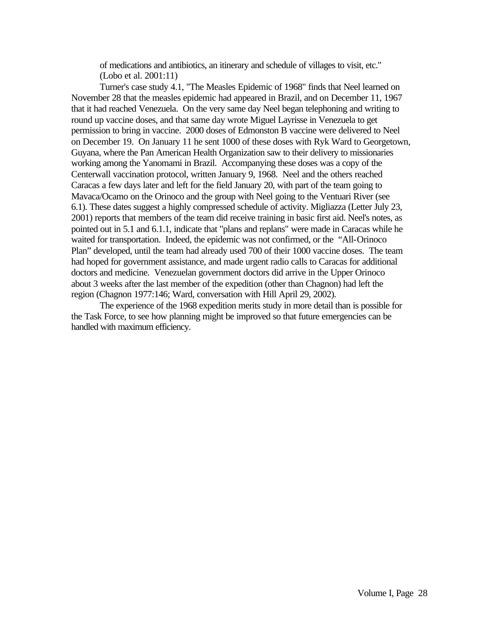of medications and antibiotics, an itinerary and schedule of villages to visit, etc." (Lobo et al. 2001:11)

Turner's case study 4.1, "The Measles Epidemic of 1968" finds that Neel learned on November 28 that the measles epidemic had appeared in Brazil, and on December 11, 1967 that it had reached Venezuela. On the very same day Neel began telephoning and writing to round up vaccine doses, and that same day wrote Miguel Layrisse in Venezuela to get permission to bring in vaccine. 2000 doses of Edmonston B vaccine were delivered to Neel on December 19. On January 11 he sent 1000 of these doses with Ryk Ward to Georgetown, Guyana, where the Pan American Health Organization saw to their delivery to missionaries working among the Yanomami in Brazil. Accompanying these doses was a copy of the Centerwall vaccination protocol, written January 9, 1968. Neel and the others reached Caracas a few days later and left for the field January 20, with part of the team going to Mavaca/Ocamo on the Orinoco and the group with Neel going to the Ventuari River (see 6.1). These dates suggest a highly compressed schedule of activity. Migliazza (Letter July 23, 2001) reports that members of the team did receive training in basic first aid. Neel's notes, as pointed out in 5.1 and 6.1.1, indicate that "plans and replans" were made in Caracas while he waited for transportation. Indeed, the epidemic was not confirmed, or the "All-Orinoco Plan" developed, until the team had already used 700 of their 1000 vaccine doses. The team had hoped for government assistance, and made urgent radio calls to Caracas for additional doctors and medicine. Venezuelan government doctors did arrive in the Upper Orinoco about 3 weeks after the last member of the expedition (other than Chagnon) had left the region (Chagnon 1977:146; Ward, conversation with Hill April 29, 2002).

The experience of the 1968 expedition merits study in more detail than is possible for the Task Force, to see how planning might be improved so that future emergencies can be handled with maximum efficiency.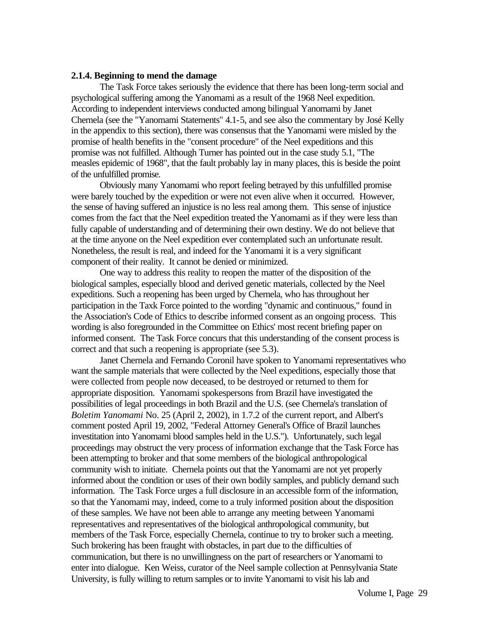#### **2.1.4. Beginning to mend the damage**

The Task Force takes seriously the evidence that there has been long-term social and psychological suffering among the Yanomami as a result of the 1968 Neel expedition. According to independent interviews conducted among bilingual Yanomami by Janet Chernela (see the "Yanomami Statements" 4.1-5, and see also the commentary by José Kelly in the appendix to this section), there was consensus that the Yanomami were misled by the promise of health benefits in the "consent procedure" of the Neel expeditions and this promise was not fulfilled. Although Turner has pointed out in the case study 5.1, "The measles epidemic of 1968", that the fault probably lay in many places, this is beside the point of the unfulfilled promise.

Obviously many Yanomami who report feeling betrayed by this unfulfilled promise were barely touched by the expedition or were not even alive when it occurred. However, the sense of having suffered an injustice is no less real among them. This sense of injustice comes from the fact that the Neel expedition treated the Yanomami as if they were less than fully capable of understanding and of determining their own destiny. We do not believe that at the time anyone on the Neel expedition ever contemplated such an unfortunate result. Nonetheless, the result is real, and indeed for the Yanomami it is a very significant component of their reality. It cannot be denied or minimized.

One way to address this reality to reopen the matter of the disposition of the biological samples, especially blood and derived genetic materials, collected by the Neel expeditions. Such a reopening has been urged by Chernela, who has throughout her participation in the Taxk Force pointed to the wording "dynamic and continuous," found in the Association's Code of Ethics to describe informed consent as an ongoing process. This wording is also foregrounded in the Committee on Ethics' most recent briefing paper on informed consent. The Task Force concurs that this understanding of the consent process is correct and that such a reopening is appropriate (see 5.3).

Janet Chernela and Fernando Coronil have spoken to Yanomami representatives who want the sample materials that were collected by the Neel expeditions, especially those that were collected from people now deceased, to be destroyed or returned to them for appropriate disposition. Yanomami spokespersons from Brazil have investigated the possibilities of legal proceedings in both Brazil and the U.S. (see Chernela's translation of *Boletim Yanomami* No. 25 (April 2, 2002), in 1.7.2 of the current report, and Albert's comment posted April 19, 2002, "Federal Attorney General's Office of Brazil launches investitation into Yanomami blood samples held in the U.S."). Unfortunately, such legal proceedings may obstruct the very process of information exchange that the Task Force has been attempting to broker and that some members of the biological anthropological community wish to initiate. Chernela points out that the Yanomami are not yet properly informed about the condition or uses of their own bodily samples, and publicly demand such information. The Task Force urges a full disclosure in an accessible form of the information, so that the Yanomami may, indeed, come to a truly informed position about the disposition of these samples. We have not been able to arrange any meeting between Yanomami representatives and representatives of the biological anthropological community, but members of the Task Force, especially Chernela, continue to try to broker such a meeting. Such brokering has been fraught with obstacles, in part due to the difficulties of communication, but there is no unwillingness on the part of researchers or Yanomami to enter into dialogue. Ken Weiss, curator of the Neel sample collection at Pennsylvania State University, is fully willing to return samples or to invite Yanomami to visit his lab and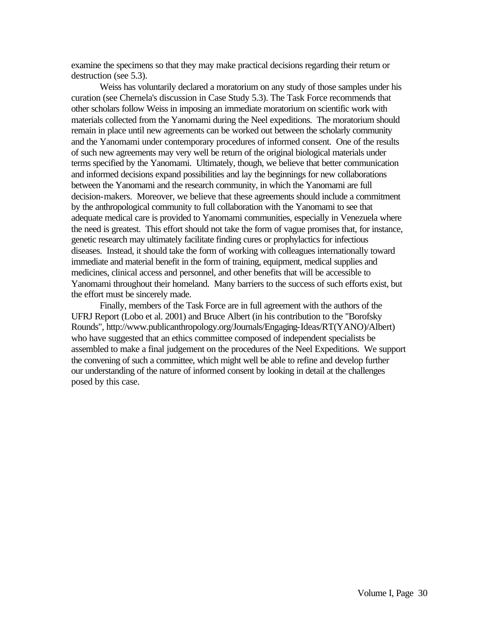examine the specimens so that they may make practical decisions regarding their return or destruction (see 5.3).

Weiss has voluntarily declared a moratorium on any study of those samples under his curation (see Chernela's discussion in Case Study 5.3). The Task Force recommends that other scholars follow Weiss in imposing an immediate moratorium on scientific work with materials collected from the Yanomami during the Neel expeditions. The moratorium should remain in place until new agreements can be worked out between the scholarly community and the Yanomami under contemporary procedures of informed consent. One of the results of such new agreements may very well be return of the original biological materials under terms specified by the Yanomami. Ultimately, though, we believe that better communication and informed decisions expand possibilities and lay the beginnings for new collaborations between the Yanomami and the research community, in which the Yanomami are full decision-makers. Moreover, we believe that these agreements should include a commitment by the anthropological community to full collaboration with the Yanomami to see that adequate medical care is provided to Yanomami communities, especially in Venezuela where the need is greatest. This effort should not take the form of vague promises that, for instance, genetic research may ultimately facilitate finding cures or prophylactics for infectious diseases. Instead, it should take the form of working with colleagues internationally toward immediate and material benefit in the form of training, equipment, medical supplies and medicines, clinical access and personnel, and other benefits that will be accessible to Yanomami throughout their homeland. Many barriers to the success of such efforts exist, but the effort must be sincerely made.

Finally, members of the Task Force are in full agreement with the authors of the UFRJ Report (Lobo et al. 2001) and Bruce Albert (in his contribution to the "Borofsky Rounds", http://www.publicanthropology.org/Journals/Engaging-Ideas/RT(YANO)/Albert) who have suggested that an ethics committee composed of independent specialists be assembled to make a final judgement on the procedures of the Neel Expeditions. We support the convening of such a committee, which might well be able to refine and develop further our understanding of the nature of informed consent by looking in detail at the challenges posed by this case.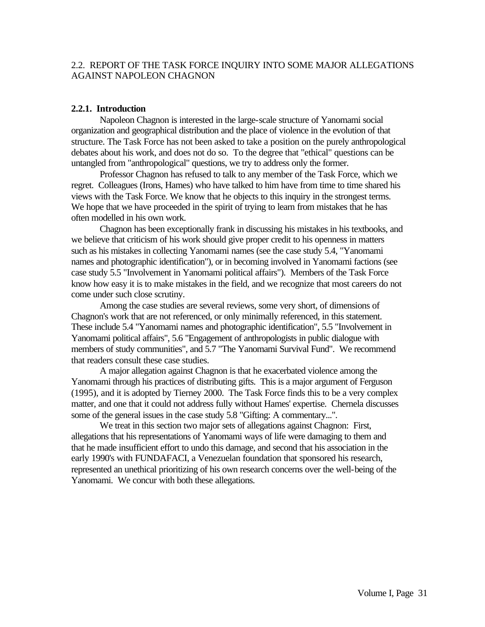# 2.2. REPORT OF THE TASK FORCE INQUIRY INTO SOME MAJOR ALLEGATIONS AGAINST NAPOLEON CHAGNON

#### **2.2.1. Introduction**

Napoleon Chagnon is interested in the large-scale structure of Yanomami social organization and geographical distribution and the place of violence in the evolution of that structure. The Task Force has not been asked to take a position on the purely anthropological debates about his work, and does not do so. To the degree that "ethical" questions can be untangled from "anthropological" questions, we try to address only the former.

Professor Chagnon has refused to talk to any member of the Task Force, which we regret. Colleagues (Irons, Hames) who have talked to him have from time to time shared his views with the Task Force. We know that he objects to this inquiry in the strongest terms. We hope that we have proceeded in the spirit of trying to learn from mistakes that he has often modelled in his own work.

Chagnon has been exceptionally frank in discussing his mistakes in his textbooks, and we believe that criticism of his work should give proper credit to his openness in matters such as his mistakes in collecting Yanomami names (see the case study 5.4, "Yanomami names and photographic identification"), or in becoming involved in Yanomami factions (see case study 5.5 "Involvement in Yanomami political affairs"). Members of the Task Force know how easy it is to make mistakes in the field, and we recognize that most careers do not come under such close scrutiny.

Among the case studies are several reviews, some very short, of dimensions of Chagnon's work that are not referenced, or only minimally referenced, in this statement. These include 5.4 "Yanomami names and photographic identification", 5.5 "Involvement in Yanomami political affairs", 5.6 "Engagement of anthropologists in public dialogue with members of study communities", and 5.7 "The Yanomami Survival Fund". We recommend that readers consult these case studies.

A major allegation against Chagnon is that he exacerbated violence among the Yanomami through his practices of distributing gifts. This is a major argument of Ferguson (1995), and it is adopted by Tierney 2000. The Task Force finds this to be a very complex matter, and one that it could not address fully without Hames' expertise. Chernela discusses some of the general issues in the case study 5.8 "Gifting: A commentary...".

We treat in this section two major sets of allegations against Chagnon: First, allegations that his representations of Yanomami ways of life were damaging to them and that he made insufficient effort to undo this damage, and second that his association in the early 1990's with FUNDAFACI, a Venezuelan foundation that sponsored his research, represented an unethical prioritizing of his own research concerns over the well-being of the Yanomami. We concur with both these allegations.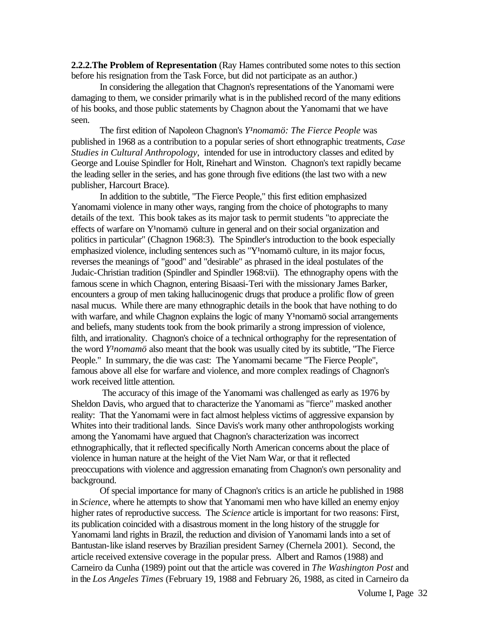**2.2.2.The Problem of Representation** (Ray Hames contributed some notes to this section before his resignation from the Task Force, but did not participate as an author.)

In considering the allegation that Chagnon's representations of the Yanomami were damaging to them, we consider primarily what is in the published record of the many editions of his books, and those public statements by Chagnon about the Yanomami that we have seen.

The first edition of Napoleon Chagnon's *Y<sup>1</sup>nomamö: The Fierce People* was published in 1968 as a contribution to a popular series of short ethnographic treatments, *Case Studies in Cultural Anthropology*, intended for use in introductory classes and edited by George and Louise Spindler for Holt, Rinehart and Winston. Chagnon's text rapidly became the leading seller in the series, and has gone through five editions (the last two with a new publisher, Harcourt Brace).

In addition to the subtitle, "The Fierce People," this first edition emphasized Yanomami violence in many other ways, ranging from the choice of photographs to many details of the text. This book takes as its major task to permit students "to appreciate the effects of warfare on Y<sup>1</sup>nomamö culture in general and on their social organization and politics in particular" (Chagnon 1968:3). The Spindler's introduction to the book especially emphasized violence, including sentences such as "Y<sup>1</sup>nomamö culture, in its major focus, reverses the meanings of "good" and "desirable" as phrased in the ideal postulates of the Judaic-Christian tradition (Spindler and Spindler 1968:vii). The ethnography opens with the famous scene in which Chagnon, entering Bisaasi-Teri with the missionary James Barker, encounters a group of men taking hallucinogenic drugs that produce a prolific flow of green nasal mucus. While there are many ethnographic details in the book that have nothing to do with warfare, and while Chagnon explains the logic of many  $Y<sup>1</sup>$ nomamö social arrangements and beliefs, many students took from the book primarily a strong impression of violence, filth, and irrationality. Chagnon's choice of a technical orthography for the representation of the word *Y<sup>n</sup>nomamö* also meant that the book was usually cited by its subtitle, "The Fierce" People." In summary, the die was cast: The Yanomami became "The Fierce People", famous above all else for warfare and violence, and more complex readings of Chagnon's work received little attention.

 The accuracy of this image of the Yanomami was challenged as early as 1976 by Sheldon Davis, who argued that to characterize the Yanomami as "fierce" masked another reality: That the Yanomami were in fact almost helpless victims of aggressive expansion by Whites into their traditional lands. Since Davis's work many other anthropologists working among the Yanomami have argued that Chagnon's characterization was incorrect ethnographically, that it reflected specifically North American concerns about the place of violence in human nature at the height of the Viet Nam War, or that it reflected preoccupations with violence and aggression emanating from Chagnon's own personality and background.

Of special importance for many of Chagnon's critics is an article he published in 1988 in *Science*, where he attempts to show that Yanomami men who have killed an enemy enjoy higher rates of reproductive success. The *Science* article is important for two reasons: First, its publication coincided with a disastrous moment in the long history of the struggle for Yanomami land rights in Brazil, the reduction and division of Yanomami lands into a set of Bantustan-like island reserves by Brazilian president Sarney (Chernela 2001). Second, the article received extensive coverage in the popular press. Albert and Ramos (1988) and Carneiro da Cunha (1989) point out that the article was covered in *The Washington Post* and in the *Los Angeles Times* (February 19, 1988 and February 26, 1988, as cited in Carneiro da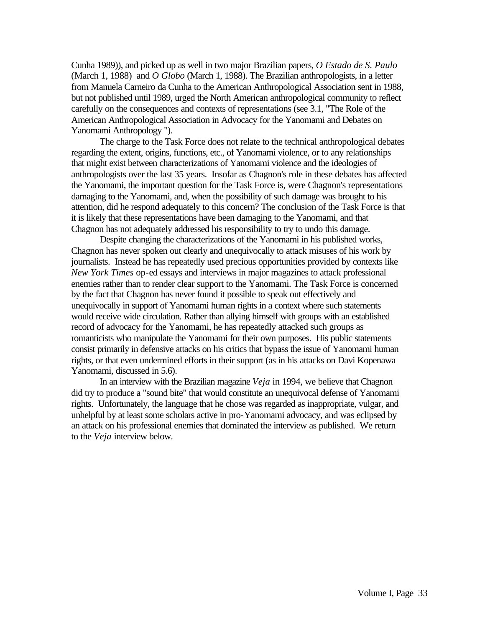Cunha 1989)), and picked up as well in two major Brazilian papers, *O Estado de S. Paulo* (March 1, 1988) and *O Globo* (March 1, 1988). The Brazilian anthropologists, in a letter from Manuela Carneiro da Cunha to the American Anthropological Association sent in 1988, but not published until 1989, urged the North American anthropological community to reflect carefully on the consequences and contexts of representations (see 3.1, "The Role of the American Anthropological Association in Advocacy for the Yanomami and Debates on Yanomami Anthropology ").

The charge to the Task Force does not relate to the technical anthropological debates regarding the extent, origins, functions, etc., of Yanomami violence, or to any relationships that might exist between characterizations of Yanomami violence and the ideologies of anthropologists over the last 35 years. Insofar as Chagnon's role in these debates has affected the Yanomami, the important question for the Task Force is, were Chagnon's representations damaging to the Yanomami, and, when the possibility of such damage was brought to his attention, did he respond adequately to this concern? The conclusion of the Task Force is that it is likely that these representations have been damaging to the Yanomami, and that Chagnon has not adequately addressed his responsibility to try to undo this damage.

Despite changing the characterizations of the Yanomami in his published works, Chagnon has never spoken out clearly and unequivocally to attack misuses of his work by journalists. Instead he has repeatedly used precious opportunities provided by contexts like *New York Times* op-ed essays and interviews in major magazines to attack professional enemies rather than to render clear support to the Yanomami. The Task Force is concerned by the fact that Chagnon has never found it possible to speak out effectively and unequivocally in support of Yanomami human rights in a context where such statements would receive wide circulation. Rather than allying himself with groups with an established record of advocacy for the Yanomami, he has repeatedly attacked such groups as romanticists who manipulate the Yanomami for their own purposes. His public statements consist primarily in defensive attacks on his critics that bypass the issue of Yanomami human rights, or that even undermined efforts in their support (as in his attacks on Davi Kopenawa Yanomami, discussed in 5.6).

In an interview with the Brazilian magazine *Veja* in 1994, we believe that Chagnon did try to produce a "sound bite" that would constitute an unequivocal defense of Yanomami rights. Unfortunately, the language that he chose was regarded as inappropriate, vulgar, and unhelpful by at least some scholars active in pro-Yanomami advocacy, and was eclipsed by an attack on his professional enemies that dominated the interview as published. We return to the *Veja* interview below.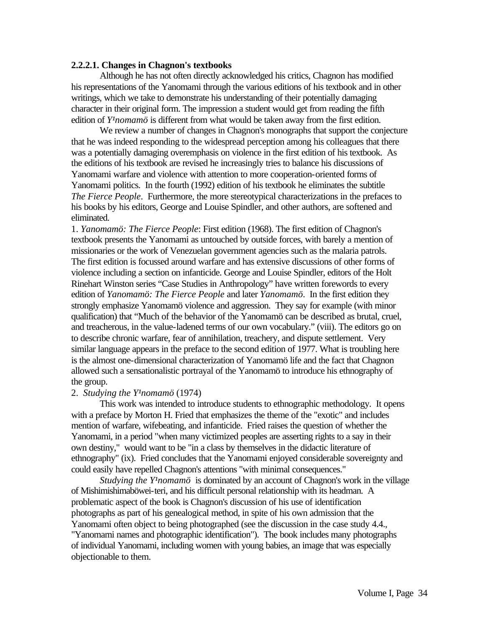## **2.2.2.1. Changes in Chagnon's textbooks**

Although he has not often directly acknowledged his critics, Chagnon has modified his representations of the Yanomami through the various editions of his textbook and in other writings, which we take to demonstrate his understanding of their potentially damaging character in their original form. The impression a student would get from reading the fifth edition of  $Y<sup>1</sup>nomamö$  is different from what would be taken away from the first edition.

We review a number of changes in Chagnon's monographs that support the conjecture that he was indeed responding to the widespread perception among his colleagues that there was a potentially damaging overemphasis on violence in the first edition of his textbook. As the editions of his textbook are revised he increasingly tries to balance his discussions of Yanomami warfare and violence with attention to more cooperation-oriented forms of Yanomami politics. In the fourth (1992) edition of his textbook he eliminates the subtitle *The Fierce People*. Furthermore, the more stereotypical characterizations in the prefaces to his books by his editors, George and Louise Spindler, and other authors, are softened and eliminated.

1. *Yanomamö: The Fierce People*: First edition (1968). The first edition of Chagnon's textbook presents the Yanomami as untouched by outside forces, with barely a mention of missionaries or the work of Venezuelan government agencies such as the malaria patrols. The first edition is focussed around warfare and has extensive discussions of other forms of violence including a section on infanticide. George and Louise Spindler, editors of the Holt Rinehart Winston series "Case Studies in Anthropology" have written forewords to every edition of *Yanomamö: The Fierce People* and later *Yanomamö*. In the first edition they strongly emphasize Yanomamö violence and aggression. They say for example (with minor qualification) that "Much of the behavior of the Yanomamö can be described as brutal, cruel, and treacherous, in the value-ladened terms of our own vocabulary." (viii). The editors go on to describe chronic warfare, fear of annihilation, treachery, and dispute settlement. Very similar language appears in the preface to the second edition of 1977. What is troubling here is the almost one-dimensional characterization of Yanomamö life and the fact that Chagnon allowed such a sensationalistic portrayal of the Yanomamö to introduce his ethnography of the group.

#### 2. *Studying the Y<sup>1</sup>nomamö* (1974)

This work was intended to introduce students to ethnographic methodology. It opens with a preface by Morton H. Fried that emphasizes the theme of the "exotic" and includes mention of warfare, wifebeating, and infanticide. Fried raises the question of whether the Yanomami, in a period "when many victimized peoples are asserting rights to a say in their own destiny," would want to be "in a class by themselves in the didactic literature of ethnography" (ix). Fried concludes that the Yanomami enjoyed considerable sovereignty and could easily have repelled Chagnon's attentions "with minimal consequences."

*Studying the Y<sup>1</sup>nomamö* is dominated by an account of Chagnon's work in the village of Mishimishimaböwei-teri, and his difficult personal relationship with its headman. A problematic aspect of the book is Chagnon's discussion of his use of identification photographs as part of his genealogical method, in spite of his own admission that the Yanomami often object to being photographed (see the discussion in the case study 4.4., "Yanomami names and photographic identification"). The book includes many photographs of individual Yanomami, including women with young babies, an image that was especially objectionable to them.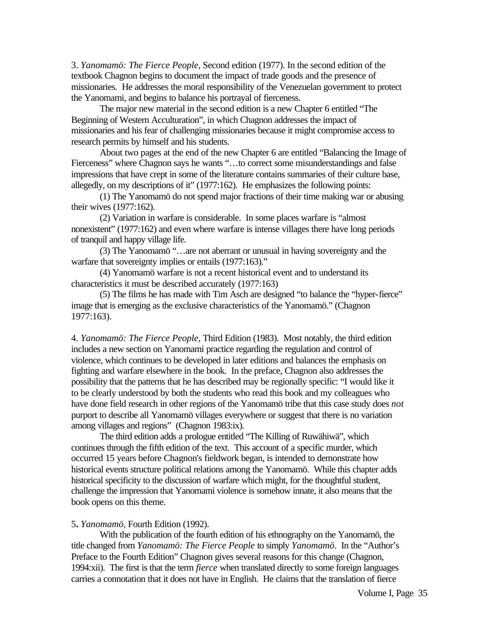3. *Yanomamö: The Fierce People*, Second edition (1977). In the second edition of the textbook Chagnon begins to document the impact of trade goods and the presence of missionaries. He addresses the moral responsibility of the Venezuelan government to protect the Yanomami, and begins to balance his portrayal of fierceness.

The major new material in the second edition is a new Chapter 6 entitled "The Beginning of Western Acculturation", in which Chagnon addresses the impact of missionaries and his fear of challenging missionaries because it might compromise access to research permits by himself and his students.

About two pages at the end of the new Chapter 6 are entitled "Balancing the Image of Fierceness" where Chagnon says he wants "…to correct some misunderstandings and false impressions that have crept in some of the literature contains summaries of their culture base, allegedly, on my descriptions of it" (1977:162). He emphasizes the following points:

(1) The Yanomamö do not spend major fractions of their time making war or abusing their wives (1977:162).

(2) Variation in warfare is considerable. In some places warfare is "almost nonexistent" (1977:162) and even where warfare is intense villages there have long periods of tranquil and happy village life.

(3) The Yanomamö "…are not aberrant or unusual in having sovereignty and the warfare that sovereignty implies or entails (1977:163)."

(4) Yanomamö warfare is not a recent historical event and to understand its characteristics it must be described accurately (1977:163)

(5) The films he has made with Tim Asch are designed "to balance the "hyper-fierce" image that is emerging as the exclusive characteristics of the Yanomamö." (Chagnon 1977:163).

4. *Yanomamö: The Fierce People*, Third Edition (1983). Most notably, the third edition includes a new section on Yanomami practice regarding the regulation and control of violence, which continues to be developed in later editions and balances the emphasis on fighting and warfare elsewhere in the book. In the preface, Chagnon also addresses the possibility that the patterns that he has described may be regionally specific: "I would like it to be clearly understood by both the students who read this book and my colleagues who have done field research in other regions of the Yanomamö tribe that this case study does *not* purport to describe all Yanomamö villages everywhere or suggest that there is no variation among villages and regions" (Chagnon 1983:ix).

The third edition adds a prologue entitled "The Killing of Ruwähiwä", which continues through the fifth edition of the text. This account of a specific murder, which occurred 15 years before Chagnon's fieldwork began, is intended to demonstrate how historical events structure political relations among the Yanomamö. While this chapter adds historical specificity to the discussion of warfare which might, for the thoughtful student, challenge the impression that Yanomami violence is somehow innate, it also means that the book opens on this theme.

#### 5**.** *Yanomamö*, Fourth Edition (1992).

With the publication of the fourth edition of his ethnography on the Yanomamö, the title changed from *Yanomamö: The Fierce People* to simply *Yanomamö*. In the "Author's Preface to the Fourth Edition" Chagnon gives several reasons for this change (Chagnon, 1994:xii). The first is that the term *fierce* when translated directly to some foreign languages carries a connotation that it does not have in English. He claims that the translation of fierce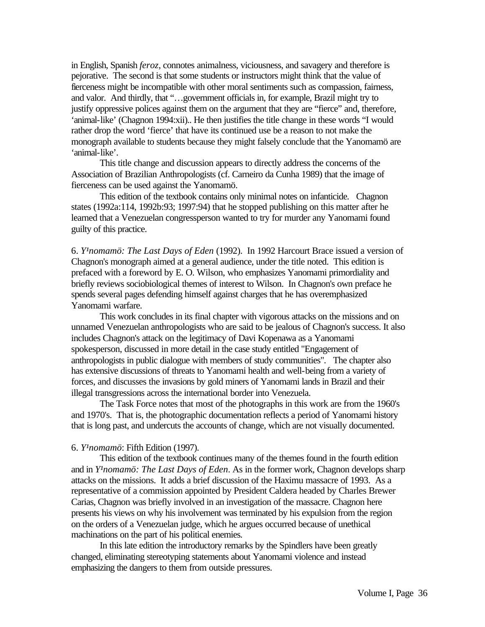in English, Spanish *feroz*, connotes animalness, viciousness, and savagery and therefore is pejorative. The second is that some students or instructors might think that the value of fierceness might be incompatible with other moral sentiments such as compassion, fairness, and valor. And thirdly, that "…government officials in, for example, Brazil might try to justify oppressive polices against them on the argument that they are "fierce" and, therefore, 'animal-like' (Chagnon 1994:xii).. He then justifies the title change in these words "I would rather drop the word 'fierce' that have its continued use be a reason to not make the monograph available to students because they might falsely conclude that the Yanomamö are 'animal-like'.

This title change and discussion appears to directly address the concerns of the Association of Brazilian Anthropologists (cf. Carneiro da Cunha 1989) that the image of fierceness can be used against the Yanomamö.

This edition of the textbook contains only minimal notes on infanticide. Chagnon states (1992a:114, 1992b:93; 1997:94) that he stopped publishing on this matter after he learned that a Venezuelan congressperson wanted to try for murder any Yanomami found guilty of this practice.

6. *Y'nomamö: The Last Days of Eden* (1992). In 1992 Harcourt Brace issued a version of Chagnon's monograph aimed at a general audience, under the title noted. This edition is prefaced with a foreword by E. O. Wilson, who emphasizes Yanomami primordiality and briefly reviews sociobiological themes of interest to Wilson. In Chagnon's own preface he spends several pages defending himself against charges that he has overemphasized Yanomami warfare.

This work concludes in its final chapter with vigorous attacks on the missions and on unnamed Venezuelan anthropologists who are said to be jealous of Chagnon's success. It also includes Chagnon's attack on the legitimacy of Davi Kopenawa as a Yanomami spokesperson, discussed in more detail in the case study entitled "Engagement of anthropologists in public dialogue with members of study communities". The chapter also has extensive discussions of threats to Yanomami health and well-being from a variety of forces, and discusses the invasions by gold miners of Yanomami lands in Brazil and their illegal transgressions across the international border into Venezuela.

The Task Force notes that most of the photographs in this work are from the 1960's and 1970's. That is, the photographic documentation reflects a period of Yanomami history that is long past, and undercuts the accounts of change, which are not visually documented.

#### 6. *Y<sup>1</sup>nomamö*: Fifth Edition (1997).

This edition of the textbook continues many of the themes found in the fourth edition and in *Y<sup>n</sup>nomamö: The Last Days of Eden*. As in the former work, Chagnon develops sharp attacks on the missions. It adds a brief discussion of the Haximu massacre of 1993. As a representative of a commission appointed by President Caldera headed by Charles Brewer Carias, Chagnon was briefly involved in an investigation of the massacre. Chagnon here presents his views on why his involvement was terminated by his expulsion from the region on the orders of a Venezuelan judge, which he argues occurred because of unethical machinations on the part of his political enemies.

In this late edition the introductory remarks by the Spindlers have been greatly changed, eliminating stereotyping statements about Yanomami violence and instead emphasizing the dangers to them from outside pressures.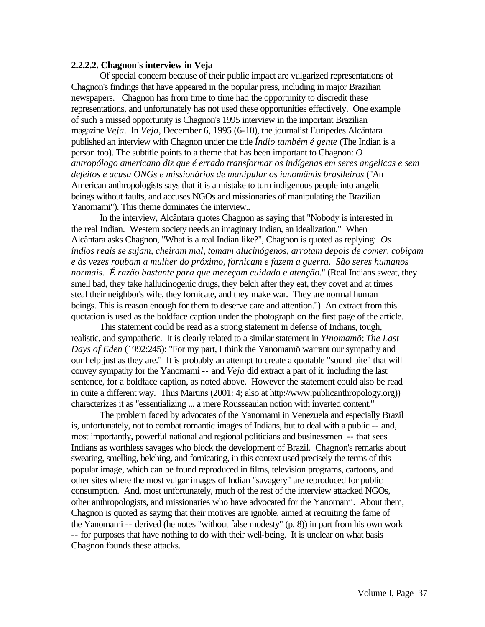#### **2.2.2.2. Chagnon's interview in Veja**

Of special concern because of their public impact are vulgarized representations of Chagnon's findings that have appeared in the popular press, including in major Brazilian newspapers. Chagnon has from time to time had the opportunity to discredit these representations, and unfortunately has not used these opportunities effectively. One example of such a missed opportunity is Chagnon's 1995 interview in the important Brazilian magazine *Veja*. In *Veja*, December 6, 1995 (6-10), the journalist Eurípedes Alcântara published an interview with Chagnon under the title *Índio também é gente* (The Indian is a person too). The subtitle points to a theme that has been important to Chagnon: *O antropólogo americano diz que é errado transformar os indígenas em seres angelicas e sem defeitos e acusa ONGs e missionários de manipular os ianomâmis brasileiros* ("An American anthropologists says that it is a mistake to turn indigenous people into angelic beings without faults, and accuses NGOs and missionaries of manipulating the Brazilian Yanomami"). This theme dominates the interview..

In the interview, Alcântara quotes Chagnon as saying that "Nobody is interested in the real Indian. Western society needs an imaginary Indian, an idealization." When Alcântara asks Chagnon, "What is a real Indian like?", Chagnon is quoted as replying: *Os índios reais se sujam, cheiram mal, tomam alucinógenos, arrotam depois de comer, cobiçam e às vezes roubam a mulher do próximo, fornicam e fazem a guerra. São seres humanos normais. É razão bastante para que mereçam cuidado e atenção*." (Real Indians sweat, they smell bad, they take hallucinogenic drugs, they belch after they eat, they covet and at times steal their neighbor's wife, they fornicate, and they make war. They are normal human beings. This is reason enough for them to deserve care and attention.") An extract from this quotation is used as the boldface caption under the photograph on the first page of the article.

This statement could be read as a strong statement in defense of Indians, tough, realistic, and sympathetic. It is clearly related to a similar statement in *Y<sup>n</sup>nomamö*: *The Last Days of Eden* (1992:245): "For my part, I think the Yanomamö warrant our sympathy and our help just as they are." It is probably an attempt to create a quotable "sound bite" that will convey sympathy for the Yanomami -- and *Veja* did extract a part of it, including the last sentence, for a boldface caption, as noted above. However the statement could also be read in quite a different way. Thus Martins (2001: 4; also at http://www.publicanthropology.org)) characterizes it as "essentializing ... a mere Rousseauian notion with inverted content."

The problem faced by advocates of the Yanomami in Venezuela and especially Brazil is, unfortunately, not to combat romantic images of Indians, but to deal with a public -- and, most importantly, powerful national and regional politicians and businessmen -- that sees Indians as worthless savages who block the development of Brazil. Chagnon's remarks about sweating, smelling, belching, and fornicating, in this context used precisely the terms of this popular image, which can be found reproduced in films, television programs, cartoons, and other sites where the most vulgar images of Indian "savagery" are reproduced for public consumption. And, most unfortunately, much of the rest of the interview attacked NGOs, other anthropologists, and missionaries who have advocated for the Yanomami. About them, Chagnon is quoted as saying that their motives are ignoble, aimed at recruiting the fame of the Yanomami -- derived (he notes "without false modesty" (p. 8)) in part from his own work -- for purposes that have nothing to do with their well-being. It is unclear on what basis Chagnon founds these attacks.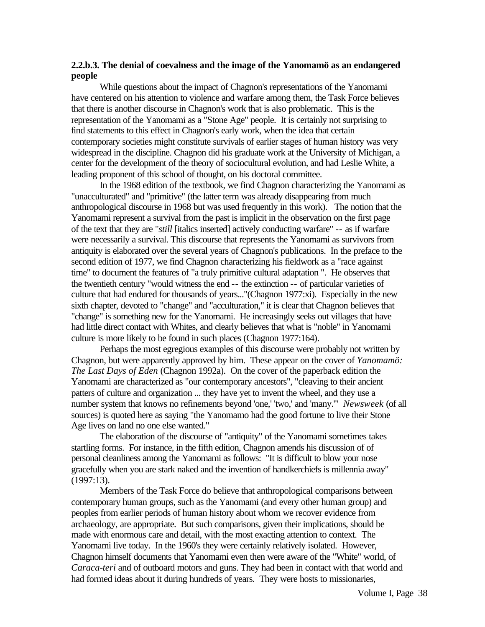## **2.2.b.3. The denial of coevalness and the image of the Yanomamö as an endangered people**

While questions about the impact of Chagnon's representations of the Yanomami have centered on his attention to violence and warfare among them, the Task Force believes that there is another discourse in Chagnon's work that is also problematic. This is the representation of the Yanomami as a "Stone Age" people. It is certainly not surprising to find statements to this effect in Chagnon's early work, when the idea that certain contemporary societies might constitute survivals of earlier stages of human history was very widespread in the discipline. Chagnon did his graduate work at the University of Michigan, a center for the development of the theory of sociocultural evolution, and had Leslie White, a leading proponent of this school of thought, on his doctoral committee.

In the 1968 edition of the textbook, we find Chagnon characterizing the Yanomami as "unacculturated" and "primitive" (the latter term was already disappearing from much anthropological discourse in 1968 but was used frequently in this work). The notion that the Yanomami represent a survival from the past is implicit in the observation on the first page of the text that they are "*still* [italics inserted] actively conducting warfare" -- as if warfare were necessarily a survival. This discourse that represents the Yanomami as survivors from antiquity is elaborated over the several years of Chagnon's publications. In the preface to the second edition of 1977, we find Chagnon characterizing his fieldwork as a "race against time" to document the features of "a truly primitive cultural adaptation ". He observes that the twentieth century "would witness the end -- the extinction -- of particular varieties of culture that had endured for thousands of years..."(Chagnon 1977:xi). Especially in the new sixth chapter, devoted to "change" and "acculturation," it is clear that Chagnon believes that "change" is something new for the Yanomami. He increasingly seeks out villages that have had little direct contact with Whites, and clearly believes that what is "noble" in Yanomami culture is more likely to be found in such places (Chagnon 1977:164).

Perhaps the most egregious examples of this discourse were probably not written by Chagnon, but were apparently approved by him. These appear on the cover of *Yanomamö: The Last Days of Eden* (Chagnon 1992a). On the cover of the paperback edition the Yanomami are characterized as "our contemporary ancestors", "cleaving to their ancient patters of culture and organization ... they have yet to invent the wheel, and they use a number system that knows no refinements beyond 'one,' 'two,' and 'many.'" *Newsweek* (of all sources) is quoted here as saying "the Yanomamo had the good fortune to live their Stone Age lives on land no one else wanted."

The elaboration of the discourse of "antiquity" of the Yanomami sometimes takes startling forms. For instance, in the fifth edition, Chagnon amends his discussion of of personal cleanliness among the Yanomami as follows: "It is difficult to blow your nose gracefully when you are stark naked and the invention of handkerchiefs is millennia away" (1997:13).

Members of the Task Force do believe that anthropological comparisons between contemporary human groups, such as the Yanomami (and every other human group) and peoples from earlier periods of human history about whom we recover evidence from archaeology, are appropriate. But such comparisons, given their implications, should be made with enormous care and detail, with the most exacting attention to context. The Yanomami live today. In the 1960's they were certainly relatively isolated. However, Chagnon himself documents that Yanomami even then were aware of the "White" world, of *Caraca-teri* and of outboard motors and guns. They had been in contact with that world and had formed ideas about it during hundreds of years. They were hosts to missionaries,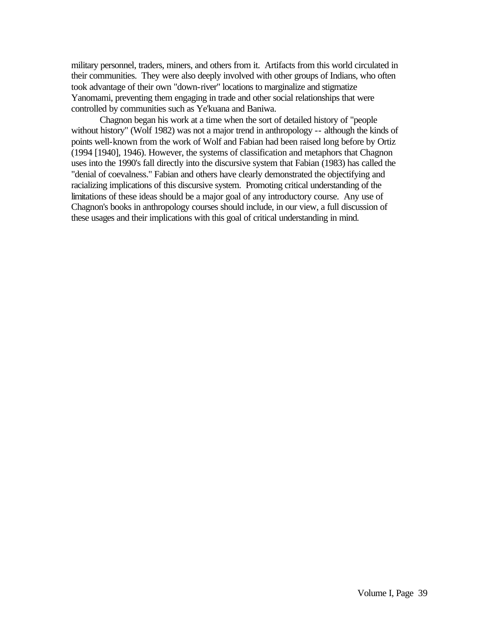military personnel, traders, miners, and others from it. Artifacts from this world circulated in their communities. They were also deeply involved with other groups of Indians, who often took advantage of their own "down-river" locations to marginalize and stigmatize Yanomami, preventing them engaging in trade and other social relationships that were controlled by communities such as Ye'kuana and Baniwa.

Chagnon began his work at a time when the sort of detailed history of "people without history" (Wolf 1982) was not a major trend in anthropology -- although the kinds of points well-known from the work of Wolf and Fabian had been raised long before by Ortiz (1994 [1940], 1946). However, the systems of classification and metaphors that Chagnon uses into the 1990's fall directly into the discursive system that Fabian (1983) has called the "denial of coevalness." Fabian and others have clearly demonstrated the objectifying and racializing implications of this discursive system. Promoting critical understanding of the limitations of these ideas should be a major goal of any introductory course. Any use of Chagnon's books in anthropology courses should include, in our view, a full discussion of these usages and their implications with this goal of critical understanding in mind.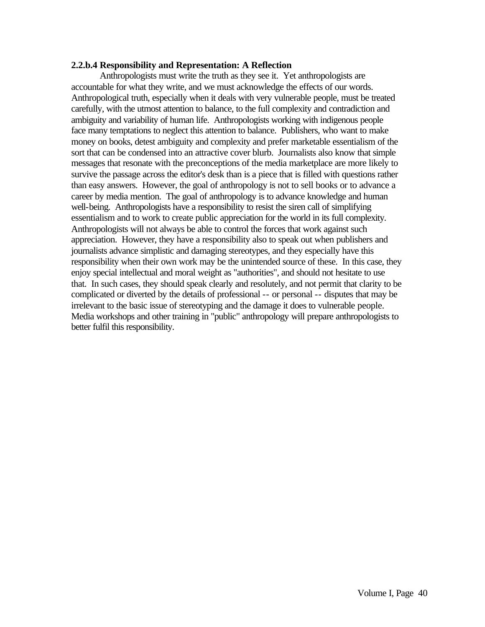#### **2.2.b.4 Responsibility and Representation: A Reflection**

Anthropologists must write the truth as they see it. Yet anthropologists are accountable for what they write, and we must acknowledge the effects of our words. Anthropological truth, especially when it deals with very vulnerable people, must be treated carefully, with the utmost attention to balance, to the full complexity and contradiction and ambiguity and variability of human life. Anthropologists working with indigenous people face many temptations to neglect this attention to balance. Publishers, who want to make money on books, detest ambiguity and complexity and prefer marketable essentialism of the sort that can be condensed into an attractive cover blurb. Journalists also know that simple messages that resonate with the preconceptions of the media marketplace are more likely to survive the passage across the editor's desk than is a piece that is filled with questions rather than easy answers. However, the goal of anthropology is not to sell books or to advance a career by media mention. The goal of anthropology is to advance knowledge and human well-being. Anthropologists have a responsibility to resist the siren call of simplifying essentialism and to work to create public appreciation for the world in its full complexity. Anthropologists will not always be able to control the forces that work against such appreciation. However, they have a responsibility also to speak out when publishers and journalists advance simplistic and damaging stereotypes, and they especially have this responsibility when their own work may be the unintended source of these. In this case, they enjoy special intellectual and moral weight as "authorities", and should not hesitate to use that. In such cases, they should speak clearly and resolutely, and not permit that clarity to be complicated or diverted by the details of professional -- or personal -- disputes that may be irrelevant to the basic issue of stereotyping and the damage it does to vulnerable people. Media workshops and other training in "public" anthropology will prepare anthropologists to better fulfil this responsibility.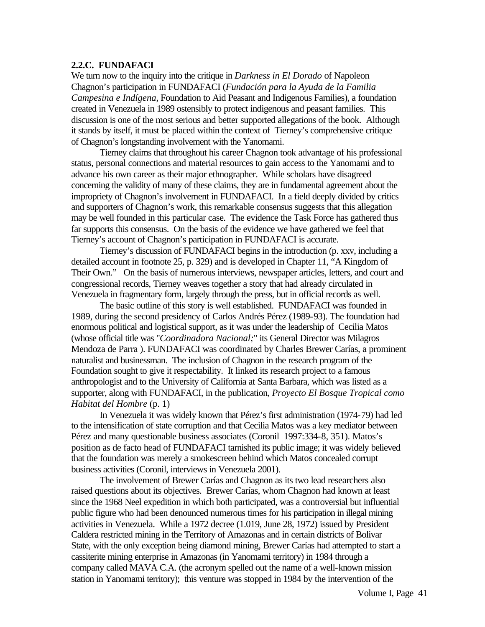#### **2.2.C. FUNDAFACI**

We turn now to the inquiry into the critique in *Darkness in El Dorado* of Napoleon Chagnon's participation in FUNDAFACI (*Fundación para la Ayuda de la Familia Campesina e Indígena*, Foundation to Aid Peasant and Indigenous Families), a foundation created in Venezuela in 1989 ostensibly to protect indigenous and peasant families. This discussion is one of the most serious and better supported allegations of the book. Although it stands by itself, it must be placed within the context of Tierney's comprehensive critique of Chagnon's longstanding involvement with the Yanomami.

Tierney claims that throughout his career Chagnon took advantage of his professional status, personal connections and material resources to gain access to the Yanomami and to advance his own career as their major ethnographer. While scholars have disagreed concerning the validity of many of these claims, they are in fundamental agreement about the impropriety of Chagnon's involvement in FUNDAFACI. In a field deeply divided by critics and supporters of Chagnon's work, this remarkable consensus suggests that this allegation may be well founded in this particular case. The evidence the Task Force has gathered thus far supports this consensus. On the basis of the evidence we have gathered we feel that Tierney's account of Chagnon's participation in FUNDAFACI is accurate.

Tierney's discussion of FUNDAFACI begins in the introduction (p. xxv, including a detailed account in footnote 25, p. 329) and is developed in Chapter 11, "A Kingdom of Their Own." On the basis of numerous interviews, newspaper articles, letters, and court and congressional records, Tierney weaves together a story that had already circulated in Venezuela in fragmentary form, largely through the press, but in official records as well.

The basic outline of this story is well established. FUNDAFACI was founded in 1989, during the second presidency of Carlos Andrés Pérez (1989-93). The foundation had enormous political and logistical support, as it was under the leadership of Cecilia Matos (whose official title was "*Coordinadora Nacional;*" its General Director was Milagros Mendoza de Parra ). FUNDAFACI was coordinated by Charles Brewer Carías, a prominent naturalist and businessman. The inclusion of Chagnon in the research program of the Foundation sought to give it respectability. It linked its research project to a famous anthropologist and to the University of California at Santa Barbara, which was listed as a supporter, along with FUNDAFACI, in the publication, *Proyecto El Bosque Tropical como Habitat del Hombre* (p. 1)

In Venezuela it was widely known that Pérez's first administration (1974-79) had led to the intensification of state corruption and that Cecilia Matos was a key mediator between Pérez and many questionable business associates (Coronil 1997:334-8, 351). Matos's position as de facto head of FUNDAFACI tarnished its public image; it was widely believed that the foundation was merely a smokescreen behind which Matos concealed corrupt business activities (Coronil, interviews in Venezuela 2001).

The involvement of Brewer Carías and Chagnon as its two lead researchers also raised questions about its objectives. Brewer Carías, whom Chagnon had known at least since the 1968 Neel expedition in which both participated, was a controversial but influential public figure who had been denounced numerous times for his participation in illegal mining activities in Venezuela. While a 1972 decree (1.019, June 28, 1972) issued by President Caldera restricted mining in the Territory of Amazonas and in certain districts of Bolivar State, with the only exception being diamond mining, Brewer Carías had attempted to start a cassiterite mining enterprise in Amazonas (in Yanomami territory) in 1984 through a company called MAVA C.A. (the acronym spelled out the name of a well-known mission station in Yanomami territory); this venture was stopped in 1984 by the intervention of the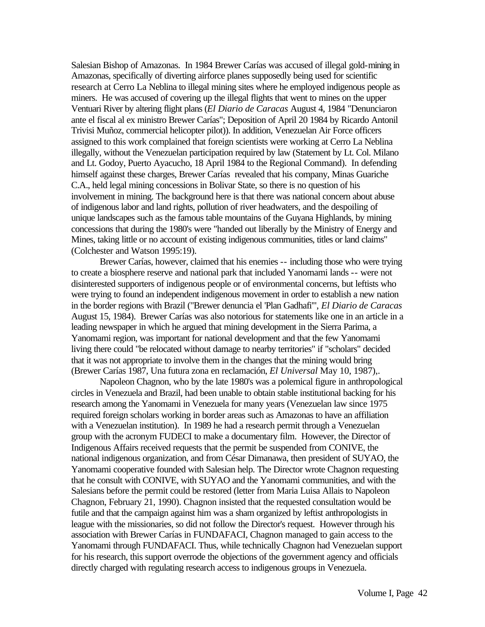Salesian Bishop of Amazonas. In 1984 Brewer Carías was accused of illegal gold-mining in Amazonas, specifically of diverting airforce planes supposedly being used for scientific research at Cerro La Neblina to illegal mining sites where he employed indigenous people as miners. He was accused of covering up the illegal flights that went to mines on the upper Ventuari River by altering flight plans (*El Diario de Caracas* August 4, 1984 "Denunciaron ante el fiscal al ex ministro Brewer Carías"; Deposition of April 20 1984 by Ricardo Antonil Trivisi Muñoz, commercial helicopter pilot)). In addition, Venezuelan Air Force officers assigned to this work complained that foreign scientists were working at Cerro La Neblina illegally, without the Venezuelan participation required by law (Statement by Lt. Col. Milano and Lt. Godoy, Puerto Ayacucho, 18 April 1984 to the Regional Command). In defending himself against these charges, Brewer Carías revealed that his company, Minas Guariche C.A., held legal mining concessions in Bolivar State, so there is no question of his involvement in mining. The background here is that there was national concern about abuse of indigenous labor and land rights, pollution of river headwaters, and the despoiling of unique landscapes such as the famous table mountains of the Guyana Highlands, by mining concessions that during the 1980's were "handed out liberally by the Ministry of Energy and Mines, taking little or no account of existing indigenous communities, titles or land claims" (Colchester and Watson 1995:19).

Brewer Carías, however, claimed that his enemies -- including those who were trying to create a biosphere reserve and national park that included Yanomami lands -- were not disinterested supporters of indigenous people or of environmental concerns, but leftists who were trying to found an independent indigenous movement in order to establish a new nation in the border regions with Brazil ("Brewer denuncia el 'Plan Gadhafi'", *El Diario de Caracas* August 15, 1984). Brewer Carías was also notorious for statements like one in an article in a leading newspaper in which he argued that mining development in the Sierra Parima, a Yanomami region, was important for national development and that the few Yanomami living there could "be relocated without damage to nearby territories" if "scholars" decided that it was not appropriate to involve them in the changes that the mining would bring (Brewer Carías 1987, Una futura zona en reclamación, *El Universal* May 10, 1987),.

Napoleon Chagnon, who by the late 1980's was a polemical figure in anthropological circles in Venezuela and Brazil, had been unable to obtain stable institutional backing for his research among the Yanomami in Venezuela for many years (Venezuelan law since 1975 required foreign scholars working in border areas such as Amazonas to have an affiliation with a Venezuelan institution). In 1989 he had a research permit through a Venezuelan group with the acronym FUDECI to make a documentary film. However, the Director of Indigenous Affairs received requests that the permit be suspended from CONIVE, the national indigenous organization, and from César Dimanawa, then president of SUYAO, the Yanomami cooperative founded with Salesian help. The Director wrote Chagnon requesting that he consult with CONIVE, with SUYAO and the Yanomami communities, and with the Salesians before the permit could be restored (letter from Maria Luisa Allais to Napoleon Chagnon, February 21, 1990). Chagnon insisted that the requested consultation would be futile and that the campaign against him was a sham organized by leftist anthropologists in league with the missionaries, so did not follow the Director's request. However through his association with Brewer Carías in FUNDAFACI, Chagnon managed to gain access to the Yanomami through FUNDAFACI. Thus, while technically Chagnon had Venezuelan support for his research, this support overrode the objections of the government agency and officials directly charged with regulating research access to indigenous groups in Venezuela.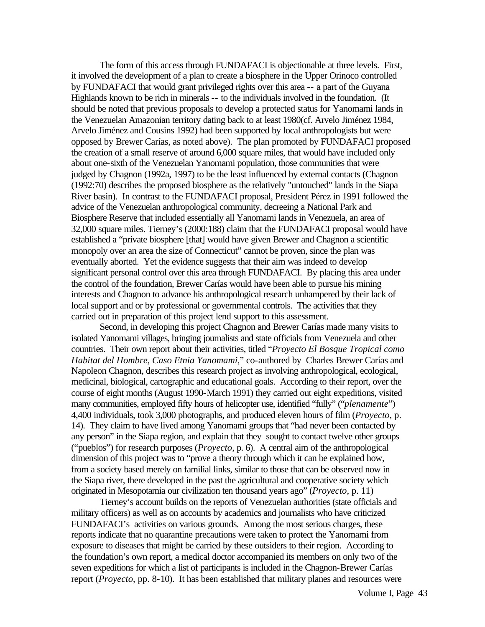The form of this access through FUNDAFACI is objectionable at three levels. First, it involved the development of a plan to create a biosphere in the Upper Orinoco controlled by FUNDAFACI that would grant privileged rights over this area -- a part of the Guyana Highlands known to be rich in minerals -- to the individuals involved in the foundation. (It should be noted that previous proposals to develop a protected status for Yanomami lands in the Venezuelan Amazonian territory dating back to at least 1980(cf. Arvelo Jiménez 1984, Arvelo Jiménez and Cousins 1992) had been supported by local anthropologists but were opposed by Brewer Carías, as noted above). The plan promoted by FUNDAFACI proposed the creation of a small reserve of around 6,000 square miles, that would have included only about one-sixth of the Venezuelan Yanomami population, those communities that were judged by Chagnon (1992a, 1997) to be the least influenced by external contacts (Chagnon (1992:70) describes the proposed biosphere as the relatively "untouched" lands in the Siapa River basin). In contrast to the FUNDAFACI proposal, President Pérez in 1991 followed the advice of the Venezuelan anthropological community, decreeing a National Park and Biosphere Reserve that included essentially all Yanomami lands in Venezuela, an area of 32,000 square miles. Tierney's (2000:188) claim that the FUNDAFACI proposal would have established a "private biosphere [that] would have given Brewer and Chagnon a scientific monopoly over an area the size of Connecticut" cannot be proven, since the plan was eventually aborted. Yet the evidence suggests that their aim was indeed to develop significant personal control over this area through FUNDAFACI. By placing this area under the control of the foundation, Brewer Carías would have been able to pursue his mining interests and Chagnon to advance his anthropological research unhampered by their lack of local support and or by professional or governmental controls. The activities that they carried out in preparation of this project lend support to this assessment.

Second, in developing this project Chagnon and Brewer Carías made many visits to isolated Yanomami villages, bringing journalists and state officials from Venezuela and other countries. Their own report about their activities, titled "*Proyecto El Bosque Tropical como Habitat del Hombre, Caso Etnia Yanomami*," co-authored by Charles Brewer Carías and Napoleon Chagnon, describes this research project as involving anthropological, ecological, medicinal, biological, cartographic and educational goals. According to their report, over the course of eight months (August 1990-March 1991) they carried out eight expeditions, visited many communities, employed fifty hours of helicopter use, identified "fully" ("*plenamente*") 4,400 individuals, took 3,000 photographs, and produced eleven hours of film (*Proyecto*, p. 14). They claim to have lived among Yanomami groups that "had never been contacted by any person" in the Siapa region, and explain that they sought to contact twelve other groups ("pueblos") for research purposes (*Proyecto*, p. 6). A central aim of the anthropological dimension of this project was to "prove a theory through which it can be explained how, from a society based merely on familial links, similar to those that can be observed now in the Siapa river, there developed in the past the agricultural and cooperative society which originated in Mesopotamia our civilization ten thousand years ago" (*Proyecto*, p. 11)

Tierney's account builds on the reports of Venezuelan authorities (state officials and military officers) as well as on accounts by academics and journalists who have criticized FUNDAFACI's activities on various grounds. Among the most serious charges, these reports indicate that no quarantine precautions were taken to protect the Yanomami from exposure to diseases that might be carried by these outsiders to their region. According to the foundation's own report, a medical doctor accompanied its members on only two of the seven expeditions for which a list of participants is included in the Chagnon-Brewer Carías report (*Proyecto*, pp. 8-10). It has been established that military planes and resources were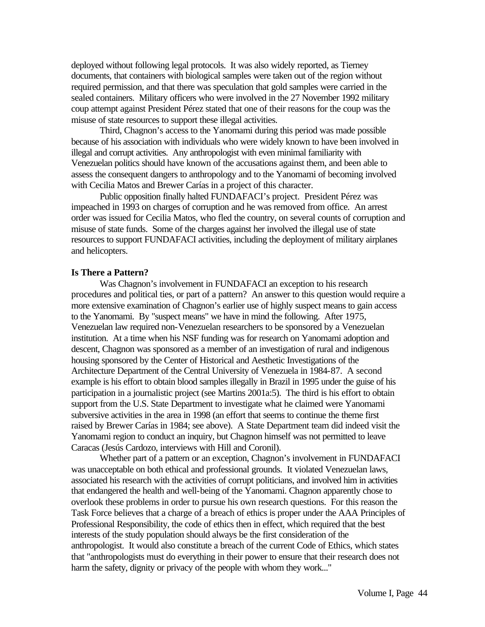deployed without following legal protocols. It was also widely reported, as Tierney documents, that containers with biological samples were taken out of the region without required permission, and that there was speculation that gold samples were carried in the sealed containers. Military officers who were involved in the 27 November 1992 military coup attempt against President Pérez stated that one of their reasons for the coup was the misuse of state resources to support these illegal activities.

Third, Chagnon's access to the Yanomami during this period was made possible because of his association with individuals who were widely known to have been involved in illegal and corrupt activities. Any anthropologist with even minimal familiarity with Venezuelan politics should have known of the accusations against them, and been able to assess the consequent dangers to anthropology and to the Yanomami of becoming involved with Cecilia Matos and Brewer Carías in a project of this character.

Public opposition finally halted FUNDAFACI's project. President Pérez was impeached in 1993 on charges of corruption and he was removed from office. An arrest order was issued for Cecilia Matos, who fled the country, on several counts of corruption and misuse of state funds. Some of the charges against her involved the illegal use of state resources to support FUNDAFACI activities, including the deployment of military airplanes and helicopters.

#### **Is There a Pattern?**

Was Chagnon's involvement in FUNDAFACI an exception to his research procedures and political ties, or part of a pattern? An answer to this question would require a more extensive examination of Chagnon's earlier use of highly suspect means to gain access to the Yanomami. By "suspect means" we have in mind the following. After 1975, Venezuelan law required non-Venezuelan researchers to be sponsored by a Venezuelan institution. At a time when his NSF funding was for research on Yanomami adoption and descent, Chagnon was sponsored as a member of an investigation of rural and indigenous housing sponsored by the Center of Historical and Aesthetic Investigations of the Architecture Department of the Central University of Venezuela in 1984-87. A second example is his effort to obtain blood samples illegally in Brazil in 1995 under the guise of his participation in a journalistic project (see Martins 2001a:5). The third is his effort to obtain support from the U.S. State Department to investigate what he claimed were Yanomami subversive activities in the area in 1998 (an effort that seems to continue the theme first raised by Brewer Carías in 1984; see above). A State Department team did indeed visit the Yanomami region to conduct an inquiry, but Chagnon himself was not permitted to leave Caracas (Jesús Cardozo, interviews with Hill and Coronil).

Whether part of a pattern or an exception, Chagnon's involvement in FUNDAFACI was unacceptable on both ethical and professional grounds. It violated Venezuelan laws, associated his research with the activities of corrupt politicians, and involved him in activities that endangered the health and well-being of the Yanomami. Chagnon apparently chose to overlook these problems in order to pursue his own research questions. For this reason the Task Force believes that a charge of a breach of ethics is proper under the AAA Principles of Professional Responsibility, the code of ethics then in effect, which required that the best interests of the study population should always be the first consideration of the anthropologist. It would also constitute a breach of the current Code of Ethics, which states that "anthropologists must do everything in their power to ensure that their research does not harm the safety, dignity or privacy of the people with whom they work..."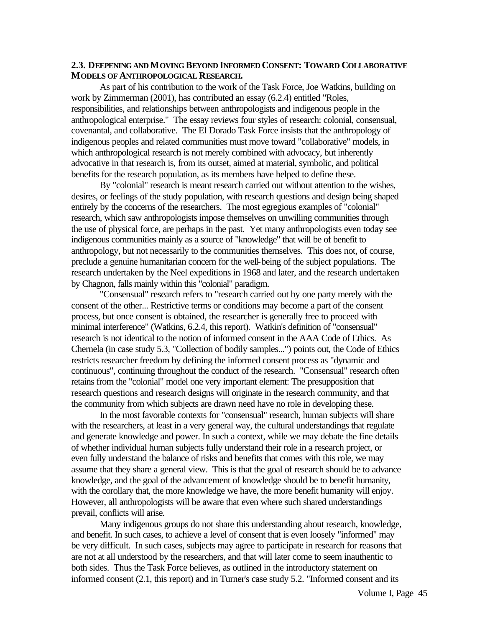### **2.3. DEEPENING AND MOVING BEYOND INFORMED CONSENT: TOWARD COLLABORATIVE MODELS OF ANTHROPOLOGICAL RESEARCH.**

As part of his contribution to the work of the Task Force, Joe Watkins, building on work by Zimmerman (2001), has contributed an essay (6.2.4) entitled "Roles, responsibilities, and relationships between anthropologists and indigenous people in the anthropological enterprise." The essay reviews four styles of research: colonial, consensual, covenantal, and collaborative. The El Dorado Task Force insists that the anthropology of indigenous peoples and related communities must move toward "collaborative" models, in which anthropological research is not merely combined with advocacy, but inherently advocative in that research is, from its outset, aimed at material, symbolic, and political benefits for the research population, as its members have helped to define these.

By "colonial" research is meant research carried out without attention to the wishes, desires, or feelings of the study population, with research questions and design being shaped entirely by the concerns of the researchers. The most egregious examples of "colonial" research, which saw anthropologists impose themselves on unwilling communities through the use of physical force, are perhaps in the past. Yet many anthropologists even today see indigenous communities mainly as a source of "knowledge" that will be of benefit to anthropology, but not necessarily to the communities themselves. This does not, of course, preclude a genuine humanitarian concern for the well-being of the subject populations. The research undertaken by the Neel expeditions in 1968 and later, and the research undertaken by Chagnon, falls mainly within this "colonial" paradigm.

"Consensual" research refers to "research carried out by one party merely with the consent of the other... Restrictive terms or conditions may become a part of the consent process, but once consent is obtained, the researcher is generally free to proceed with minimal interference" (Watkins, 6.2.4, this report). Watkin's definition of "consensual" research is not identical to the notion of informed consent in the AAA Code of Ethics. As Chernela (in case study 5.3, "Collection of bodily samples...") points out, the Code of Ethics restricts researcher freedom by defining the informed consent process as "dynamic and continuous", continuing throughout the conduct of the research. "Consensual" research often retains from the "colonial" model one very important element: The presupposition that research questions and research designs will originate in the research community, and that the community from which subjects are drawn need have no role in developing these.

In the most favorable contexts for "consensual" research, human subjects will share with the researchers, at least in a very general way, the cultural understandings that regulate and generate knowledge and power. In such a context, while we may debate the fine details of whether individual human subjects fully understand their role in a research project, or even fully understand the balance of risks and benefits that comes with this role, we may assume that they share a general view. This is that the goal of research should be to advance knowledge, and the goal of the advancement of knowledge should be to benefit humanity, with the corollary that, the more knowledge we have, the more benefit humanity will enjoy. However, all anthropologists will be aware that even where such shared understandings prevail, conflicts will arise.

Many indigenous groups do not share this understanding about research, knowledge, and benefit. In such cases, to achieve a level of consent that is even loosely "informed" may be very difficult. In such cases, subjects may agree to participate in research for reasons that are not at all understood by the researchers, and that will later come to seem inauthentic to both sides. Thus the Task Force believes, as outlined in the introductory statement on informed consent (2.1, this report) and in Turner's case study 5.2. "Informed consent and its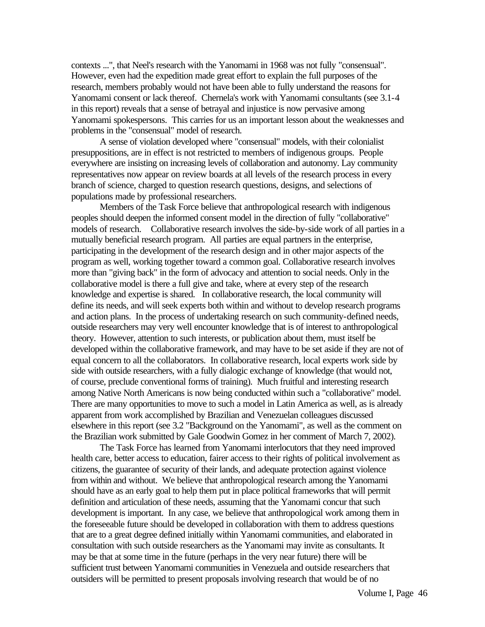contexts ...", that Neel's research with the Yanomami in 1968 was not fully "consensual". However, even had the expedition made great effort to explain the full purposes of the research, members probably would not have been able to fully understand the reasons for Yanomami consent or lack thereof. Chernela's work with Yanomami consultants (see 3.1-4 in this report) reveals that a sense of betrayal and injustice is now pervasive among Yanomami spokespersons. This carries for us an important lesson about the weaknesses and problems in the "consensual" model of research.

A sense of violation developed where "consensual" models, with their colonialist presuppositions, are in effect is not restricted to members of indigenous groups. People everywhere are insisting on increasing levels of collaboration and autonomy. Lay community representatives now appear on review boards at all levels of the research process in every branch of science, charged to question research questions, designs, and selections of populations made by professional researchers.

Members of the Task Force believe that anthropological research with indigenous peoples should deepen the informed consent model in the direction of fully "collaborative" models of research. Collaborative research involves the side-by-side work of all parties in a mutually beneficial research program. All parties are equal partners in the enterprise, participating in the development of the research design and in other major aspects of the program as well, working together toward a common goal. Collaborative research involves more than "giving back" in the form of advocacy and attention to social needs. Only in the collaborative model is there a full give and take, where at every step of the research knowledge and expertise is shared. In collaborative research, the local community will define its needs, and will seek experts both within and without to develop research programs and action plans. In the process of undertaking research on such community-defined needs, outside researchers may very well encounter knowledge that is of interest to anthropological theory. However, attention to such interests, or publication about them, must itself be developed within the collaborative framework, and may have to be set aside if they are not of equal concern to all the collaborators. In collaborative research, local experts work side by side with outside researchers, with a fully dialogic exchange of knowledge (that would not, of course, preclude conventional forms of training). Much fruitful and interesting research among Native North Americans is now being conducted within such a "collaborative" model. There are many opportunities to move to such a model in Latin America as well, as is already apparent from work accomplished by Brazilian and Venezuelan colleagues discussed elsewhere in this report (see 3.2 "Background on the Yanomami", as well as the comment on the Brazilian work submitted by Gale Goodwin Gomez in her comment of March 7, 2002).

The Task Force has learned from Yanomami interlocutors that they need improved health care, better access to education, fairer access to their rights of political involvement as citizens, the guarantee of security of their lands, and adequate protection against violence from within and without. We believe that anthropological research among the Yanomami should have as an early goal to help them put in place political frameworks that will permit definition and articulation of these needs, assuming that the Yanomami concur that such development is important. In any case, we believe that anthropological work among them in the foreseeable future should be developed in collaboration with them to address questions that are to a great degree defined initially within Yanomami communities, and elaborated in consultation with such outside researchers as the Yanomami may invite as consultants. It may be that at some time in the future (perhaps in the very near future) there will be sufficient trust between Yanomami communities in Venezuela and outside researchers that outsiders will be permitted to present proposals involving research that would be of no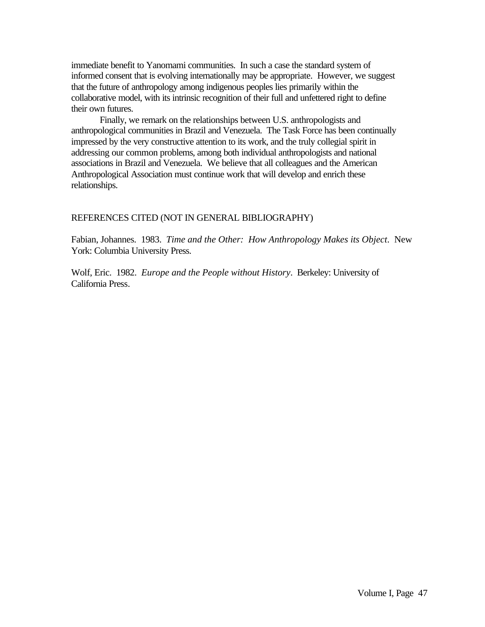immediate benefit to Yanomami communities. In such a case the standard system of informed consent that is evolving internationally may be appropriate. However, we suggest that the future of anthropology among indigenous peoples lies primarily within the collaborative model, with its intrinsic recognition of their full and unfettered right to define their own futures.

Finally, we remark on the relationships between U.S. anthropologists and anthropological communities in Brazil and Venezuela. The Task Force has been continually impressed by the very constructive attention to its work, and the truly collegial spirit in addressing our common problems, among both individual anthropologists and national associations in Brazil and Venezuela. We believe that all colleagues and the American Anthropological Association must continue work that will develop and enrich these relationships.

#### REFERENCES CITED (NOT IN GENERAL BIBLIOGRAPHY)

Fabian, Johannes. 1983. *Time and the Other: How Anthropology Makes its Object*. New York: Columbia University Press.

Wolf, Eric. 1982. *Europe and the People without History*. Berkeley: University of California Press.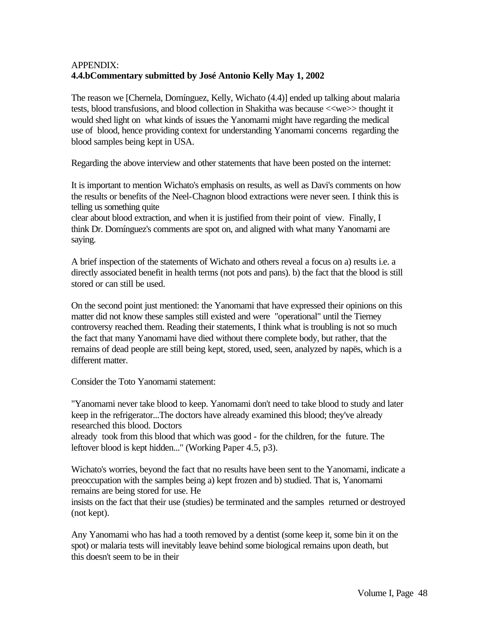# APPENDIX: **4.4.bCommentary submitted by José Antonio Kelly May 1, 2002**

The reason we [Chernela, Domínguez, Kelly, Wichato (4.4)] ended up talking about malaria tests, blood transfusions, and blood collection in Shakitha was because <<we>> thought it would shed light on what kinds of issues the Yanomami might have regarding the medical use of blood, hence providing context for understanding Yanomami concerns regarding the blood samples being kept in USA.

Regarding the above interview and other statements that have been posted on the internet:

It is important to mention Wichato's emphasis on results, as well as Davi's comments on how the results or benefits of the Neel-Chagnon blood extractions were never seen. I think this is telling us something quite

clear about blood extraction, and when it is justified from their point of view. Finally, I think Dr. Domínguez's comments are spot on, and aligned with what many Yanomami are saying.

A brief inspection of the statements of Wichato and others reveal a focus on a) results i.e. a directly associated benefit in health terms (not pots and pans). b) the fact that the blood is still stored or can still be used.

On the second point just mentioned: the Yanomami that have expressed their opinions on this matter did not know these samples still existed and were "operational" until the Tierney controversy reached them. Reading their statements, I think what is troubling is not so much the fact that many Yanomami have died without there complete body, but rather, that the remains of dead people are still being kept, stored, used, seen, analyzed by napës, which is a different matter.

Consider the Toto Yanomami statement:

"Yanomami never take blood to keep. Yanomami don't need to take blood to study and later keep in the refrigerator...The doctors have already examined this blood; they've already researched this blood. Doctors

already took from this blood that which was good - for the children, for the future. The leftover blood is kept hidden..." (Working Paper 4.5, p3).

Wichato's worries, beyond the fact that no results have been sent to the Yanomami, indicate a preoccupation with the samples being a) kept frozen and b) studied. That is, Yanomami remains are being stored for use. He

insists on the fact that their use (studies) be terminated and the samples returned or destroyed (not kept).

Any Yanomami who has had a tooth removed by a dentist (some keep it, some bin it on the spot) or malaria tests will inevitably leave behind some biological remains upon death, but this doesn't seem to be in their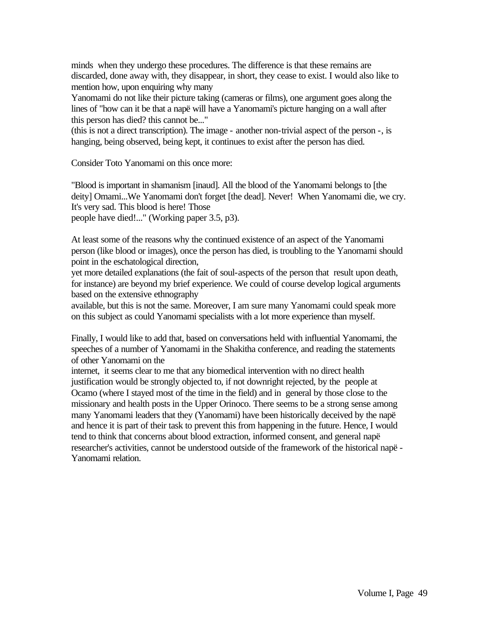minds when they undergo these procedures. The difference is that these remains are discarded, done away with, they disappear, in short, they cease to exist. I would also like to mention how, upon enquiring why many

Yanomami do not like their picture taking (cameras or films), one argument goes along the lines of "how can it be that a napë will have a Yanomami's picture hanging on a wall after this person has died? this cannot be..."

(this is not a direct transcription). The image - another non-trivial aspect of the person -, is hanging, being observed, being kept, it continues to exist after the person has died.

Consider Toto Yanomami on this once more:

"Blood is important in shamanism [inaud]. All the blood of the Yanomami belongs to [the deity] Omami...We Yanomami don't forget [the dead]. Never! When Yanomami die, we cry. It's very sad. This blood is here! Those people have died!..." (Working paper 3.5, p3).

At least some of the reasons why the continued existence of an aspect of the Yanomami person (like blood or images), once the person has died, is troubling to the Yanomami should point in the eschatological direction,

yet more detailed explanations (the fait of soul-aspects of the person that result upon death, for instance) are beyond my brief experience. We could of course develop logical arguments based on the extensive ethnography

available, but this is not the same. Moreover, I am sure many Yanomami could speak more on this subject as could Yanomami specialists with a lot more experience than myself.

Finally, I would like to add that, based on conversations held with influential Yanomami, the speeches of a number of Yanomami in the Shakitha conference, and reading the statements of other Yanomami on the

internet, it seems clear to me that any biomedical intervention with no direct health justification would be strongly objected to, if not downright rejected, by the people at Ocamo (where I stayed most of the time in the field) and in general by those close to the missionary and health posts in the Upper Orinoco. There seems to be a strong sense among many Yanomami leaders that they (Yanomami) have been historically deceived by the napë and hence it is part of their task to prevent this from happening in the future. Hence, I would tend to think that concerns about blood extraction, informed consent, and general napë researcher's activities, cannot be understood outside of the framework of the historical napë - Yanomami relation.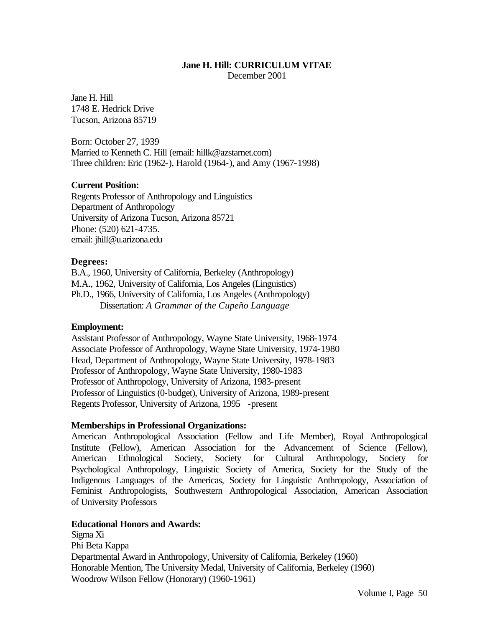## **Jane H. Hill: CURRICULUM VITAE** December 2001

Jane H. Hill 1748 E. Hedrick Drive Tucson, Arizona 85719

Born: October 27, 1939 Married to Kenneth C. Hill (email: hillk@azstarnet.com) Three children: Eric (1962-), Harold (1964-), and Amy (1967-1998)

## **Current Position:**

Regents Professor of Anthropology and Linguistics Department of Anthropology University of Arizona Tucson, Arizona 85721 Phone: (520) 621-4735. email: jhill@u.arizona.edu

#### **Degrees:**

B.A., 1960, University of California, Berkeley (Anthropology) M.A., 1962, University of California, Los Angeles (Linguistics) Ph.D., 1966, University of California, Los Angeles (Anthropology) Dissertation: *A Grammar of the Cupeño Language*

#### **Employment:**

Assistant Professor of Anthropology, Wayne State University, 1968-1974 Associate Professor of Anthropology, Wayne State University, 1974-1980 Head, Department of Anthropology, Wayne State University, 1978-1983 Professor of Anthropology, Wayne State University, 1980-1983 Professor of Anthropology, University of Arizona, 1983-present Professor of Linguistics (0-budget), University of Arizona, 1989-present Regents Professor, University of Arizona, 1995 -present

#### **Memberships in Professional Organizations:**

American Anthropological Association (Fellow and Life Member), Royal Anthropological Institute (Fellow), American Association for the Advancement of Science (Fellow), American Ethnological Society, Society for Cultural Anthropology, Society for Psychological Anthropology, Linguistic Society of America, Society for the Study of the Indigenous Languages of the Americas, Society for Linguistic Anthropology, Association of Feminist Anthropologists, Southwestern Anthropological Association, American Association of University Professors

#### **Educational Honors and Awards:**

Sigma Xi Phi Beta Kappa Departmental Award in Anthropology, University of California, Berkeley (1960) Honorable Mention, The University Medal, University of California, Berkeley (1960) Woodrow Wilson Fellow (Honorary) (1960-1961)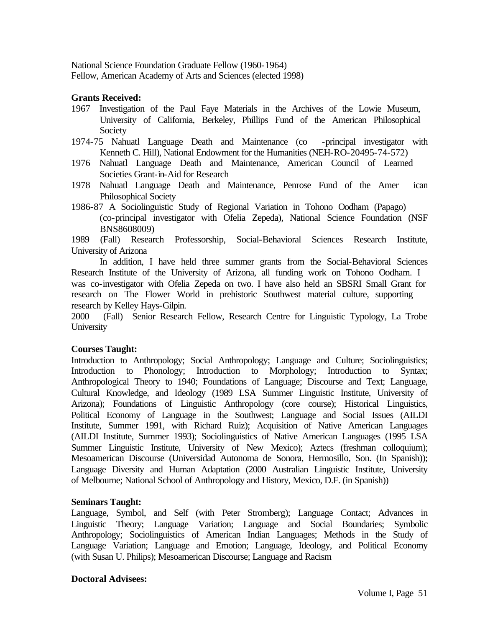National Science Foundation Graduate Fellow (1960-1964) Fellow, American Academy of Arts and Sciences (elected 1998)

## **Grants Received:**

- 1967 Investigation of the Paul Faye Materials in the Archives of the Lowie Museum, University of California, Berkeley, Phillips Fund of the American Philosophical Society
- 1974-75 Nahuatl Language Death and Maintenance (co -principal investigator with Kenneth C. Hill), National Endowment for the Humanities (NEH-RO-20495-74-572)
- 1976 Nahuatl Language Death and Maintenance, American Council of Learned Societies Grant-in-Aid for Research
- 1978 Nahuatl Language Death and Maintenance, Penrose Fund of the Amer ican Philosophical Society
- 1986-87 A Sociolinguistic Study of Regional Variation in Tohono Oodham (Papago) (co-principal investigator with Ofelia Zepeda), National Science Foundation (NSF BNS8608009)

1989 (Fall) Research Professorship, Social-Behavioral Sciences Research Institute, University of Arizona

In addition, I have held three summer grants from the Social-Behavioral Sciences Research Institute of the University of Arizona, all funding work on Tohono Oodham. I was co-investigator with Ofelia Zepeda on two. I have also held an SBSRI Small Grant for research on The Flower World in prehistoric Southwest material culture, supporting research by Kelley Hays-Gilpin.

2000 (Fall) Senior Research Fellow, Research Centre for Linguistic Typology, La Trobe **University** 

## **Courses Taught:**

Introduction to Anthropology; Social Anthropology; Language and Culture; Sociolinguistics; Introduction to Phonology; Introduction to Morphology; Introduction to Syntax; Anthropological Theory to 1940; Foundations of Language; Discourse and Text; Language, Cultural Knowledge, and Ideology (1989 LSA Summer Linguistic Institute, University of Arizona); Foundations of Linguistic Anthropology (core course); Historical Linguistics, Political Economy of Language in the Southwest; Language and Social Issues (AILDI Institute, Summer 1991, with Richard Ruiz); Acquisition of Native American Languages (AILDI Institute, Summer 1993); Sociolinguistics of Native American Languages (1995 LSA Summer Linguistic Institute, University of New Mexico); Aztecs (freshman colloquium); Mesoamerican Discourse (Universidad Autonoma de Sonora, Hermosillo, Son. (In Spanish)); Language Diversity and Human Adaptation (2000 Australian Linguistic Institute, University of Melbourne; National School of Anthropology and History, Mexico, D.F. (in Spanish))

## **Seminars Taught:**

Language, Symbol, and Self (with Peter Stromberg); Language Contact; Advances in Linguistic Theory; Language Variation; Language and Social Boundaries; Symbolic Anthropology; Sociolinguistics of American Indian Languages; Methods in the Study of Language Variation; Language and Emotion; Language, Ideology, and Political Economy (with Susan U. Philips); Mesoamerican Discourse; Language and Racism

## **Doctoral Advisees:**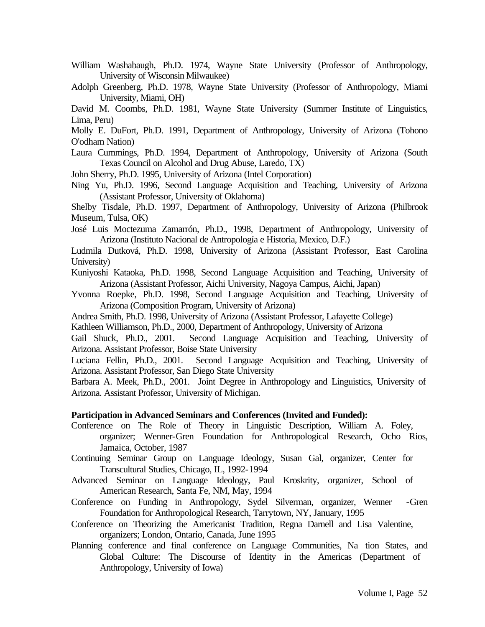- William Washabaugh, Ph.D. 1974, Wayne State University (Professor of Anthropology, University of Wisconsin Milwaukee)
- Adolph Greenberg, Ph.D. 1978, Wayne State University (Professor of Anthropology, Miami University, Miami, OH)

David M. Coombs, Ph.D. 1981, Wayne State University (Summer Institute of Linguistics, Lima, Peru)

Molly E. DuFort, Ph.D. 1991, Department of Anthropology, University of Arizona (Tohono O'odham Nation)

Laura Cummings, Ph.D. 1994, Department of Anthropology, University of Arizona (South Texas Council on Alcohol and Drug Abuse, Laredo, TX)

John Sherry, Ph.D. 1995, University of Arizona (Intel Corporation)

Ning Yu, Ph.D. 1996, Second Language Acquisition and Teaching, University of Arizona (Assistant Professor, University of Oklahoma)

Shelby Tisdale, Ph.D. 1997, Department of Anthropology, University of Arizona (Philbrook Museum, Tulsa, OK)

José Luis Moctezuma Zamarrón, Ph.D., 1998, Department of Anthropology, University of Arizona (Instituto Nacional de Antropología e Historia, Mexico, D.F.)

Ludmila Dutková, Ph.D. 1998, University of Arizona (Assistant Professor, East Carolina University)

- Kuniyoshi Kataoka, Ph.D. 1998, Second Language Acquisition and Teaching, University of Arizona (Assistant Professor, Aichi University, Nagoya Campus, Aichi, Japan)
- Yvonna Roepke, Ph.D. 1998, Second Language Acquisition and Teaching, University of Arizona (Composition Program, University of Arizona)

Andrea Smith, Ph.D. 1998, University of Arizona (Assistant Professor, Lafayette College)

Kathleen Williamson, Ph.D., 2000, Department of Anthropology, University of Arizona

Gail Shuck, Ph.D., 2001. Second Language Acquisition and Teaching, University of Arizona. Assistant Professor, Boise State University

Luciana Fellin, Ph.D., 2001. Second Language Acquisition and Teaching, University of Arizona. Assistant Professor, San Diego State University

Barbara A. Meek, Ph.D., 2001. Joint Degree in Anthropology and Linguistics, University of Arizona. Assistant Professor, University of Michigan.

## **Participation in Advanced Seminars and Conferences (Invited and Funded):**

- Conference on The Role of Theory in Linguistic Description, William A. Foley, organizer; Wenner-Gren Foundation for Anthropological Research, Ocho Rios, Jamaica, October, 1987
- Continuing Seminar Group on Language Ideology, Susan Gal, organizer, Center for Transcultural Studies, Chicago, IL, 1992-1994
- Advanced Seminar on Language Ideology, Paul Kroskrity, organizer, School of American Research, Santa Fe, NM, May, 1994
- Conference on Funding in Anthropology, Sydel Silverman, organizer, Wenner -Gren Foundation for Anthropological Research, Tarrytown, NY, January, 1995
- Conference on Theorizing the Americanist Tradition, Regna Darnell and Lisa Valentine, organizers; London, Ontario, Canada, June 1995
- Planning conference and final conference on Language Communities, Na tion States, and Global Culture: The Discourse of Identity in the Americas (Department of Anthropology, University of Iowa)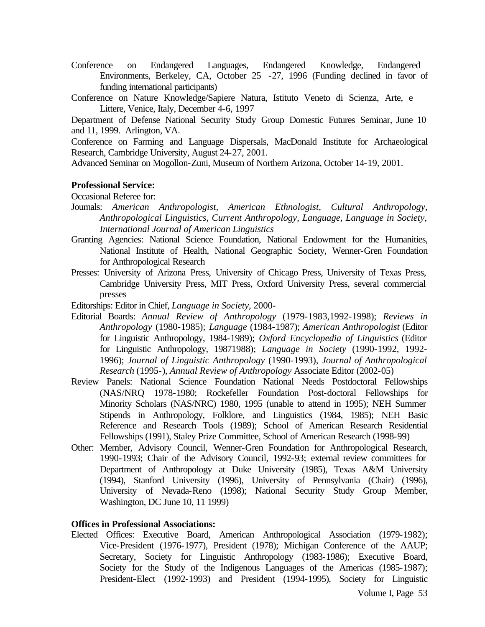- Conference on Endangered Languages, Endangered Knowledge, Endangered Environments, Berkeley, CA, October 25 -27, 1996 (Funding declined in favor of funding international participants)
- Conference on Nature Knowledge/Sapiere Natura, Istituto Veneto di Scienza, Arte, e Littere, Venice, Italy, December 4-6, 1997

Department of Defense National Security Study Group Domestic Futures Seminar, June 10 and 11, 1999. Arlington, VA.

Conference on Farming and Language Dispersals, MacDonald Institute for Archaeological Research, Cambridge University, August 24-27, 2001.

Advanced Seminar on Mogollon-Zuni, Museum of Northern Arizona, October 14-19, 2001.

#### **Professional Service:**

Occasional Referee for:

- Journals: *American Anthropologist, American Ethnologist, Cultural Anthropology, Anthropological Linguistics, Current Anthropology, Language, Language in Society, International Journal of American Linguistics*
- Granting Agencies: National Science Foundation, National Endowment for the Humanities, National Institute of Health, National Geographic Society, Wenner-Gren Foundation for Anthropological Research
- Presses: University of Arizona Press, University of Chicago Press, University of Texas Press, Cambridge University Press, MIT Press, Oxford University Press, several commercial presses

Editorships: Editor in Chief, *Language in Society*, 2000-

- Editorial Boards: *Annual Review of Anthropology* (1979-1983,1992-1998); *Reviews in Anthropology* (1980-1985); *Language* (1984-1987); *American Anthropologist* (Editor for Linguistic Anthropology, 1984-1989); *Oxford Encyclopedia of Linguistics* (Editor for Linguistic Anthropology, 19871988); *Language in Society* (1990-1992, 1992- 1996); *Journal of Linguistic Anthropology* (1990-1993), *Journal of Anthropological Research* (1995-), *Annual Review of Anthropology* Associate Editor (2002-05)
- Review Panels: National Science Foundation National Needs Postdoctoral Fellowships (NAS/NRQ 1978-1980; Rockefeller Foundation Post-doctoral Fellowships for Minority Scholars (NAS/NRC) 1980, 1995 (unable to attend in 1995); NEH Summer Stipends in Anthropology, Folklore, and Linguistics (1984, 1985); NEH Basic Reference and Research Tools (1989); School of American Research Residential Fellowships (1991), Staley Prize Committee, School of American Research (1998-99)
- Other: Member, Advisory Council, Wenner-Gren Foundation for Anthropological Research, 1990-1993; Chair of the Advisory Council, 1992-93; external review committees for Department of Anthropology at Duke University (1985), Texas A&M University (1994), Stanford University (1996), University of Pennsylvania (Chair) (1996), University of Nevada-Reno (1998); National Security Study Group Member, Washington, DC June 10, 11 1999)

# **Offices in Professional Associations:**

Elected Offices: Executive Board, American Anthropological Association (1979-1982); Vice-President (1976-1977), President (1978); Michigan Conference of the AAUP; Secretary, Society for Linguistic Anthropology (1983-1986); Executive Board, Society for the Study of the Indigenous Languages of the Americas (1985-1987); President-Elect (1992-1993) and President (1994-1995), Society for Linguistic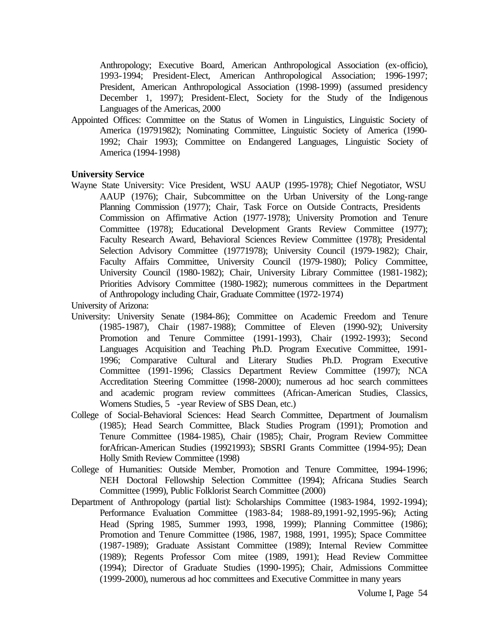Anthropology; Executive Board, American Anthropological Association (ex-officio), 1993-1994; President-Elect, American Anthropological Association; 1996-1997; President, American Anthropological Association (1998-1999) (assumed presidency December 1, 1997); President-Elect, Society for the Study of the Indigenous Languages of the Americas, 2000

Appointed Offices: Committee on the Status of Women in Linguistics, Linguistic Society of America (19791982); Nominating Committee, Linguistic Society of America (1990- 1992; Chair 1993); Committee on Endangered Languages, Linguistic Society of America (1994-1998)

#### **University Service**

Wayne State University: Vice President, WSU AAUP (1995-1978); Chief Negotiator, WSU AAUP (1976); Chair, Subcommittee on the Urban University of the Long-range Planning Commission (1977); Chair, Task Force on Outside Contracts, President s Commission on Affirmative Action (1977-1978); University Promotion and Tenure Committee (1978); Educational Development Grants Review Committee (1977); Faculty Research Award, Behavioral Sciences Review Committee (1978); Presidental Selection Advisory Committee (19771978); University Council (1979-1982); Chair, Faculty Affairs Committee, University Council (1979-1980); Policy Committee, University Council (1980-1982); Chair, University Library Committee (1981-1982); Priorities Advisory Committee (1980-1982); numerous committees in the Department of Anthropology including Chair, Graduate Committee (1972-1974)

University of Arizona:

- University: University Senate (1984-86); Committee on Academic Freedom and Tenure (1985-1987), Chair (1987-1988); Committee of Eleven (1990-92); University Promotion and Tenure Committee (1991-1993), Chair (1992-1993); Second Languages Acquisition and Teaching Ph.D. Program Executive Committee, 1991- 1996; Comparative Cultural and Literary Studies Ph.D. Program Executive Committee (1991-1996; Classics Department Review Committee (1997); NCA Accreditation Steering Committee (1998-2000); numerous ad hoc search committees and academic program review committees (African-American Studies, Classics, Women s Studies, 5 -year Review of SBS Dean, etc.)
- College of Social-Behavioral Sciences: Head Search Committee, Department of Journalism (1985); Head Search Committee, Black Studies Program (1991); Promotion and Tenure Committee (1984-1985), Chair (1985); Chair, Program Review Committee forAfrican-American Studies (19921993); SBSRI Grants Committee (1994-95); Dean Holly Smith Review Committee (1998)
- College of Humanities: Outside Member, Promotion and Tenure Committee, 1994-1996; NEH Doctoral Fellowship Selection Committee (1994); Africana Studies Search Committee (1999), Public Folklorist Search Committee (2000)
- Department of Anthropology (partial list): Scholarships Committee (1983-1984, 1992-1994); Performance Evaluation Committee (1983-84; 1988-89,1991-92,1995-96); Acting Head (Spring 1985, Summer 1993, 1998, 1999); Planning Committee (1986); Promotion and Tenure Committee (1986, 1987, 1988, 1991, 1995); Space Committee (1987-1989); Graduate Assistant Committee (1989); Internal Review Committee (1989); Regents Professor Com mitee (1989, 1991); Head Review Committee (1994); Director of Graduate Studies (1990-1995); Chair, Admissions Committee (1999-2000), numerous ad hoc committees and Executive Committee in many years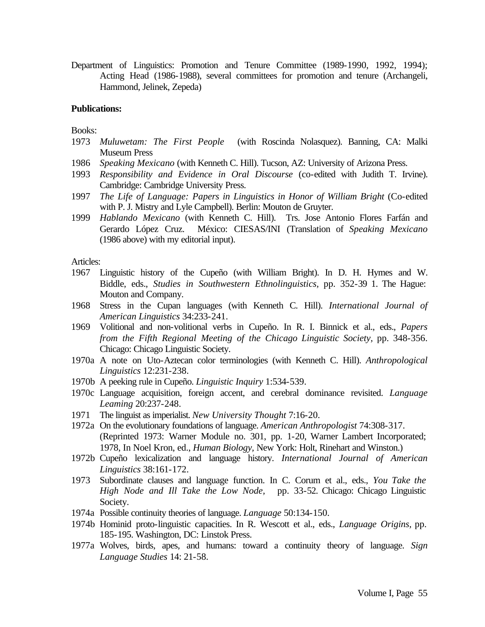Department of Linguistics: Promotion and Tenure Committee (1989-1990, 1992, 1994); Acting Head (1986-1988), several committees for promotion and tenure (Archangeli, Hammond, Jelinek, Zepeda)

#### **Publications:**

Books:

- 1973 *Muluwetam: The First People* (with Roscinda Nolasquez). Banning, CA: Malki Museum Press
- 1986 *Speaking Mexicano* (with Kenneth C. Hill). Tucson, AZ: University of Arizona Press.
- 1993 *Responsibility and Evidence in Oral Discourse* (co-edited with Judith T. Irvine). Cambridge: Cambridge University Press.
- 1997 *The Life of Language: Papers in Linguistics in Honor of William Bright* (Co-edited with P. J. Mistry and Lyle Campbell). Berlin: Mouton de Gruyter.
- 1999 *Hablando Mexicano* (with Kenneth C. Hill). Trs. Jose Antonio Flores Farfán and Gerardo López Cruz. México: CIESAS/INI (Translation of *Speaking Mexicano* (1986 above) with my editorial input).

Articles:

- 1967 Linguistic history of the Cupeño (with William Bright). In D. H. Hymes and W. Biddle, eds., *Studies in Southwestern Ethnolinguistics,* pp. 352-39 1. The Hague: Mouton and Company.
- 1968 Stress in the Cupan languages (with Kenneth C. Hill). *International Journal of American Linguistics* 34:233-241.
- 1969 Volitional and non-volitional verbs in Cupeño. In R. I. Binnick et al., eds., *Papers from the Fifth Regional Meeting of the Chicago Linguistic Society,* pp. 348-356. Chicago: Chicago Linguistic Society.
- 1970a A note on Uto-Aztecan color terminologies (with Kenneth C. Hill). *Anthropological Linguistics* 12:231-238.
- 1970b A peeking rule in Cupeño. *Linguistic Inquiry* 1:534-539.
- 1970c Language acquisition, foreign accent, and cerebral dominance revisited. *Language Leaming* 20:237-248.
- 1971 The linguist as imperialist. *New University Thought* 7:16-20.
- 1972a On the evolutionary foundations of language. *American Anthropologist* 74:308-317. (Reprinted 1973: Warner Module no. 301, pp. 1-20, Warner Lambert Incorporated; 1978, In Noel Kron, ed., *Human Biology,* New York: Holt, Rinehart and Winston.)
- 1972b Cupeño lexicalization and language history. *International Journal of American Linguistics* 38:161-172.
- 1973 Subordinate clauses and language function. In C. Corum et al., eds., *You Take the High Node and Ill Take the Low Node,* pp. 33-52. Chicago: Chicago Linguistic Society.
- 1974a Possible continuity theories of language. *Language* 50:134-150.
- 1974b Hominid proto-linguistic capacities. In R. Wescott et al., eds., *Language Origins,* pp. 185-195. Washington, DC: Linstok Press.
- 1977a Wolves, birds, apes, and humans: toward a continuity theory of language. *Sign Language Studies* 14: 21-58.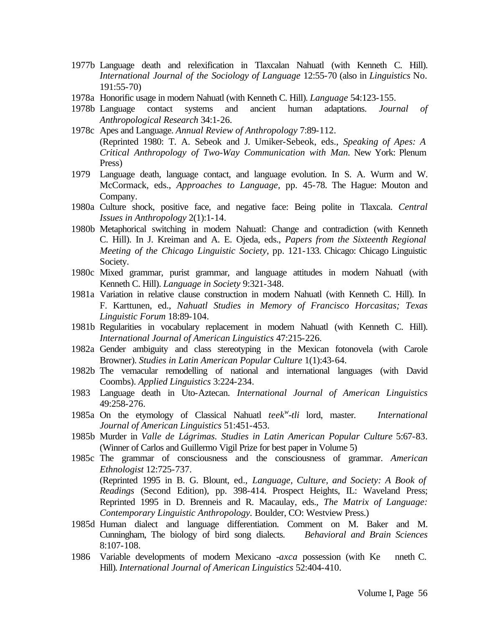- 1977b Language death and relexification in Tlaxcalan Nahuatl (with Kenneth C. Hill). *International Journal of the Sociology of Language* 12:55-70 (also in *Linguistics* No. 191:55-70)
- 1978a Honorific usage in modern Nahuatl (with Kenneth C. Hill). *Language* 54:123-155.
- 1978b Language contact systems and ancient human adaptations. *Journal of Anthropological Research* 34:1-26.
- 1978c Apes and Language. *Annual Review of Anthropology* 7:89-112. (Reprinted 1980: T. A. Sebeok and J. Umiker-Sebeok, eds., *Speaking of Apes: A Critical Anthropology of Two-Way Communication with Man.* New York: Plenum Press)
- 1979 Language death, language contact, and language evolution. In S. A. Wurm and W. McCormack, eds., *Approaches to Language,* pp. 45-78. The Hague: Mouton and Company.
- 1980a Culture shock, positive face, and negative face: Being polite in Tlaxcala. *Central Issues in Anthropology* 2(1):1-14.
- 1980b Metaphorical switching in modem Nahuatl: Change and contradiction (with Kenneth C. Hill). In J. Kreiman and A. E. Ojeda, eds., *Papers from the Sixteenth Regional Meeting of the Chicago Linguistic Society,* pp. 121-133. Chicago: Chicago Linguistic Society.
- 1980c Mixed grammar, purist grammar, and language attitudes in modern Nahuatl (with Kenneth C. Hill). *Language in Society* 9:321-348.
- 1981a Variation in relative clause construction in modern Nahuatl (with Kenneth C. Hill). In F. Karttunen, ed., *Nahuatl Studies in Memory of Francisco Horcasitas; Texas Linguistic Forum* 18:89-104.
- 1981b Regularities in vocabulary replacement in modem Nahuatl (with Kenneth C. Hill). *International Journal of American Linguistics* 47:215-226.
- 1982a Gender ambiguity and class stereotyping in the Mexican fotonovela (with Carole Browner). *Studies in Latin American Popular Culture* 1(1):43-64.
- 1982b The vernacular remodelling of national and international languages (with David Coombs). *Applied Linguistics* 3:224-234.
- 1983 Language death in Uto-Aztecan. *International Journal of American Linguistics* 49:258-276.
- 1985a On the etymology of Classical Nahuatl *teek<sup>w</sup> -tli* lord, master. *International Journal of American Linguistics* 51:451-453.
- 1985b Murder in *Valle de Lágrimas. Studies in Latin American Popular Culture* 5:67-83. (Winner of Carlos and Guillermo Vigil Prize for best paper in Volume 5)
- 1985c The grammar of consciousness and the consciousness of grammar. *American Ethnologist* 12:725-737. (Reprinted 1995 in B. G. Blount, ed., *Language, Culture, and Society: A Book of Readings* (Second Edition), pp. 398-414. Prospect Heights, IL: Waveland Press; Reprinted 1995 in D. Brenneis and R. Macaulay, eds., *The Matrix of Language:*

*Contemporary Linguistic Anthropology.* Boulder, CO: Westview Press.)

- 1985d Human dialect and language differentiation. Comment on M. Baker and M. Cunningham, The biology of bird song dialects. *Behavioral and Brain Sciences* 8:107-108.
- 1986 Variable developments of modern Mexicano *-axca* possession (with Ke nneth C. Hill). *International Journal of American Linguistics* 52:404-410.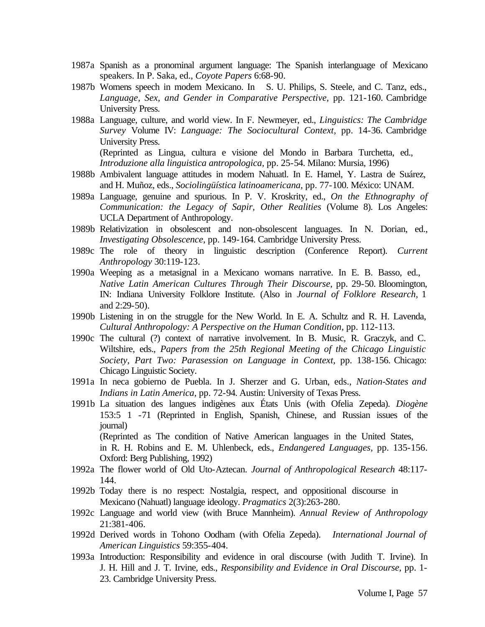- 1987a Spanish as a pronominal argument language: The Spanish interlanguage of Mexicano speakers. In P. Saka, ed., *Coyote Papers* 6:68-90.
- 1987b Womens speech in modem Mexicano. In S. U. Philips, S. Steele, and C. Tanz, eds., *Language, Sex, and Gender in Comparative Perspective,* pp. 121-160. Cambridge University Press.
- 1988a Language, culture, and world view. In F. Newmeyer, ed., *Linguistics: The Cambridge Survey* Volume IV: *Language: The Sociocultural Context,* pp. 14-36. Cambridge University Press. (Reprinted as Lingua, cultura e visione del Mondo in Barbara Turchetta, ed., *Introduzione alla linguistica antropologica,* pp. 25-54. Milano: Mursia, 1996)
- 1988b Ambivalent language attitudes in modem Nahuatl. In E. Hamel, Y. Lastra de Suárez, and H. Muñoz, eds., *Sociolingüística latinoamericana,* pp. 77-100. México: UNAM.
- 1989a Language, genuine and spurious. In P. V. Kroskrity, ed., *On the Ethnography of Communication: the Legacy of Sapir, Other Realities* (Volume 8). Los Angeles: UCLA Department of Anthropology.
- 1989b Relativization in obsolescent and non-obsolescent languages. In N. Dorian, ed., *Investigating Obsolescence,* pp. 149-164. Cambridge University Press.
- 1989c The role of theory in linguistic description (Conference Report). *Current Anthropology* 30:119-123.
- 1990a Weeping as a metasignal in a Mexicano womans narrative. In E. B. Basso, ed., *Native Latin American Cultures Through Their Discourse,* pp. 29-50. Bloomington, IN: Indiana University Folklore Institute. (Also in *Journal of Folklore Research,* 1 and 2:29-50).
- 1990b Listening in on the struggle for the New World. In E. A. Schultz and R. H. Lavenda, *Cultural Anthropology: A Perspective on the Human Condition,* pp. 112-113.
- 1990c The cultural (?) context of narrative involvement. In B. Music, R. Graczyk, and C. Wiltshire, eds., *Papers from the 25th Regional Meeting of the Chicago Linguistic Society, Part Two: Parasession on Language in Context,* pp. 138-156. Chicago: Chicago Linguistic Society.
- 1991a In neca gobierno de Puebla. In J. Sherzer and G. Urban, eds., *Nation-States and Indians in Latin America,* pp. 72-94. Austin: University of Texas Press.
- 1991b La situation des langues indigènes aux États Unis (with Ofelia Zepeda). *Diogène* 153:5 1 -71 (Reprinted in English, Spanish, Chinese, and Russian issues of the journal) (Reprinted as The condition of Native American languages in the United States, in R. H. Robins and E. M. Uhlenbeck, eds., *Endangered Languages,* pp. 135-156. Oxford: Berg Publishing, 1992)
- 1992a The flower world of Old Uto-Aztecan. *Journal of Anthropological Research* 48:117- 144.
- 1992b Today there is no respect: Nostalgia, respect, and oppositional discourse in Mexicano (Nahuatl) language ideology. *Pragmatics* 2(3):263-280.
- 1992c Language and world view (with Bruce Mannheim). *Annual Review of Anthropology* 21:381-406.
- 1992d Derived words in Tohono Oodham (with Ofelia Zepeda). *International Journal of American Linguistics* 59:355-404.
- 1993a Introduction: Responsibility and evidence in oral discourse (with Judith T. Irvine). In J. H. Hill and J. T. Irvine, eds., *Responsibility and Evidence in Oral Discourse,* pp. 1- 23. Cambridge University Press.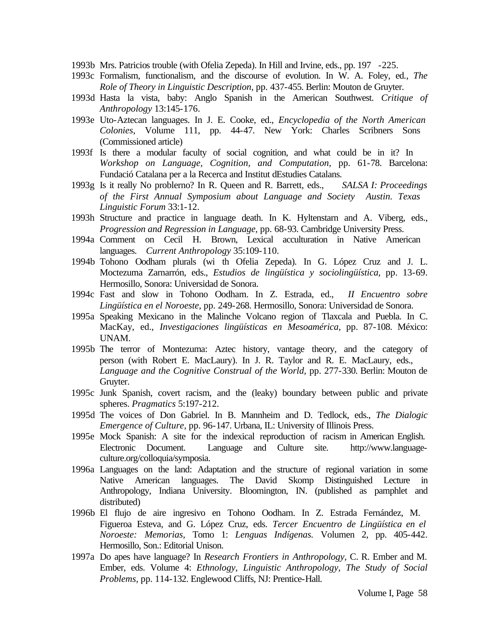- 1993b Mrs. Patricios trouble (with Ofelia Zepeda). In Hill and Irvine, eds., pp. 197 -225.
- 1993c Formalism, functionalism, and the discourse of evolution. In W. A. Foley, ed., *The Role of Theory in Linguistic Description,* pp. 437-455. Berlin: Mouton de Gruyter.
- 1993d Hasta la vista, baby: Anglo Spanish in the American Southwest. *Critique of Anthropology* 13:145-176.
- 1993e Uto-Aztecan languages. In J. E. Cooke, ed., *Encyclopedia of the North American Colonies,* Volume 111, pp. 44-47. New York: Charles Scribners Sons (Commissioned article)
- 1993f Is there a modular faculty of social cognition, and what could be in it? In *Workshop on Language, Cognition, and Computation,* pp. 61-78. Barcelona: Fundació Catalana per a la Recerca and Institut d Estudies Catalans.
- 1993g Is it really No problerno? In R. Queen and R. Barrett, eds., *SALSA I: Proceedings of the First Annual Symposium about Language and Society Austin. Texas Linguistic Forum* 33:1-12.
- 1993h Structure and practice in language death. In K. Hyltenstarn and A. Viberg, eds., *Progression and Regression in Language,* pp. 68-93. Cambridge University Press.
- 1994a Comment on Cecil H. Brown, Lexical acculturation in Native American languages. *Current Anthropology* 35:109-110.
- 1994b Tohono Oodham plurals (wi th Ofelia Zepeda). In G. López Cruz and J. L. Moctezuma Zarnarrón, eds., *Estudios de lingüística y sociolingüística,* pp. 13-69. Hermosillo, Sonora: Universidad de Sonora.
- 1994c Fast and slow in Tohono Oodham. In Z. Estrada, ed., *II Encuentro sobre Lingüística en el Noroeste,* pp. 249-268. Hermosillo, Sonora: Universidad de Sonora.
- 1995a Speaking Mexicano in the Malinche Volcano region of Tlaxcala and Puebla. In C. MacKay, ed., *Investigaciones lingüísticas en Mesoamérica,* pp. 87-108. México: UNAM.
- 1995b The terror of Montezuma: Aztec history, vantage theory, and the category of person (with Robert E. MacLaury). In J. R. Taylor and R. E. MacLaury, eds., *Language and the Cognitive Construal of the World,* pp. 277-330. Berlin: Mouton de Gruyter.
- 1995c Junk Spanish, covert racism, and the (leaky) boundary between public and private spheres. *Pragmatics* 5:197-212.
- 1995d The voices of Don Gabriel. In B. Mannheim and D. Tedlock, eds., *The Dialogic Emergence of Culture,* pp. 96-147. Urbana, IL: University of Illinois Press.
- 1995e Mock Spanish: A site for the indexical reproduction of racism in American English. Electronic Document. Language and Culture site. http://www.languageculture.org/colloquia/symposia.
- 1996a Languages on the land: Adaptation and the structure of regional variation in some Native American languages. The David Skomp Distinguished Lecture in Anthropology, Indiana University. Bloomington, IN. (published as pamphlet and distributed)
- 1996b El flujo de aire ingresivo en Tohono Oodham. In Z. Estrada Fernández, M. Figueroa Esteva, and G. López Cruz, eds. *Tercer Encuentro de Lingüística en el Noroeste: Memorias,* Tomo 1: *Lenguas Indígenas.* Volumen 2, pp. 405-442. Hermosillo, Son.: Editorial Unison.
- 1997a Do apes have language? In *Research Frontiers in Anthropology,* C. R. Ember and M. Ember, eds. Volume 4: *Ethnology, Linguistic Anthropology, The Study of Social Problems,* pp. 114-132. Englewood Cliffs, NJ: Prentice-Hall.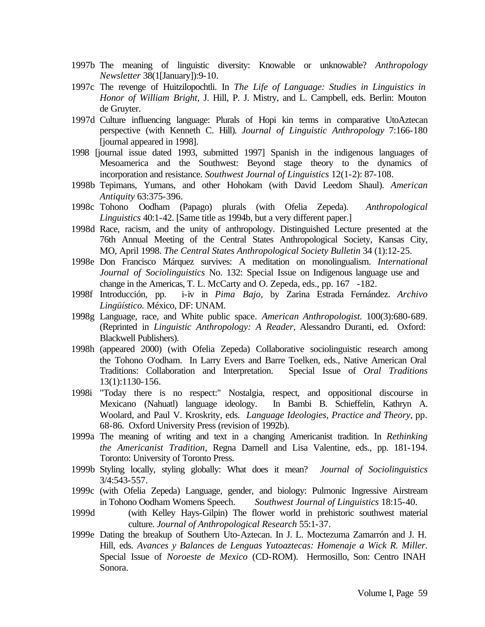- 1997b The meaning of linguistic diversity: Knowable or unknowable? *Anthropology Newsletter* 38(1[January]):9-10.
- 1997c The revenge of Huitzilopochtli. In *The Life of Language: Studies in Linguistics in Honor of William Bright,* J. Hill, P. J. Mistry, and L. Campbell, eds. Berlin: Mouton de Gruyter.
- 1997d Culture influencing language: Plurals of Hopi kin terms in comparative UtoAztecan perspective (with Kenneth C. Hill). *Journal of Linguistic Anthropology* 7:166-180 [journal appeared in 1998].
- 1998 [journal issue dated 1993, submitted 1997] Spanish in the indigenous languages of Mesoamerica and the Southwest: Beyond stage theory to the dynamics of incorporation and resistance. *Southwest Journal of Linguistics* 12(1-2): 87-108.
- 1998b Tepimans, Yumans, and other Hohokam (with David Leedom Shaul). *American Antiquity* 63:375-396.
- 1998c Tohono Oodham (Papago) plurals (with Ofelia Zepeda). *Anthropological Linguistics* 40:1-42. [Same title as 1994b, but a very different paper.]
- 1998d Race, racism, and the unity of anthropology. Distinguished Lecture presented at the 76th Annual Meeting of the Central States Anthropological Society, Kansas City, MO, April 1998. *The Central States Anthropological Society Bulletin* 34 (1):12-25.
- 1998e Don Francisco Márquez survives: A meditation on monolingualism. *International Journal of Sociolinguistics* No. 132: Special Issue on Indigenous language use and change in the Americas, T. L. McCarty and O. Zepeda, eds., pp. 167 -182.
- 1998f Introducción, pp. i-iv in *Pima Bajo,* by Zarina Estrada Fernández. *Archivo Lingüístico.* México, DF: UNAM.
- 1998g Language, race, and White public space. *American Anthropologist.* 100(3):680-689. (Reprinted in *Linguistic Anthropology: A Reader*, Alessandro Duranti, ed. Oxford: Blackwell Publishers).
- 1998h (appeared 2000) (with Ofelia Zepeda) Collaborative sociolinguistic research among the Tohono O'odham. In Larry Evers and Barre Toelken, eds., Native American Oral Traditions: Collaboration and Interpretation. Special Issue of *Oral Traditions* 13(1):1130-156.
- 1998i "Today there is no respect:" Nostalgia, respect, and oppositional discourse in Mexicano (Nahuatl) language ideology. In Bambi B. Schieffelin, Kathryn A. Woolard, and Paul V. Kroskrity, eds. *Language Ideologies, Practice and Theory*, pp. 68-86. Oxford University Press (revision of 1992b).
- 1999a The meaning of writing and text in a changing Americanist tradition. In *Rethinking the Americanist Tradition,* Regna Darnell and Lisa Valentine, eds., pp. 181-194. Toronto: University of Toronto Press.
- 1999b Styling locally, styling globally: What does it mean? *Journal of Sociolinguistics* 3/4:543-557.
- 1999c (with Ofelia Zepeda) Language, gender, and biology: Pulmonic Ingressive Airstream in Tohono Oodham Womens Speech. *Southwest Journal of Linguistics* 18:15-40.
- 1999d (with Kelley Hays-Gilpin) The flower world in prehistoric southwest material culture. *Journal of Anthropological Research* 55:1-37.
- 1999e Dating the breakup of Southern Uto-Aztecan. In J. L. Moctezuma Zamarrón and J. H. Hill, eds. *Avances y Balances de Lenguas Yutoaztecas: Homenaje a Wick R. Miller*. Special Issue of *Noroeste de Mexico* (CD-ROM). Hermosillo, Son: Centro INAH Sonora.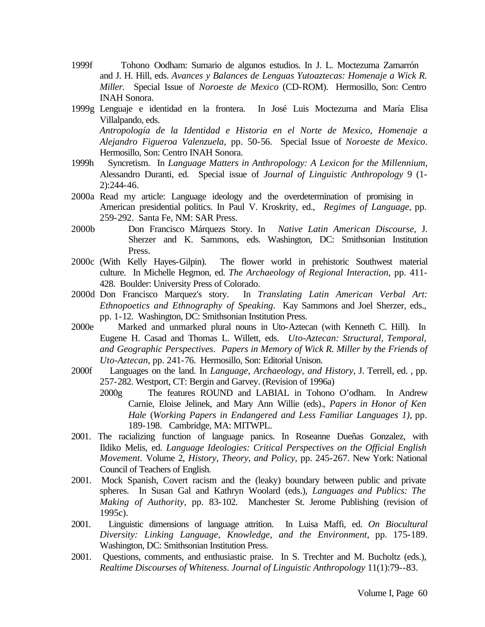- 1999f Tohono Oodham: Sumario de algunos estudios. In J. L. Moctezuma Zamarrón and J. H. Hill, eds. *Avances y Balances de Lenguas Yutoaztecas: Homenaje a Wick R. Miller.* Special Issue of *Noroeste de Mexico* (CD-ROM). Hermosillo, Son: Centro INAH Sonora.
- 1999g Lenguaje e identidad en la frontera. In José Luis Moctezuma and María Elisa Villalpando, eds. *Antropología de la Identidad e Historia en el Norte de Mexico, Homenaje a Alejandro Figueroa Valenzuela*, pp. 50-56. Special Issue of *Noroeste de Mexico*. Hermosillo, Son: Centro INAH Sonora.
- 1999h Syncretism. In *Language Matters in Anthropology: A Lexicon for the Millennium*, Alessandro Duranti, ed. Special issue of *Journal of Linguistic Anthropology* 9 (1- 2):244-46.
- 2000a Read my article: Language ideology and the overdetermination of promising in American presidential politics. In Paul V. Kroskrity, ed., *Regimes of Language,* pp. 259-292. Santa Fe, NM: SAR Press.
- 2000b Don Francisco Márquezs Story. In *Native Latin American Discourse,* J. Sherzer and K. Sammons, eds. Washington, DC: Smithsonian Institution Press.
- 2000c (With Kelly Hayes-Gilpin). The flower world in prehistoric Southwest material culture. In Michelle Hegmon, ed. *The Archaeology of Regional Interaction*, pp. 411- 428. Boulder: University Press of Colorado.
- 2000d Don Francisco Marquez's story. In *Translating Latin American Verbal Art: Ethnopoetics and Ethnography of Speaking*. Kay Sammons and Joel Sherzer, eds., pp. 1-12. Washington, DC: Smithsonian Institution Press.
- 2000e Marked and unmarked plural nouns in Uto-Aztecan (with Kenneth C. Hill). In Eugene H. Casad and Thomas L. Willett, eds. *Uto-Aztecan: Structural, Temporal, and Geographic Perspectives*. *Papers in Memory of Wick R. Miller by the Friends of Uto-Aztecan*, pp. 241-76. Hermosillo, Son: Editorial Unison.
- 2000f Languages on the land. In *Language, Archaeology, and History,* J. Terrell, ed. , pp. 257-282. Westport, CT: Bergin and Garvey. (Revision of 1996a)
	- 2000g The features ROUND and LABIAL in Tohono O'odham. In Andrew Carnie, Eloise Jelinek, and Mary Ann Willie (eds)., *Papers in Honor of Ken Hale* (*Working Papers in Endangered and Less Familiar Languages 1)*, pp. 189-198. Cambridge, MA: MITWPL.
- 2001. The racializing function of language panics. In Roseanne Dueñas Gonzalez, with Ildiko Melis, ed. *Language Ideologies: Critical Perspectives on the Official English Movement.* Volume 2, *History, Theory, and Policy,* pp. 245-267. New York: National Council of Teachers of English.
- 2001. Mock Spanish, Covert racism and the (leaky) boundary between public and private spheres. In Susan Gal and Kathryn Woolard (eds.), *Languages and Publics: The Making of Authority*, pp. 83-102. Manchester St. Jerome Publishing (revision of 1995c).
- 2001. Linguistic dimensions of language attrition. In Luisa Maffi, ed. *On Biocultural Diversity: Linking Language, Knowledge, and the Environment*, pp. 175-189. Washington, DC: Smithsonian Institution Press.
- 2001. Questions, comments, and enthusiastic praise. In S. Trechter and M. Bucholtz (eds.), *Realtime Discourses of Whiteness*. *Journal of Linguistic Anthropology* 11(1):79--83.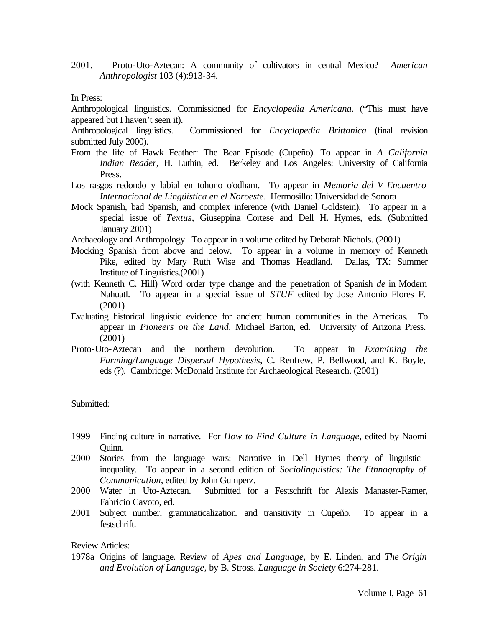2001. Proto-Uto-Aztecan: A community of cultivators in central Mexico? *American Anthropologist* 103 (4):913-34.

In Press:

Anthropological linguistics. Commissioned for *Encyclopedia Americana.* (\*This must have appeared but I haven't seen it).

Anthropological linguistics. Commissioned for *Encyclopedia Brittanica* (final revision submitted July 2000).

- From the life of Hawk Feather: The Bear Episode (Cupeño). To appear in *A California Indian Reader,* H. Luthin, ed. Berkeley and Los Angeles: University of California Press.
- Los rasgos redondo y labial en tohono o'odham. To appear in *Memoria del V Encuentro Internacional de Lingüística en el Noroeste*. Hermosillo: Universidad de Sonora
- Mock Spanish, bad Spanish, and complex inference (with Daniel Goldstein). To appear in a special issue of *Textus*, Giuseppina Cortese and Dell H. Hymes, eds. (Submitted January 2001)

Archaeology and Anthropology. To appear in a volume edited by Deborah Nichols. (2001)

- Mocking Spanish from above and below. To appear in a volume in memory of Kenneth Pike, edited by Mary Ruth Wise and Thomas Headland. Dallas, TX: Summer Institute of Linguistics.(2001)
- (with Kenneth C. Hill) Word order type change and the penetration of Spanish *de* in Modern Nahuatl. To appear in a special issue of *STUF* edited by Jose Antonio Flores F. (2001)
- Evaluating historical linguistic evidence for ancient human communities in the Americas. To appear in *Pioneers on the Land*, Michael Barton, ed. University of Arizona Press. (2001)
- Proto-Uto-Aztecan and the northern devolution. To appear in *Examining the Farming/Language Dispersal Hypothesis*, C. Renfrew, P. Bellwood, and K. Boyle, eds (?). Cambridge: McDonald Institute for Archaeological Research. (2001)

Submitted:

- 1999 Finding culture in narrative. For *How to Find Culture in Language*, edited by Naomi Quinn.
- 2000 Stories from the language wars: Narrative in Dell Hymes theory of linguistic inequality. To appear in a second edition of *Sociolinguistics: The Ethnography of Communication*, edited by John Gumperz.
- 2000 Water in Uto-Aztecan. Submitted for a Festschrift for Alexis Manaster-Ramer, Fabricio Cavoto, ed.
- 2001 Subject number, grammaticalization, and transitivity in Cupeño. To appear in a festschrift.

Review Articles:

1978a Origins of language. Review of *Apes and Language,* by E. Linden, and *The Origin and Evolution of Language,* by B. Stross. *Language in Society* 6:274-281.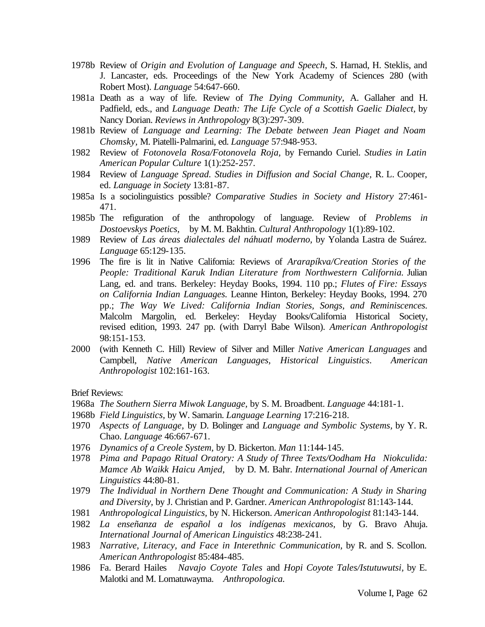- 1978b Review of *Origin and Evolution of Language and Speech,* S. Harnad, H. Steklis, and J. Lancaster, eds. Proceedings of the New York Academy of Sciences 280 (with Robert Most). *Language* 54:647-660.
- 1981a Death as a way of life. Review of *The Dying Community,* A. Gallaher and H. Padfield, eds., and *Language Death: The Life Cycle of a Scottish Gaelic Dialect,* by Nancy Dorian. *Reviews in Anthropology* 8(3):297-309.
- 1981b Review of *Language and Learning: The Debate between Jean Piaget and Noam Chomsky,* M. Piatelli-Palmarini, ed. *Language* 57:948-953.
- 1982 Review of *Fotonovela Rosa/Fotonovela Roja,* by Fernando Curiel. *Studies in Latin American Popular Culture* 1(1):252-257.
- 1984 Review of *Language Spread. Studies in Diffusion and Social Change,* R. L. Cooper, ed. *Language in Society* 13:81-87.
- 1985a Is a sociolinguistics possible? *Comparative Studies in Society and History* 27:461- 471.
- 1985b The refiguration of the anthropology of language. Review of *Problems in Dostoevskys Poetics,* by M. M. Bakhtin. *Cultural Anthropology* 1(1):89-102.
- 1989 Review of *Las áreas dialectales del náhuatl moderno,* by Yolanda Lastra de Suárez. *Language* 65:129-135.
- 1996 The fire is lit in Native California: Reviews of *Ararapíkva/Creation Stories of the People: Traditional Karuk Indian Literature from Northwestern California.* Julian Lang, ed. and trans. Berkeley: Heyday Books, 1994. 110 pp.; *Flutes of Fire: Essays on California Indian Languages.* Leanne Hinton, Berkeley: Heyday Books, 1994. 270 pp.; *The Way We Lived: California Indian Stories, Songs, and Reminiscences.* Malcolm Margolin, ed. Berkeley: Heyday Books/California Historical Society, revised edition, 1993. 247 pp. (with Darryl Babe Wilson). *American Anthropologist* 98:151-153.
- 2000 (with Kenneth C. Hill) Review of Silver and Miller *Native American Languages* and Campbell, *Native American Languages, Historical Linguistics*. *American Anthropologist* 102:161-163.

Brief Reviews:

- 1968a *The Southern Sierra Miwok Language,* by S. M. Broadbent. *Language* 44:181-1.
- 1968b *Field Linguistics,* by W. Samarin. *Language Learning* 17:216-218.
- 1970 *Aspects of Language,* by D. Bolinger and *Language and Symbolic Systems,* by Y. R. Chao. *Language* 46:667-671.
- 1976 *Dynamics of a Creole System,* by D. Bickerton. *Man* 11:144-145.
- 1978 *Pima and Papago Ritual Oratory: A Study of Three Texts/Oodham Ha Niokculida: Mamce Ab Waikk Haicu Amjed,* by D. M. Bahr. *International Journal of American Linguistics* 44:80-81.
- 1979 *The Individual in Northern Dene Thought and Communication: A Study in Sharing and Diversity,* by J. Christian and P. Gardner. *American Anthropologist* 81:143-144.
- 1981 *Anthropological Linguistics,* by N. Hickerson. *American Anthropologist* 81:143-144.
- 1982 *La enseñanza de español a los indígenas mexicanos,* by G. Bravo Ahuja. *International Journal of American Linguistics* 48:238-241.
- 1983 *Narrative, Literacy, and Face in Interethnic Communication,* by R. and S. Scollon. *American Anthropologist* 85:484-485.
- 1986 Fa. Berard Hailes *Navajo Coyote Tales* and *Hopi Coyote Tales/Istutuwutsi,* by E. Malotki and M. Lomatuwayma. *Anthropologica.*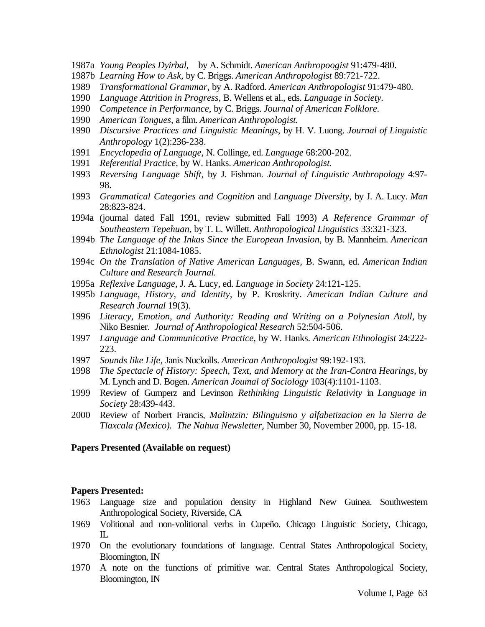- 1987a *Young Peoples Dyirbal,* by A. Schmidt. *American Anthropoogist* 91:479-480.
- 1987b *Learning How to Ask,* by C. Briggs. *American Anthropologist* 89:721-722.
- 1989 *Transformational Grammar,* by A. Radford. *American Anthropologist* 91:479-480.
- 1990 *Language Attrition in Progress,* B. Wellens et al., eds. *Language in Society.*
- 1990 *Competence in Performance,* by C. Briggs. *Journal of American Folklore.*
- 1990 *American Tongues,* a film. *American Anthropologist.*
- 1990 *Discursive Practices and Linguistic Meanings,* by H. V. Luong. *Journal of Linguistic Anthropology* 1(2):236-238.
- 1991 *Encyclopedia of Language,* N. Collinge, ed. *Language* 68:200-202.
- 1991 *Referential Practice,* by W. Hanks. *American Anthropologist.*
- 1993 *Reversing Language Shift,* by J. Fishman. *Journal of Linguistic Anthropology* 4:97- 98.
- 1993 *Grammatical Categories and Cognition* and *Language Diversity,* by J. A. Lucy. *Man* 28:823-824.
- 1994a (journal dated Fall 1991, review submitted Fall 1993) *A Reference Grammar of Southeastern Tepehuan,* by T. L. Willett. *Anthropological Linguistics* 33:321-323.
- 1994b *The Language of the Inkas Since the European Invasion,* by B. Mannheim. *American Ethnologist* 21:1084-1085.
- 1994c *On the Translation of Native American Languages,* B. Swann, ed. *American Indian Culture and Research Journal.*
- 1995a *Reflexive Language,* J. A. Lucy, ed. *Language in Society* 24:121-125.
- 1995b *Language, History, and Identity,* by P. Kroskrity. *American Indian Culture and Research Journal* 19(3).
- 1996 *Literacy, Emotion, and Authority: Reading and Writing on a Polynesian Atoll,* by Niko Besnier. *Journal of Anthropological Research* 52:504-506.
- 1997 *Language and Communicative Practice,* by W. Hanks. *American Ethnologist* 24:222- 223.
- 1997 *Sounds like Life,* Janis Nuckolls. *American Anthropologist* 99:192-193.
- 1998 *The Spectacle of History: Speech, Text, and Memory at the Iran-Contra Hearings,* by M. Lynch and D. Bogen. *American Joumal of Sociology* 103(4):1101-1103.
- 1999 Review of Gumperz and Levinson *Rethinking Linguistic Relativity* in *Language in Society* 28:439-443.
- 2000 Review of Norbert Francis, *Malintzin: Bilinguismo y alfabetizacion en la Sierra de Tlaxcala (Mexico). The Nahua Newsletter,* Number 30, November 2000, pp. 15-18.

#### **Papers Presented (Available on request)**

#### **Papers Presented:**

- 1963 Language size and population density in Highland New Guinea. Southwestern Anthropological Society, Riverside, CA
- 1969 Volitional and non-volitional verbs in Cupeño. Chicago Linguistic Society, Chicago, IL
- 1970 On the evolutionary foundations of language. Central States Anthropological Society, Bloomington, IN
- 1970 A note on the functions of primitive war. Central States Anthropological Society, Bloomington, IN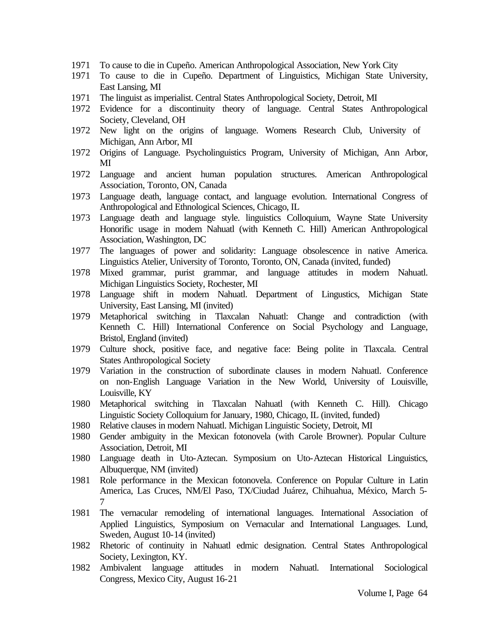- 1971 To cause to die in Cupeño. American Anthropological Association, New York City
- 1971 To cause to die in Cupeño. Department of Linguistics, Michigan State University, East Lansing, MI
- 1971 The linguist as imperialist. Central States Anthropological Society, Detroit, MI
- 1972 Evidence for a discontinuity theory of language. Central States Anthropological Society, Cleveland, OH
- 1972 New light on the origins of language. Womens Research Club, University of Michigan, Ann Arbor, MI
- 1972 Origins of Language. Psycholinguistics Program, University of Michigan, Ann Arbor, MI
- 1972 Language and ancient human population structures. American Anthropological Association, Toronto, ON, Canada
- 1973 Language death, language contact, and language evolution. International Congress of Anthropological and Ethnological Sciences, Chicago, IL
- 1973 Language death and language style. linguistics Colloquium, Wayne State University Honorific usage in modem Nahuatl (with Kenneth C. Hill) American Anthropological Association, Washington, DC
- 1977 The languages of power and solidarity: Language obsolescence in native America. Linguistics Atelier, University of Toronto, Toronto, ON, Canada (invited, funded)
- 1978 Mixed grammar, purist grammar, and language attitudes in modern Nahuatl. Michigan Linguistics Society, Rochester, MI
- 1978 Language shift in modern Nahuatl. Department of Lingustics, Michigan State University, East Lansing, MI (invited)
- 1979 Metaphorical switching in Tlaxcalan Nahuatl: Change and contradiction (with Kenneth C. Hill) International Conference on Social Psychology and Language, Bristol, England (invited)
- 1979 Culture shock, positive face, and negative face: Being polite in Tlaxcala. Central States Anthropological Society
- 1979 Variation in the construction of subordinate clauses in modern Nahuatl. Conference on non-English Language Variation in the New World, University of Louisville, Louisville, KY
- 1980 Metaphorical switching in Tlaxcalan Nahuatl (with Kenneth C. Hill). Chicago Linguistic Society Colloquium for January, 1980, Chicago, IL (invited, funded)
- 1980 Relative clauses in modern Nahuatl. Michigan Linguistic Society, Detroit, MI
- 1980 Gender ambiguity in the Mexican fotonovela (with Carole Browner). Popular Culture Association, Detroit, MI
- 1980 Language death in Uto-Aztecan. Symposium on Uto-Aztecan Historical Linguistics, Albuquerque, NM (invited)
- 1981 Role performance in the Mexican fotonovela. Conference on Popular Culture in Latin America, Las Cruces, NM/El Paso, TX/Ciudad Juárez, Chihuahua, México, March 5- 7
- 1981 The vernacular remodeling of international languages. International Association of Applied Linguistics, Symposium on Vernacular and International Languages. Lund, Sweden, August 10-14 (invited)
- 1982 Rhetoric of continuity in Nahuatl edmic designation. Central States Anthropological Society, Lexington, KY.
- 1982 Ambivalent language attitudes in modern Nahuatl. International Sociological Congress, Mexico City, August 16-21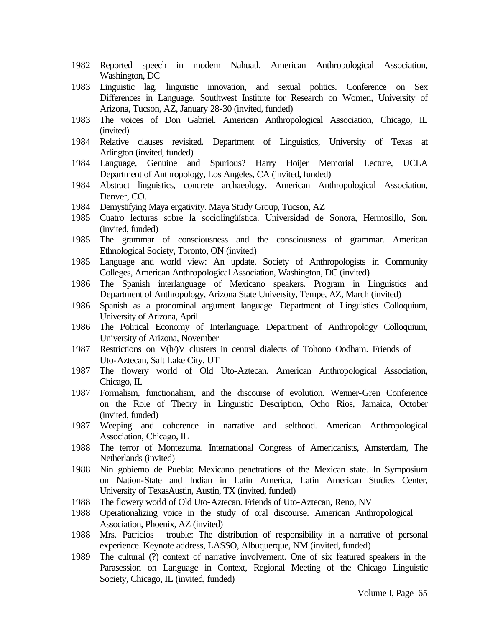- 1982 Reported speech in modern Nahuatl. American Anthropological Association, Washington, DC
- 1983 Linguistic lag, linguistic innovation, and sexual politics. Conference on Sex Differences in Language. Southwest Institute for Research on Women, University of Arizona, Tucson, AZ, January 28-30 (invited, funded)
- 1983 The voices of Don Gabriel. American Anthropological Association, Chicago, IL (invited)
- 1984 Relative clauses revisited. Department of Linguistics, University of Texas at Arlington (invited, funded)
- 1984 Language, Genuine and Spurious? Harry Hoijer Memorial Lecture, UCLA Department of Anthropology, Los Angeles, CA (invited, funded)
- 1984 Abstract linguistics, concrete archaeology. American Anthropological Association, Denver, CO.
- 1984 Demystifying Maya ergativity. Maya Study Group, Tucson, AZ
- 1985 Cuatro lecturas sobre la sociolingüística. Universidad de Sonora, Hermosillo, Son. (invited, funded)
- 1985 The grammar of consciousness and the consciousness of grammar. American Ethnological Society, Toronto, ON (invited)
- 1985 Language and world view: An update. Society of Anthropologists in Community Colleges, American Anthropological Association, Washington, DC (invited)
- 1986 The Spanish interlanguage of Mexicano speakers. Program in Linguistics and Department of Anthropology, Arizona State University, Tempe, AZ, March (invited)
- 1986 Spanish as a pronominal argument language. Department of Linguistics Colloquium, University of Arizona, April
- 1986 The Political Economy of Interlanguage. Department of Anthropology Colloquium, University of Arizona, November
- 1987 Restrictions on V(h/)V clusters in central dialects of Tohono Oodham. Friends of Uto-Aztecan, Salt Lake City, UT
- 1987 The flowery world of Old Uto-Aztecan. American Anthropological Association, Chicago, IL
- 1987 Formalism, functionalism, and the discourse of evolution. Wenner-Gren Conference on the Role of Theory in Linguistic Description, Ocho Rios, Jamaica, October (invited, funded)
- 1987 Weeping and coherence in narrative and selthood. American Anthropological Association, Chicago, IL
- 1988 The terror of Montezuma. International Congress of Americanists, Amsterdam, The Netherlands (invited)
- 1988 Nin gobiemo de Puebla: Mexicano penetrations of the Mexican state. In Symposium on Nation-State and Indian in Latin America, Latin American Studies Center, University of Texas Austin, Austin, TX (invited, funded)
- 1988 The flowery world of Old Uto-Aztecan. Friends of Uto-Aztecan, Reno, NV
- 1988 Operationalizing voice in the study of oral discourse. American Anthropological Association, Phoenix, AZ (invited)
- 1988 Mrs. Patricios trouble: The distribution of responsibility in a narrative of personal experience. Keynote address, LASSO, Albuquerque, NM (invited, funded)
- 1989 The cultural (?) context of narrative involvement. One of six featured speakers in the Parasession on Language in Context, Regional Meeting of the Chicago Linguistic Society, Chicago, IL (invited, funded)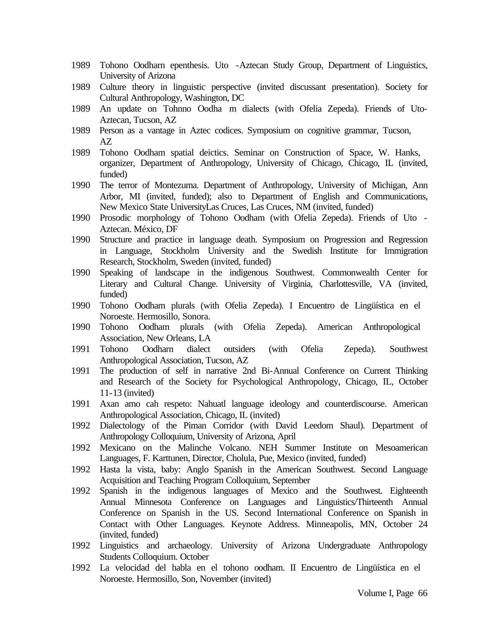- 1989 Tohono Oodharn epenthesis. Uto -Aztecan Study Group, Department of Linguistics, University of Arizona
- 1989 Culture theory in linguistic perspective (invited discussant presentation). Society for Cultural Anthropology, Washington, DC
- 1989 An update on Tohnno Oodha m dialects (with Ofelia Zepeda). Friends of Uto-Aztecan, Tucson, AZ
- 1989 Person as a vantage in Aztec codices. Symposium on cognitive grammar, Tucson, AZ
- 1989 Tohono Oodham spatial deictics. Seminar on Construction of Space, W. Hanks, organizer, Department of Anthropology, University of Chicago, Chicago, IL (invited, funded)
- 1990 The terror of Montezuma. Department of Anthropology, University of Michigan, Ann Arbor, MI (invited, funded); also to Department of English and Communications, New Mexico State UniversityLas Cruces, Las Cruces, NM (invited, funded)
- 1990 Prosodic morphology of Tohono Oodham (with Ofelia Zepeda). Friends of Uto Aztecan. México, DF
- 1990 Structure and practice in language death. Symposium on Progression and Regression in Language, Stockholm University and the Swedish Institute for Immigration Research, Stockholm, Sweden (invited, funded)
- 1990 Speaking of landscape in the indigenous Southwest. Commonwealth Center for Literary and Cultural Change. University of Virginia, Charlottesville, VA (invited, funded)
- 1990 Tohono Oodham plurals (with Ofelia Zepeda). I Encuentro de Lingüística en el Noroeste. Hermosillo, Sonora.
- 1990 Tohono Oodham plurals (with Ofelia Zepeda). American Anthropological Association, New Orleans, LA
- 1991 Tohono Oodharn dialect outsiders (with Ofelia Zepeda). Southwest Anthropological Association, Tucson, AZ
- 1991 The production of self in narrative 2nd Bi-Annual Conference on Current Thinking and Research of the Society for Psychological Anthropology, Chicago, IL, October 11-13 (invited)
- 1991 Axan amo cah respeto: Nahuatl language ideology and counterdiscourse. American Anthropological Association, Chicago, IL (invited)
- 1992 Dialectology of the Piman Corridor (with David Leedom Shaul). Department of Anthropology Colloquium, University of Arizona, April
- 1992 Mexicano on the Malinche Volcano. NEH Summer Institute on Mesoamerican Languages, F. Karttunen, Director, Cholula, Pue, Mexico (invited, funded)
- 1992 Hasta la vista, baby: Anglo Spanish in the American Southwest. Second Language Acquisition and Teaching Program Colloquium, September
- 1992 Spanish in the indigenous languages of Mexico and the Southwest. Eighteenth Annual Minnesota Conference on Languages and Linguistics/Thirteenth Annual Conference on Spanish in the US. Second International Conference on Spanish in Contact with Other Languages. Keynote Address. Minneapolis, MN, October 24 (invited, funded)
- 1992 Linguistics and archaeology. University of Arizona Undergraduate Anthropology Students Colloquium. October
- 1992 La velocidad del habla en el tohono oodham. II Encuentro de Lingüística en el Noroeste. Hermosillo, Son, November (invited)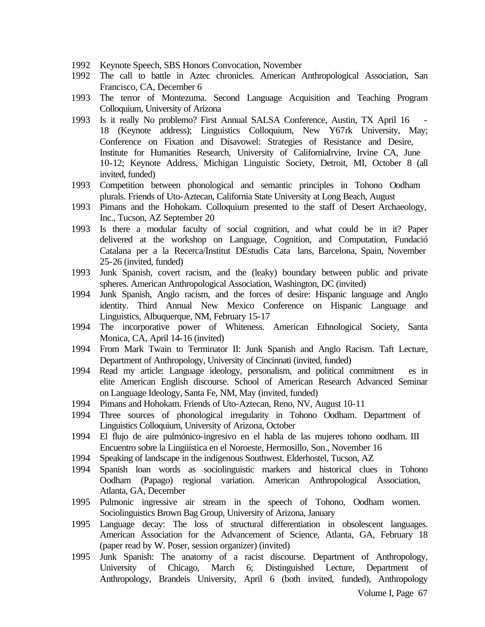- 1992 Keynote Speech, SBS Honors Convocation, November
- 1992 The call to battle in Aztec chronicles. American Anthropological Association, San Francisco, CA, December 6
- 1993 The terror of Montezuma. Second Language Acquisition and Teaching Program Colloquium, University of Arizona
- 1993 Is it really No problemo? First Annual SALSA Conference, Austin, TX April 16 18 (Keynote address); Linguistics Colloquium, New Y67rk University, May; Conference on Fixation and Disavowel: Strategies of Resistance and Desire, Institute for Humanities Research, University of CaliforniaIrvine, Irvine CA, June 10-12; Keynote Address, Michigan Linguistic Society, Detroit, MI, October 8 (all invited, funded)
- 1993 Competition between phonological and semantic principles in Tohono Oodham plurals. Friends of Uto-Aztecan, California State University at Long Beach, August
- 1993 Pimans and the Hohokam. Colloquium presented to the staff of Desert Archaeology, Inc., Tucson, AZ September 20
- 1993 Is there a modular faculty of social cognition, and what could be in it? Paper delivered at the workshop on Language, Cognition, and Computation, Fundació Catalana per a la Recerca/Institut DEstudis Cata lans, Barcelona, Spain, November 25-26 (invited, funded)
- 1993 Junk Spanish, covert racism, and the (leaky) boundary between public and private spheres. American Anthropological Association, Washington, DC (invited)
- 1994 Junk Spanish, Anglo racism, and the forces of desire: Hispanic language and Anglo identity. Third Annual New Mexico Conference on Hispanic Language and Linguistics, Albuquerque, NM, February 15-17
- 1994 The incorporative power of Whiteness. American Ethnological Society, Santa Monica, CA, April 14-16 (invited)
- 1994 From Mark Twain to Terminator II: Junk Spanish and Anglo Racism. Taft Lecture, Department of Anthropology, University of Cincinnati (invited, funded)
- 1994 Read my article: Language ideology, personalism, and political commitment es in elite American English discourse. School of American Research Advanced Seminar on Language Ideology, Santa Fe, NM, May (invited, funded)
- 1994 Pimans and Hohokam. Friends of Uto-Aztecan, Reno, NV, August 10-11
- 1994 Three sources of phonological irregularity in Tohono Oodham. Department of Linguistics Colloquium, University of Arizona, October
- 1994 El flujo de aire pulmónico-ingresivo en el habla de las mujeres tohono oodham. III Encuentro sobre la Lingüística en el Noroeste, Hermosillo, Son., November 16
- 1994 Speaking of landscape in the indigenous Southwest. Elderhostel, Tucson, AZ
- 1994 Spanish loan words as sociolinguistic markers and historical clues in Tohono Oodham (Papago) regional variation. American Anthropological Association, Atlanta, GA, December
- 1995 Pulmonic ingressive air stream in the speech of Tohono, Oodham women. Sociolinguistics Brown Bag Group, University of Arizona, January
- 1995 Language decay: The loss of structural differentiation in obsolescent languages. American Association for the Advancement of Science, Atlanta, GA, February 18 (paper read by W. Poser, session organizer) (invited)
- 1995 Junk Spanish: The anatomy of a racist discourse. Department of Anthropology, University of Chicago, March 6; Distinguished Lecture, Department of Anthropology, Brandeis University, April 6 (both invited, funded), Anthropology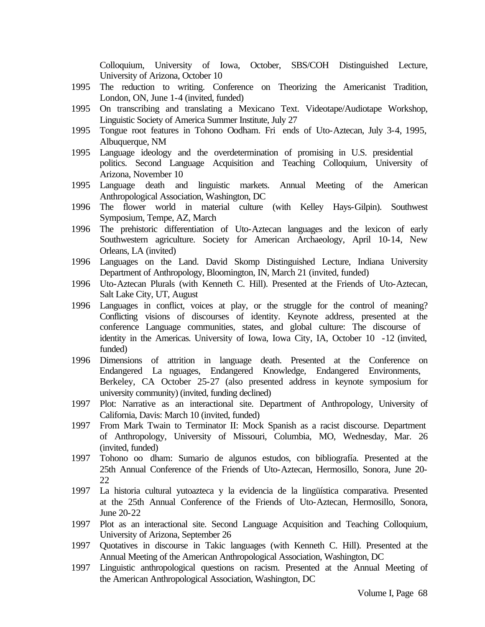Colloquium, University of Iowa, October, SBS/COH Distinguished Lecture, University of Arizona, October 10

- 1995 The reduction to writing. Conference on Theorizing the Americanist Tradition, London, ON, June 1-4 (invited, funded)
- 1995 On transcribing and translating a Mexicano Text. Videotape/Audiotape Workshop, Linguistic Society of America Summer Institute, July 27
- 1995 Tongue root features in Tohono Oodham. Fri ends of Uto-Aztecan, July 3-4, 1995, Albuquerque, NM
- 1995 Language ideology and the overdetermination of promising in U.S. presidential politics. Second Language Acquisition and Teaching Colloquium, University of Arizona, November 10
- 1995 Language death and linguistic markets. Annual Meeting of the American Anthropological Association, Washington, DC
- 1996 The flower world in material culture (with Kelley Hays-Gilpin). Southwest Symposium, Tempe, AZ, March
- 1996 The prehistoric differentiation of Uto-Aztecan languages and the lexicon of early Southwestern agriculture. Society for American Archaeology, April 10-14, New Orleans, LA (invited)
- 1996 Languages on the Land. David Skomp Distinguished Lecture, Indiana University Department of Anthropology, Bloomington, IN, March 21 (invited, funded)
- 1996 Uto-Aztecan Plurals (with Kenneth C. Hill). Presented at the Friends of Uto-Aztecan, Salt Lake City, UT, August
- 1996 Languages in conflict, voices at play, or the struggle for the control of meaning? Conflicting visions of discourses of identity. Keynote address, presented at the conference Language communities, states, and global culture: The discourse of identity in the Americas. University of Iowa, Iowa City, IA, October 10 -12 (invited, funded)
- 1996 Dimensions of attrition in language death. Presented at the Conference on Endangered La nguages, Endangered Knowledge, Endangered Environments, Berkeley, CA October 25-27 (also presented address in keynote symposium for university community) (invited, funding declined)
- 1997 Plot: Narrative as an interactional site. Department of Anthropology, University of California, Davis: March 10 (invited, funded)
- 1997 From Mark Twain to Terminator II: Mock Spanish as a racist discourse. Department of Anthropology, University of Missouri, Columbia, MO, Wednesday, Mar. 26 (invited, funded)
- 1997 Tohono oo dham: Sumario de algunos estudos, con bibliografía. Presented at the 25th Annual Conference of the Friends of Uto-Aztecan, Hermosillo, Sonora, June 20- 22
- 1997 La historia cultural yutoazteca y la evidencia de la lingüística comparativa. Presented at the 25th Annual Conference of the Friends of Uto-Aztecan, Hermosillo, Sonora, June 20-22
- 1997 Plot as an interactional site. Second Language Acquisition and Teaching Colloquium, University of Arizona, September 26
- 1997 Quotatives in discourse in Takic languages (with Kenneth C. Hill). Presented at the Annual Meeting of the American Anthropological Association, Washington, DC
- 1997 Linguistic anthropological questions on racism. Presented at the Annual Meeting of the American Anthropological Association, Washington, DC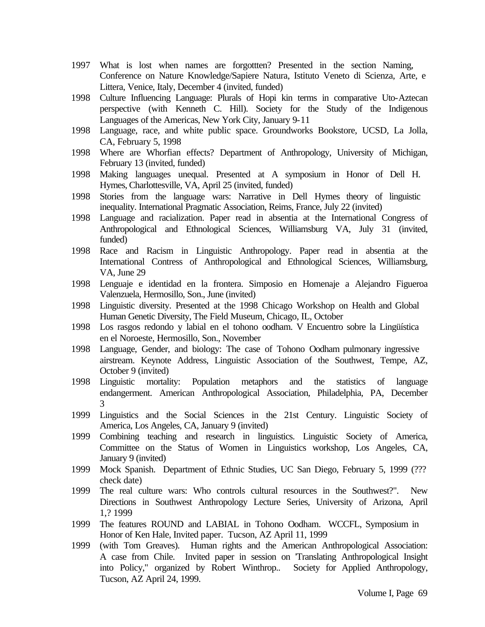- 1997 What is lost when names are forgottten? Presented in the section Naming, Conference on Nature Knowledge/Sapiere Natura, Istituto Veneto di Scienza, Arte, e Littera, Venice, Italy, December 4 (invited, funded)
- 1998 Culture Influencing Language: Plurals of Hopi kin terms in comparative Uto-Aztecan perspective (with Kenneth C. Hill). Society for the Study of the Indigenous Languages of the Americas, New York City, January 9-11
- 1998 Language, race, and white public space. Groundworks Bookstore, UCSD, La Jolla, CA, February 5, 1998
- 1998 Where are Whorfian effects? Department of Anthropology, University of Michigan, February 13 (invited, funded)
- 1998 Making languages unequal. Presented at A symposium in Honor of Dell H. Hymes, Charlottesville, VA, April 25 (invited, funded)
- 1998 Stories from the language wars: Narrative in Dell Hymes theory of linguistic inequality. International Pragmatic Association, Reims, France, July 22 (invited)
- 1998 Language and racialization. Paper read in absentia at the International Congress of Anthropological and Ethnological Sciences, Williamsburg VA, July 31 (invited, funded)
- 1998 Race and Racism in Linguistic Anthropology. Paper read in absentia at the International Contress of Anthropological and Ethnological Sciences, Williamsburg, VA, June 29
- 1998 Lenguaje e identidad en la frontera. Simposio en Homenaje a Alejandro Figueroa Valenzuela, Hermosillo, Son., June (invited)
- 1998 Linguistic diversity. Presented at the 1998 Chicago Workshop on Health and Global Human Genetic Diversity, The Field Museum, Chicago, IL, October
- 1998 Los rasgos redondo y labial en el tohono oodham. V Encuentro sobre la Lingüística en el Noroeste, Hermosillo, Son., November
- 1998 Language, Gender, and biology: The case of Tohono Oodham pulmonary ingressive airstream. Keynote Address, Linguistic Association of the Southwest, Tempe, AZ, October 9 (invited)
- 1998 Linguistic mortality: Population metaphors and the statistics of language endangerment. American Anthropological Association, Philadelphia, PA, December 3
- 1999 Linguistics and the Social Sciences in the 21st Century. Linguistic Society of America, Los Angeles, CA, January 9 (invited)
- 1999 Combining teaching and research in linguistics. Linguistic Society of America, Committee on the Status of Women in Linguistics workshop, Los Angeles, CA, January 9 (invited)
- 1999 Mock Spanish. Department of Ethnic Studies, UC San Diego, February 5, 1999 (??? check date)
- 1999 The real culture wars: Who controls cultural resources in the Southwest?". New Directions in Southwest Anthropology Lecture Series, University of Arizona, April 1,? 1999
- 1999 The features ROUND and LABIAL in Tohono Oodham. WCCFL, Symposium in Honor of Ken Hale, Invited paper. Tucson, AZ April 11, 1999
- 1999 (with Tom Greaves). Human rights and the American Anthropological Association: A case from Chile. Invited paper in session on 'Translating Anthropological Insight into Policy," organized by Robert Winthrop.. Society for Applied Anthropology, Tucson, AZ April 24, 1999.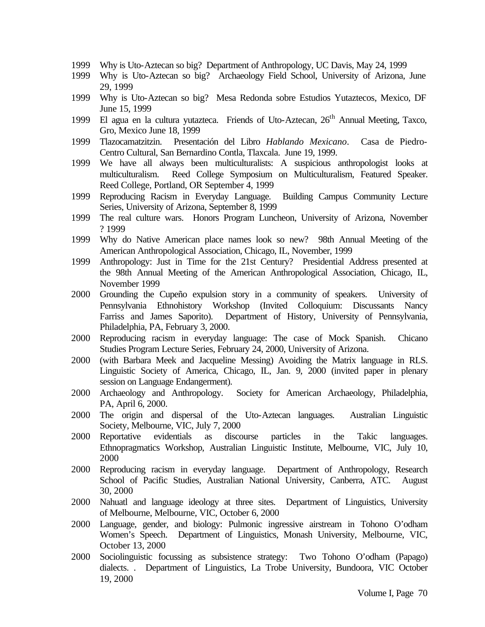- 1999 Why is Uto-Aztecan so big? Department of Anthropology, UC Davis, May 24, 1999
- 1999 Why is Uto-Aztecan so big? Archaeology Field School, University of Arizona, June 29, 1999
- 1999 Why is Uto-Aztecan so big? Mesa Redonda sobre Estudios Yutaztecos, Mexico, DF June 15, 1999
- 1999 El agua en la cultura yutazteca. Friends of Uto-Aztecan,  $26<sup>th</sup>$  Annual Meeting, Taxco, Gro, Mexico June 18, 1999
- 1999 Tlazocamatzitzin. Presentación del Libro *Hablando Mexicano*. Casa de Piedro-Centro Cultural, San Bernardino Contla, Tlaxcala. June 19, 1999.
- 1999 We have all always been multiculturalists: A suspicious anthropologist looks at multiculturalism. Reed College Symposium on Multiculturalism, Featured Speaker. Reed College, Portland, OR September 4, 1999
- 1999 Reproducing Racism in Everyday Language. Building Campus Community Lecture Series, University of Arizona, September 8, 1999
- 1999 The real culture wars. Honors Program Luncheon, University of Arizona, November ? 1999
- 1999 Why do Native American place names look so new? 98th Annual Meeting of the American Anthropological Association, Chicago, IL, November, 1999
- 1999 Anthropology: Just in Time for the 21st Century? Presidential Address presented at the 98th Annual Meeting of the American Anthropological Association, Chicago, IL, November 1999
- 2000 Grounding the Cupeño expulsion story in a community of speakers. University of Pennsylvania Ethnohistory Workshop (Invited Colloquium: Discussants Nancy Farriss and James Saporito). Department of History, University of Pennsylvania, Philadelphia, PA, February 3, 2000.
- 2000 Reproducing racism in everyday language: The case of Mock Spanish. Chicano Studies Program Lecture Series, February 24, 2000, University of Arizona.
- 2000 (with Barbara Meek and Jacqueline Messing) Avoiding the Matrix language in RLS. Linguistic Society of America, Chicago, IL, Jan. 9, 2000 (invited paper in plenary session on Language Endangerment).
- 2000 Archaeology and Anthropology. Society for American Archaeology, Philadelphia, PA, April 6, 2000.
- 2000 The origin and dispersal of the Uto-Aztecan languages. Australian Linguistic Society, Melbourne, VIC, July 7, 2000
- 2000 Reportative evidentials as discourse particles in the Takic languages. Ethnopragmatics Workshop, Australian Linguistic Institute, Melbourne, VIC, July 10, 2000
- 2000 Reproducing racism in everyday language. Department of Anthropology, Research School of Pacific Studies, Australian National University, Canberra, ATC. August 30, 2000
- 2000 Nahuatl and language ideology at three sites. Department of Linguistics, University of Melbourne, Melbourne, VIC, October 6, 2000
- 2000 Language, gender, and biology: Pulmonic ingressive airstream in Tohono O'odham Women's Speech. Department of Linguistics, Monash University, Melbourne, VIC, October 13, 2000
- 2000 Sociolinguistic focussing as subsistence strategy: Two Tohono O'odham (Papago) dialects. . Department of Linguistics, La Trobe University, Bundoora, VIC October 19, 2000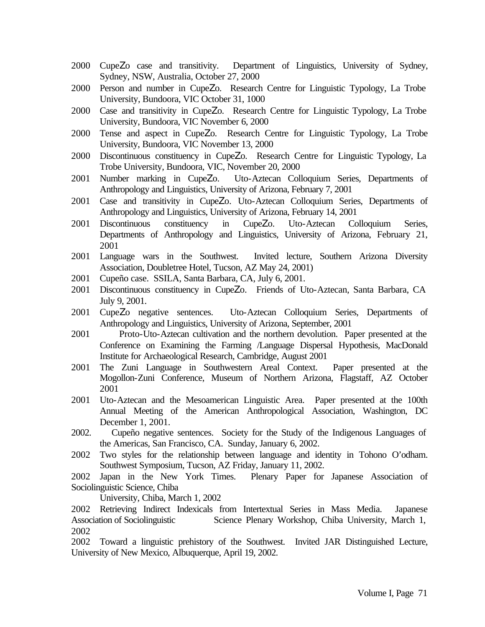- 2000 CupeΖo case and transitivity. Department of Linguistics, University of Sydney, Sydney, NSW, Australia, October 27, 2000
- 2000 Person and number in CupeΖo. Research Centre for Linguistic Typology, La Trobe University, Bundoora, VIC October 31, 1000
- 2000 Case and transitivity in CupeZo. Research Centre for Linguistic Typology, La Trobe University, Bundoora, VIC November 6, 2000
- 2000 Tense and aspect in CupeΖo. Research Centre for Linguistic Typology, La Trobe University, Bundoora, VIC November 13, 2000
- 2000 Discontinuous constituency in CupeΖo. Research Centre for Linguistic Typology, La Trobe University, Bundoora, VIC, November 20, 2000
- 2001 Number marking in CupeZo. Uto-Aztecan Colloquium Series, Departments of Anthropology and Linguistics, University of Arizona, February 7, 2001
- 2001 Case and transitivity in CupeΖo. Uto-Aztecan Colloquium Series, Departments of Anthropology and Linguistics, University of Arizona, February 14, 2001
- 2001 Discontinuous constituency in CupeZo. Uto-Aztecan Colloquium Series, Departments of Anthropology and Linguistics, University of Arizona, February 21, 2001
- 2001 Language wars in the Southwest. Invited lecture, Southern Arizona Diversity Association, Doubletree Hotel, Tucson, AZ May 24, 2001)
- 2001 Cupeño case. SSILA, Santa Barbara, CA, July 6, 2001.
- 2001 Discontinuous constituency in CupeΖo. Friends of Uto-Aztecan, Santa Barbara, CA July 9, 2001.
- 2001 CupeΖo negative sentences. Uto-Aztecan Colloquium Series, Departments of Anthropology and Linguistics, University of Arizona, September, 2001
- 2001 Proto-Uto-Aztecan cultivation and the northern devolution. Paper presented at the Conference on Examining the Farming /Language Dispersal Hypothesis, MacDonald Institute for Archaeological Research, Cambridge, August 2001
- 2001 The Zuni Language in Southwestern Areal Context. Paper presented at the Mogollon-Zuni Conference, Museum of Northern Arizona, Flagstaff, AZ October 2001
- 2001 Uto-Aztecan and the Mesoamerican Linguistic Area. Paper presented at the 100th Annual Meeting of the American Anthropological Association, Washington, DC December 1, 2001.
- 2002. Cupeño negative sentences. Society for the Study of the Indigenous Languages of the Americas, San Francisco, CA. Sunday, January 6, 2002.
- 2002 Two styles for the relationship between language and identity in Tohono O'odham. Southwest Symposium, Tucson, AZ Friday, January 11, 2002.

2002 Japan in the New York Times. Plenary Paper for Japanese Association of Sociolinguistic Science, Chiba

University, Chiba, March 1, 2002

2002 Retrieving Indirect Indexicals from Intertextual Series in Mass Media. Japanese Association of Sociolinguistic Science Plenary Workshop, Chiba University, March 1, 2002

2002 Toward a linguistic prehistory of the Southwest. Invited JAR Distinguished Lecture, University of New Mexico, Albuquerque, April 19, 2002.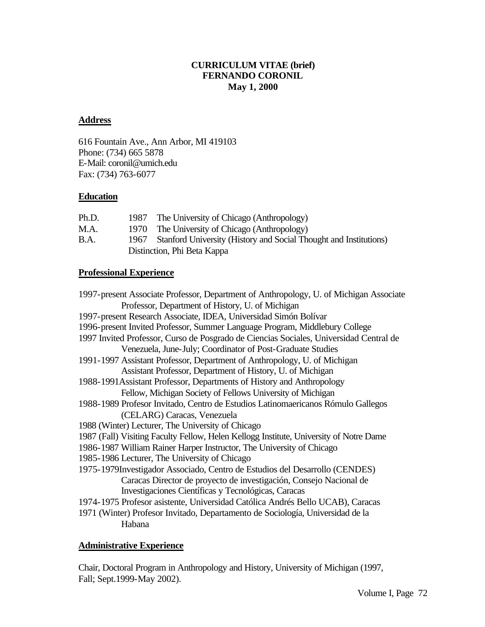# **CURRICULUM VITAE (brief) FERNANDO CORONIL May 1, 2000**

### **Address**

616 Fountain Ave., Ann Arbor, MI 419103 Phone: (734) 665 5878 E-Mail: coronil@umich.edu Fax: (734) 763-6077

## **Education**

| Ph.D.       | 1987 | The University of Chicago (Anthropology)                               |
|-------------|------|------------------------------------------------------------------------|
| M.A.        |      | 1970 The University of Chicago (Anthropology)                          |
| <b>B.A.</b> |      | 1967 Stanford University (History and Social Thought and Institutions) |
|             |      | Distinction, Phi Beta Kappa                                            |

# **Professional Experience**

| 1997-present Associate Professor, Department of Anthropology, U. of Michigan Associate |  |  |
|----------------------------------------------------------------------------------------|--|--|
| Professor, Department of History, U. of Michigan                                       |  |  |
| 1997-present Research Associate, IDEA, Universidad Simón Bolívar                       |  |  |
| 1996-present Invited Professor, Summer Language Program, Middlebury College            |  |  |
| 1997 Invited Professor, Curso de Posgrado de Ciencias Sociales, Universidad Central de |  |  |
| Venezuela, June-July; Coordinator of Post-Graduate Studies                             |  |  |
| 1991-1997 Assistant Professor, Department of Anthropology, U. of Michigan              |  |  |
| Assistant Professor, Department of History, U. of Michigan                             |  |  |
| 1988-1991 Assistant Professor, Departments of History and Anthropology                 |  |  |
| Fellow, Michigan Society of Fellows University of Michigan                             |  |  |
| 1988-1989 Profesor Invitado, Centro de Estudios Latinomaericanos Rómulo Gallegos       |  |  |
| (CELARG) Caracas, Venezuela                                                            |  |  |
| 1988 (Winter) Lecturer, The University of Chicago                                      |  |  |
| 1987 (Fall) Visiting Faculty Fellow, Helen Kellogg Institute, University of Notre Dame |  |  |
| 1986-1987 William Rainer Harper Instructor, The University of Chicago                  |  |  |
| 1985-1986 Lecturer, The University of Chicago                                          |  |  |
| 1975-1979 Investigador Associado, Centro de Estudios del Desarrollo (CENDES)           |  |  |
| Caracas Director de proyecto de investigación, Consejo Nacional de                     |  |  |
| Investigaciones Científicas y Tecnológicas, Caracas                                    |  |  |
| 1974-1975 Profesor asistente, Universidad Católica Andrés Bello UCAB), Caracas         |  |  |
| 1971 (Winter) Profesor Invitado, Departamento de Sociología, Universidad de la         |  |  |
| Habana                                                                                 |  |  |

# **Administrative Experience**

Chair, Doctoral Program in Anthropology and History, University of Michigan (1997, Fall; Sept.1999-May 2002).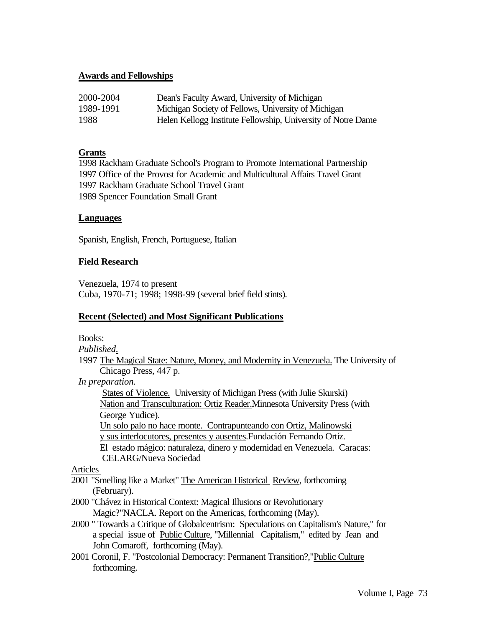## **Awards and Fellowships**

| 2000-2004 | Dean's Faculty Award, University of Michigan                 |
|-----------|--------------------------------------------------------------|
| 1989-1991 | Michigan Society of Fellows, University of Michigan          |
| 1988      | Helen Kellogg Institute Fellowship, University of Notre Dame |

## **Grants**

1998 Rackham Graduate School's Program to Promote International Partnership 1997 Office of the Provost for Academic and Multicultural Affairs Travel Grant 1997 Rackham Graduate School Travel Grant 1989 Spencer Foundation Small Grant

## **Languages**

Spanish, English, French, Portuguese, Italian

### **Field Research**

Venezuela, 1974 to present Cuba, 1970-71; 1998; 1998-99 (several brief field stints).

### **Recent (Selected) and Most Significant Publications**

| <b>Books:</b>                                                                        |
|--------------------------------------------------------------------------------------|
| Published.                                                                           |
| 1997 The Magical State: Nature, Money, and Modernity in Venezuela. The University of |
| Chicago Press, 447 p.                                                                |
| In preparation.                                                                      |
| States of Violence. University of Michigan Press (with Julie Skurski)                |
| Nation and Transculturation: Ortiz Reader. Minnesota University Press (with          |
| George Yudice).                                                                      |
| Un solo palo no hace monte. Contrapunteando con Ortiz, Malinowski                    |
| y sus interlocutores, presentes y ausentes. Fundación Fernando Ortíz.                |
| El estado mágico: naturaleza, dinero y modernidad en Venezuela. Caracas:             |
| <b>CELARG/Nueva Sociedad</b>                                                         |
| Articles                                                                             |
| 2001 "Smelling like a Market" The American Historical Review, forthcoming            |
| (February).                                                                          |
| 2000 "Chávez in Historical Context: Magical Illusions or Revolutionary               |
| Magic?"NACLA. Report on the Americas, forthcoming (May).                             |

- 2000 " Towards a Critique of Globalcentrism: Speculations on Capitalism's Nature," for a special issue of Public Culture, "Millennial Capitalism," edited by Jean and John Comaroff, forthcoming (May).
- 2001 Coronil, F. "Postcolonial Democracy: Permanent Transition?,"Public Culture forthcoming.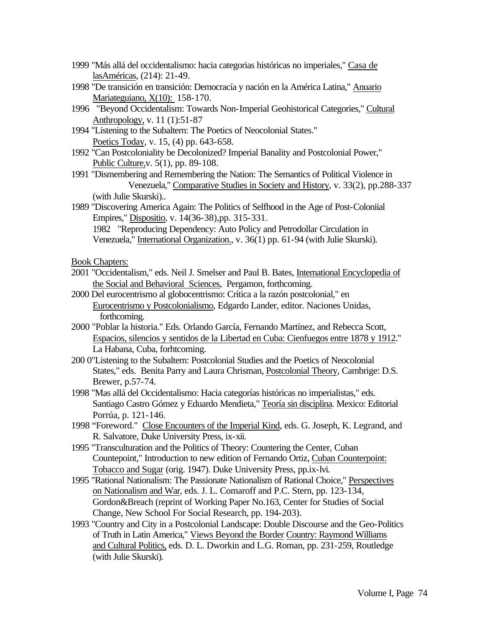- 1999 "Más allá del occidentalismo: hacia categorias históricas no imperiales," Casa de lasAméricas, (214): 21-49.
- 1998 "De transición en transición: Democracía y nación en la América Latina," Anuario Mariateguiano, X(10): 158-170.
- 1996 "Beyond Occidentalism: Towards Non-Imperial Geohistorical Categories," Cultural Anthropology, v. 11 (1):51-87
- 1994 "Listening to the Subaltern: The Poetics of Neocolonial States." Poetics Today, v. 15, (4) pp. 643-658.
- 1992 "Can Postcoloniality be Decolonized? Imperial Banality and Postcolonial Power," Public Culture,v. 5(1), pp. 89-108.
- 1991 "Dismembering and Remembering the Nation: The Semantics of Political Violence in Venezuela," Comparative Studies in Society and History, v. 33(2), pp.288-337 (with Julie Skurski)..
- 1989 "Discovering America Again: The Politics of Selfhood in the Age of Post-Coloniial Empires," Dispositio, v. 14(36-38),pp. 315-331. 1982 "Reproducing Dependency: Auto Policy and Petrodollar Circulation in Venezuela," International Organization., v. 36(1) pp. 61-94 (with Julie Skurski).

Book Chapters:

- 2001 "Occidentalism," eds. Neil J. Smelser and Paul B. Bates, International Encyclopedia of the Social and Behavioral Sciences, Pergamon, forthcoming.
- 2000 Del eurocentrismo al globocentrismo: Crítica a la razón postcolonial," en Eurocentrismo y Postcolonialismo, Edgardo Lander, editor. Naciones Unidas, forthcoming.
- 2000 "Poblar la historia." Eds. Orlando García, Fernando Martínez, and Rebecca Scott, Espacios, silencios y sentidos de la Libertad en Cuba: Cienfuegos entre 1878 y 1912." La Habana, Cuba, forhtcoming.
- 200 0"Listening to the Subaltern: Postcolonial Studies and the Poetics of Neocolonial States," eds. Benita Parry and Laura Chrisman, Postcolonial Theory, Cambrige: D.S. Brewer, p.57-74.
- 1998 "Mas allá del Occidentalismo: Hacia categorías históricas no imperialistas," eds. Santiago Castro Gómez y Eduardo Mendieta," Teoría sin disciplina. Mexico: Editorial Porrúa, p. 121-146.
- 1998 "Foreword." Close Encounters of the Imperial Kind, eds. G. Joseph, K. Legrand, and R. Salvatore, Duke University Press, ix-xii.
- 1995 "Transculturation and the Politics of Theory: Countering the Center, Cuban Countepoint," Introduction to new edition of Fernando Ortiz, Cuban Counterpoint: Tobacco and Sugar (orig. 1947). Duke University Press, pp.ix-lvi.
- 1995 "Rational Nationalism: The Passionate Nationalism of Rational Choice," Perspectives on Nationalism and War, eds. J. L. Comaroff and P.C. Stern, pp. 123-134, Gordon&Breach (reprint of Working Paper No.163, Center for Studies of Social Change, New School For Social Research, pp. 194-203).
- 1993 "Country and City in a Postcolonial Landscape: Double Discourse and the Geo-Politics of Truth in Latin America," Views Beyond the Border Country: Raymond Williams and Cultural Politics, eds. D. L. Dworkin and L.G. Roman, pp. 231-259, Routledge (with Julie Skurski).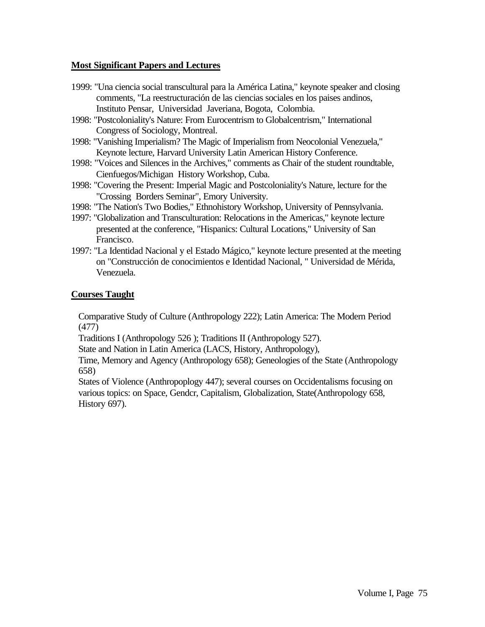## **Most Significant Papers and Lectures**

- 1999: "Una ciencia social transcultural para la América Latina," keynote speaker and closing comments, "La reestructuración de las ciencias sociales en los paises andinos, Instituto Pensar, Universidad Javeriana, Bogota, Colombia.
- 1998: "Postcoloniality's Nature: From Eurocentrism to Globalcentrism," International Congress of Sociology, Montreal.
- 1998: "Vanishing Imperialism? The Magic of Imperialism from Neocolonial Venezuela," Keynote lecture, Harvard University Latin American History Conference.
- 1998: "Voices and Silences in the Archives," comments as Chair of the student roundtable, Cienfuegos/Michigan History Workshop, Cuba.
- 1998: "Covering the Present: Imperial Magic and Postcoloniality's Nature, lecture for the "Crossing Borders Seminar", Emory University.
- 1998: "The Nation's Two Bodies," Ethnohistory Workshop, University of Pennsylvania.
- 1997: "Globalization and Transculturation: Relocations in the Americas," keynote lecture presented at the conference, "Hispanics: Cultural Locations," University of San Francisco.
- 1997: "La Identidad Nacional y el Estado Mágico," keynote lecture presented at the meeting on "Construcción de conocimientos e Identidad Nacional, " Universidad de Mérida, Venezuela.

## **Courses Taught**

Comparative Study of Culture (Anthropology 222); Latin America: The Modern Period (477)

Traditions I (Anthropology 526 ); Traditions II (Anthropology 527).

State and Nation in Latin America (LACS, History, Anthropology),

Time, Memory and Agency (Anthropology 658); Geneologies of the State (Anthropology 658)

States of Violence (Anthropoplogy 447); several courses on Occidentalisms focusing on various topics: on Space, Gendcr, Capitalism, Globalization, State(Anthropology 658, History 697).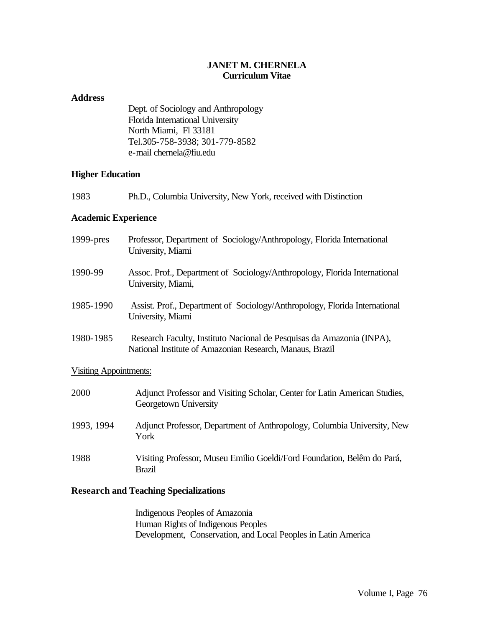# **JANET M. CHERNELA Curriculum Vitae**

### **Address**

Dept. of Sociology and Anthropology Florida International University North Miami, Fl 33181 Tel.305-758-3938; 301-779-8582 e-mail chernela@fiu.edu

### **Higher Education**

| 1983 | Ph.D., Columbia University, New York, received with Distinction |
|------|-----------------------------------------------------------------|
|------|-----------------------------------------------------------------|

## **Academic Experience**

| $1999$ -pres                                                                                                                                                                                                                                                                                            | Professor, Department of Sociology/Anthropology, Florida International<br>University, Miami                                       |
|---------------------------------------------------------------------------------------------------------------------------------------------------------------------------------------------------------------------------------------------------------------------------------------------------------|-----------------------------------------------------------------------------------------------------------------------------------|
| 1990-99                                                                                                                                                                                                                                                                                                 | Assoc. Prof., Department of Sociology/Anthropology, Florida International<br>University, Miami,                                   |
| 1985-1990                                                                                                                                                                                                                                                                                               | Assist. Prof., Department of Sociology/Anthropology, Florida International<br>University, Miami                                   |
| 1980-1985                                                                                                                                                                                                                                                                                               | Research Faculty, Instituto Nacional de Pesquisas da Amazonia (INPA),<br>National Institute of Amazonian Research, Manaus, Brazil |
| $\mathbf{X} \mathbf{Z}^*$ , $\mathbf{Z}^*$ , $\mathbf{Z}^*$ , $\mathbf{Z}^*$ , $\mathbf{Z}^*$ , $\mathbf{Z}^*$ , $\mathbf{Z}^*$ , $\mathbf{Z}^*$ , $\mathbf{Z}^*$ , $\mathbf{Z}^*$ , $\mathbf{Z}^*$ , $\mathbf{Z}^*$ , $\mathbf{Z}^*$ , $\mathbf{Z}^*$ , $\mathbf{Z}^*$ , $\mathbf{Z}^*$ , $\mathbf{Z}$ |                                                                                                                                   |

### Visiting Appointments:

| 2000       | Adjunct Professor and Visiting Scholar, Center for Latin American Studies,<br>Georgetown University |
|------------|-----------------------------------------------------------------------------------------------------|
| 1993, 1994 | Adjunct Professor, Department of Anthropology, Columbia University, New<br>York                     |
| 1988       | Visiting Professor, Museu Emilio Goeldi/Ford Foundation, Belêm do Pará,<br><b>Brazil</b>            |

## **Research and Teaching Specializations**

Indigenous Peoples of Amazonia Human Rights of Indigenous Peoples Development, Conservation, and Local Peoples in Latin America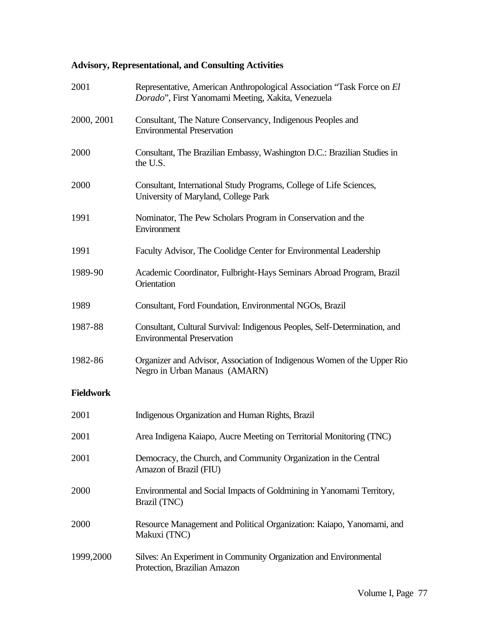# **Advisory, Representational, and Consulting Activities**

| 2001             | Representative, American Anthropological Association "Task Force on El<br>Dorado", First Yanomami Meeting, Xakita, Venezuela |  |
|------------------|------------------------------------------------------------------------------------------------------------------------------|--|
| 2000, 2001       | Consultant, The Nature Conservancy, Indigenous Peoples and<br><b>Environmental Preservation</b>                              |  |
| 2000             | Consultant, The Brazilian Embassy, Washington D.C.: Brazilian Studies in<br>the U.S.                                         |  |
| 2000             | Consultant, International Study Programs, College of Life Sciences,<br>University of Maryland, College Park                  |  |
| 1991             | Nominator, The Pew Scholars Program in Conservation and the<br>Environment                                                   |  |
| 1991             | Faculty Advisor, The Coolidge Center for Environmental Leadership                                                            |  |
| 1989-90          | Academic Coordinator, Fulbright-Hays Seminars Abroad Program, Brazil<br>Orientation                                          |  |
| 1989             | Consultant, Ford Foundation, Environmental NGOs, Brazil                                                                      |  |
| 1987-88          | Consultant, Cultural Survival: Indigenous Peoples, Self-Determination, and<br><b>Environmental Preservation</b>              |  |
| 1982-86          | Organizer and Advisor, Association of Indigenous Women of the Upper Rio<br>Negro in Urban Manaus (AMARN)                     |  |
| <b>Fieldwork</b> |                                                                                                                              |  |
| 2001             | Indigenous Organization and Human Rights, Brazil                                                                             |  |
| 2001             | Area Indigena Kaiapo, Aucre Meeting on Territorial Monitoring (TNC)                                                          |  |
| 2001             | Democracy, the Church, and Community Organization in the Central<br>Amazon of Brazil (FIU)                                   |  |
| 2000             | Environmental and Social Impacts of Goldmining in Yanomami Territory,<br>Brazil (TNC)                                        |  |
| 2000             | Resource Management and Political Organization: Kaiapo, Yanomami, and<br>Makuxi (TNC)                                        |  |
| 1999,2000        | Silves: An Experiment in Community Organization and Environmental<br>Protection, Brazilian Amazon                            |  |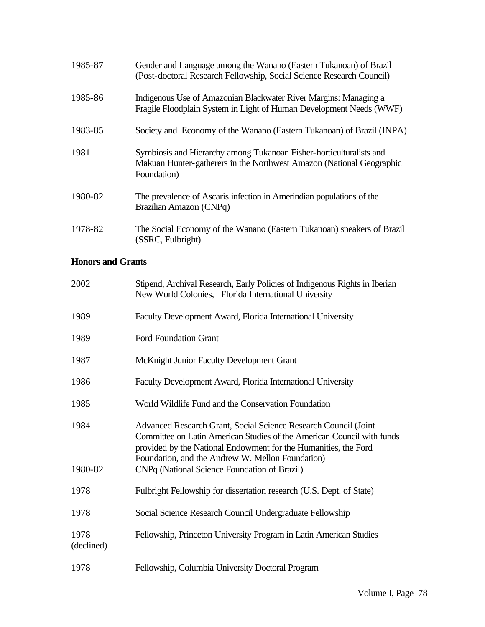| 1985-87 | Gender and Language among the Wanano (Eastern Tukanoan) of Brazil<br>(Post-doctoral Research Fellowship, Social Science Research Council)                  |
|---------|------------------------------------------------------------------------------------------------------------------------------------------------------------|
| 1985-86 | Indigenous Use of Amazonian Blackwater River Margins: Managing a<br>Fragile Floodplain System in Light of Human Development Needs (WWF)                    |
| 1983-85 | Society and Economy of the Wanano (Eastern Tukanoan) of Brazil (INPA)                                                                                      |
| 1981    | Symbiosis and Hierarchy among Tukanoan Fisher-horticulturalists and<br>Makuan Hunter-gatherers in the Northwest Amazon (National Geographic<br>Foundation) |
| 1980-82 | The prevalence of Ascaris infection in Amerindian populations of the<br>Brazilian Amazon (CNPq)                                                            |
| 1978-82 | The Social Economy of the Wanano (Eastern Tukanoan) speakers of Brazil<br>(SSRC, Fulbright)                                                                |

# **Honors and Grants**

| 2002               | Stipend, Archival Research, Early Policies of Indigenous Rights in Iberian<br>New World Colonies, Florida International University                                                                                                                               |  |
|--------------------|------------------------------------------------------------------------------------------------------------------------------------------------------------------------------------------------------------------------------------------------------------------|--|
| 1989               | Faculty Development Award, Florida International University                                                                                                                                                                                                      |  |
| 1989               | <b>Ford Foundation Grant</b>                                                                                                                                                                                                                                     |  |
| 1987               | McKnight Junior Faculty Development Grant                                                                                                                                                                                                                        |  |
| 1986               | Faculty Development Award, Florida International University                                                                                                                                                                                                      |  |
| 1985               | World Wildlife Fund and the Conservation Foundation                                                                                                                                                                                                              |  |
| 1984               | Advanced Research Grant, Social Science Research Council (Joint<br>Committee on Latin American Studies of the American Council with funds<br>provided by the National Endowment for the Humanities, the Ford<br>Foundation, and the Andrew W. Mellon Foundation) |  |
| 1980-82            | CNPq (National Science Foundation of Brazil)                                                                                                                                                                                                                     |  |
| 1978               | Fulbright Fellowship for dissertation research (U.S. Dept. of State)                                                                                                                                                                                             |  |
| 1978               | Social Science Research Council Undergraduate Fellowship                                                                                                                                                                                                         |  |
| 1978<br>(declined) | Fellowship, Princeton University Program in Latin American Studies                                                                                                                                                                                               |  |
| 1978               | Fellowship, Columbia University Doctoral Program                                                                                                                                                                                                                 |  |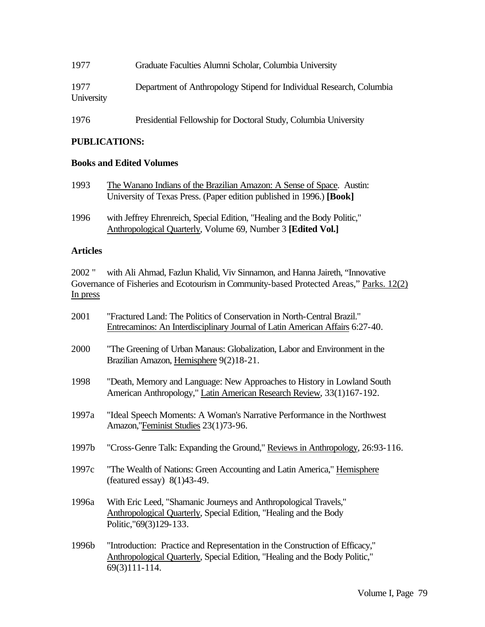| 1977               | Graduate Faculties Alumni Scholar, Columbia University               |
|--------------------|----------------------------------------------------------------------|
| 1977<br>University | Department of Anthropology Stipend for Individual Research, Columbia |

1976 Presidential Fellowship for Doctoral Study, Columbia University

## **PUBLICATIONS:**

### **Books and Edited Volumes**

- 1993 The Wanano Indians of the Brazilian Amazon: A Sense of Space. Austin: University of Texas Press. (Paper edition published in 1996.) **[Book]**
- 1996 with Jeffrey Ehrenreich, Special Edition, "Healing and the Body Politic," Anthropological Quarterly, Volume 69, Number 3 **[Edited Vol.]**

### **Articles**

2002 " with Ali Ahmad, Fazlun Khalid, Viv Sinnamon, and Hanna Jaireth, "Innovative Governance of Fisheries and Ecotourism in Community-based Protected Areas," Parks. 12(2) In press

- 2001 "Fractured Land: The Politics of Conservation in North-Central Brazil." Entrecaminos: An Interdisciplinary Journal of Latin American Affairs 6:27-40.
- 2000 "The Greening of Urban Manaus: Globalization, Labor and Environment in the Brazilian Amazon, Hemisphere 9(2)18-21.
- 1998 "Death, Memory and Language: New Approaches to History in Lowland South American Anthropology," Latin American Research Review, 33(1)167-192.
- 1997a "Ideal Speech Moments: A Woman's Narrative Performance in the Northwest Amazon,"Feminist Studies 23(1)73-96.
- 1997b "Cross-Genre Talk: Expanding the Ground," Reviews in Anthropology, 26:93-116.
- 1997c "The Wealth of Nations: Green Accounting and Latin America," Hemisphere (featured essay) 8(1)43-49.
- 1996a With Eric Leed, "Shamanic Journeys and Anthropological Travels," Anthropological Quarterly, Special Edition, "Healing and the Body Politic,"69(3)129-133.
- 1996b "Introduction: Practice and Representation in the Construction of Efficacy," Anthropological Quarterly, Special Edition, "Healing and the Body Politic," 69(3)111-114.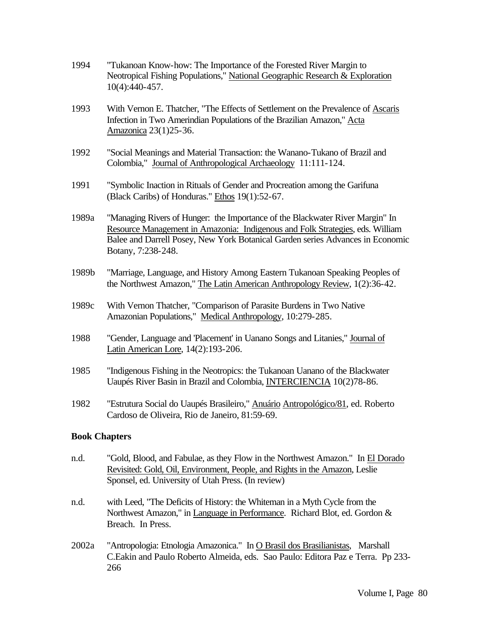- 1994 "Tukanoan Know-how: The Importance of the Forested River Margin to Neotropical Fishing Populations," National Geographic Research & Exploration 10(4):440-457.
- 1993 With Vernon E. Thatcher, "The Effects of Settlement on the Prevalence of Ascaris Infection in Two Amerindian Populations of the Brazilian Amazon," Acta Amazonica 23(1)25-36.
- 1992 "Social Meanings and Material Transaction: the Wanano-Tukano of Brazil and Colombia," Journal of Anthropological Archaeology 11:111-124.
- 1991 "Symbolic Inaction in Rituals of Gender and Procreation among the Garifuna (Black Caribs) of Honduras." Ethos 19(1):52-67.
- 1989a "Managing Rivers of Hunger: the Importance of the Blackwater River Margin" In Resource Management in Amazonia: Indigenous and Folk Strategies, eds. William Balee and Darrell Posey, New York Botanical Garden series Advances in Economic Botany, 7:238-248.
- 1989b "Marriage, Language, and History Among Eastern Tukanoan Speaking Peoples of the Northwest Amazon," The Latin American Anthropology Review, 1(2):36-42.
- 1989c With Vernon Thatcher, "Comparison of Parasite Burdens in Two Native Amazonian Populations," Medical Anthropology, 10:279-285.
- 1988 "Gender, Language and 'Placement' in Uanano Songs and Litanies," Journal of Latin American Lore, 14(2):193-206.
- 1985 "Indigenous Fishing in the Neotropics: the Tukanoan Uanano of the Blackwater Uaupés River Basin in Brazil and Colombia, INTERCIENCIA 10(2)78-86.
- 1982 "Estrutura Social do Uaupés Brasileiro," Anuário Antropológico/81, ed. Roberto Cardoso de Oliveira, Rio de Janeiro, 81:59-69.

### **Book Chapters**

- n.d. "Gold, Blood, and Fabulae, as they Flow in the Northwest Amazon." In El Dorado Revisited: Gold, Oil, Environment, People, and Rights in the Amazon, Leslie Sponsel, ed. University of Utah Press. (In review)
- n.d. with Leed, "The Deficits of History: the Whiteman in a Myth Cycle from the Northwest Amazon," in Language in Performance. Richard Blot, ed. Gordon & Breach. In Press.
- 2002a "Antropologia: Etnologia Amazonica." In O Brasil dos Brasilianistas, Marshall C.Eakin and Paulo Roberto Almeida, eds. Sao Paulo: Editora Paz e Terra. Pp 233- 266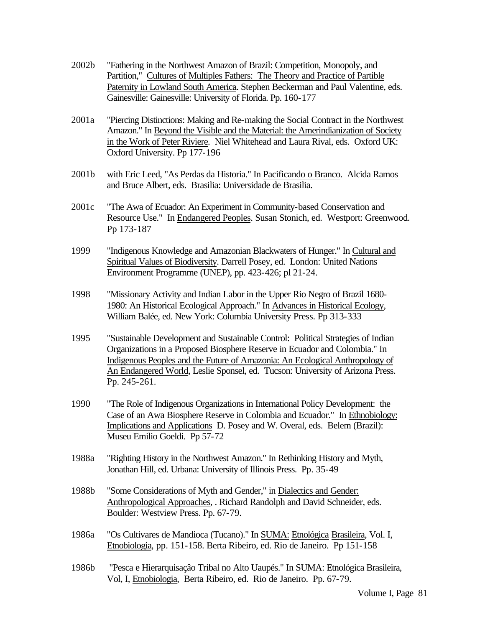- 2002b "Fathering in the Northwest Amazon of Brazil: Competition, Monopoly, and Partition," Cultures of Multiples Fathers: The Theory and Practice of Partible Paternity in Lowland South America. Stephen Beckerman and Paul Valentine, eds. Gainesville: Gainesville: University of Florida. Pp. 160-177
- 2001a "Piercing Distinctions: Making and Re-making the Social Contract in the Northwest Amazon." In Beyond the Visible and the Material: the Amerindianization of Society in the Work of Peter Riviere. Niel Whitehead and Laura Rival, eds. Oxford UK: Oxford University. Pp 177-196
- 2001b with Eric Leed, "As Perdas da Historia." In Pacificando o Branco. Alcida Ramos and Bruce Albert, eds. Brasilia: Universidade de Brasilia.
- 2001c "The Awa of Ecuador: An Experiment in Community-based Conservation and Resource Use." In Endangered Peoples. Susan Stonich, ed. Westport: Greenwood. Pp 173-187
- 1999 "Indigenous Knowledge and Amazonian Blackwaters of Hunger." In Cultural and Spiritual Values of Biodiversity. Darrell Posey, ed. London: United Nations Environment Programme (UNEP), pp. 423-426; pl 21-24.
- 1998 "Missionary Activity and Indian Labor in the Upper Rio Negro of Brazil 1680- 1980: An Historical Ecological Approach." In Advances in Historical Ecology, William Balée, ed. New York: Columbia University Press. Pp 313-333
- 1995 "Sustainable Development and Sustainable Control: Political Strategies of Indian Organizations in a Proposed Biosphere Reserve in Ecuador and Colombia." In Indigenous Peoples and the Future of Amazonia: An Ecological Anthropology of An Endangered World, Leslie Sponsel, ed. Tucson: University of Arizona Press. Pp. 245-261.
- 1990 "The Role of Indigenous Organizations in International Policy Development: the Case of an Awa Biosphere Reserve in Colombia and Ecuador." In Ethnobiology: Implications and Applications D. Posey and W. Overal, eds. Belem (Brazil): Museu Emilio Goeldi. Pp 57-72
- 1988a "Righting History in the Northwest Amazon." In Rethinking History and Myth, Jonathan Hill, ed. Urbana: University of Illinois Press. Pp. 35-49
- 1988b "Some Considerations of Myth and Gender," in Dialectics and Gender: Anthropological Approaches, . Richard Randolph and David Schneider, eds. Boulder: Westview Press. Pp. 67-79.
- 1986a "Os Cultivares de Mandioca (Tucano)." In SUMA: Etnológica Brasileira, Vol. I, Etnobiologia, pp. 151-158. Berta Ribeiro, ed. Rio de Janeiro. Pp 151-158
- 1986b "Pesca e Hierarquisaçâo Tribal no Alto Uaupés." In SUMA: Etnológica Brasileira, Vol, I, Etnobiologia, Berta Ribeiro, ed. Rio de Janeiro. Pp. 67-79.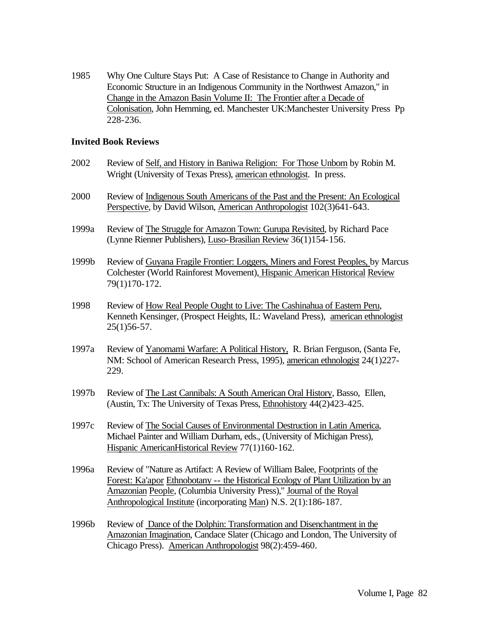1985 Why One Culture Stays Put: A Case of Resistance to Change in Authority and Economic Structure in an Indigenous Community in the Northwest Amazon," in Change in the Amazon Basin Volume II: The Frontier after a Decade of Colonisation, John Hemming, ed. Manchester UK:Manchester University Press Pp 228-236.

### **Invited Book Reviews**

- 2002 Review of Self, and History in Baniwa Religion: For Those Unborn by Robin M. Wright (University of Texas Press), american ethnologist. In press.
- 2000 Review of Indigenous South Americans of the Past and the Present: An Ecological Perspective, by David Wilson, American Anthropologist 102(3)641-643.
- 1999a Review of The Struggle for Amazon Town: Gurupa Revisited, by Richard Pace (Lynne Rienner Publishers), Luso-Brasilian Review 36(1)154-156.
- 1999b Review of Guyana Fragile Frontier: Loggers, Miners and Forest Peoples, by Marcus Colchester (World Rainforest Movement), Hispanic American Historical Review 79(1)170-172.
- 1998 Review of How Real People Ought to Live: The Cashinahua of Eastern Peru, Kenneth Kensinger, (Prospect Heights, IL: Waveland Press), american ethnologist 25(1)56-57.
- 1997a Review of Yanomami Warfare: A Political History, R. Brian Ferguson, (Santa Fe, NM: School of American Research Press, 1995), american ethnologist 24(1)227- 229.
- 1997b Review of The Last Cannibals: A South American Oral History, Basso, Ellen, (Austin, Tx: The University of Texas Press, Ethnohistory 44(2)423-425.
- 1997c Review of The Social Causes of Environmental Destruction in Latin America, Michael Painter and William Durham, eds., (University of Michigan Press), Hispanic AmericanHistorical Review 77(1)160-162.
- 1996a Review of "Nature as Artifact: A Review of William Balee, Footprints of the Forest: Ka'apor Ethnobotany -- the Historical Ecology of Plant Utilization by an Amazonian People, (Columbia University Press)," Journal of the Royal Anthropological Institute (incorporating Man) N.S. 2(1):186-187.
- 1996b Review of Dance of the Dolphin: Transformation and Disenchantment in the Amazonian Imagination, Candace Slater (Chicago and London, The University of Chicago Press). American Anthropologist 98(2):459-460.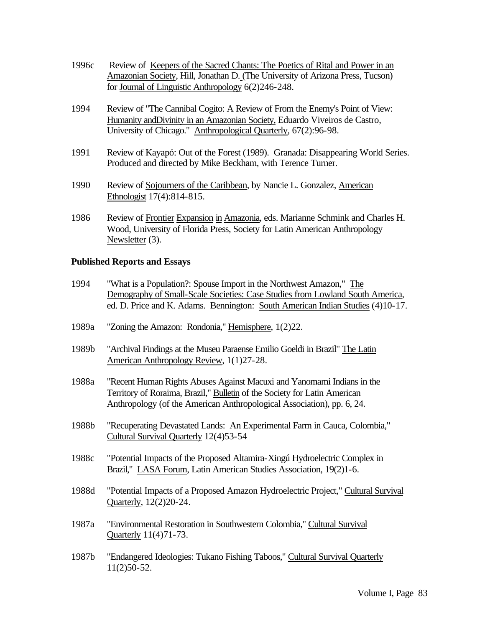- 1996c Review of Keepers of the Sacred Chants: The Poetics of Rital and Power in an Amazonian Society, Hill, Jonathan D. (The University of Arizona Press, Tucson) for Journal of Linguistic Anthropology 6(2)246-248.
- 1994 Review of "The Cannibal Cogito: A Review of From the Enemy's Point of View: Humanity andDivinity in an Amazonian Society, Eduardo Viveiros de Castro, University of Chicago." Anthropological Quarterly, 67(2):96-98.
- 1991 Review of Kayapó: Out of the Forest (1989). Granada: Disappearing World Series. Produced and directed by Mike Beckham, with Terence Turner.
- 1990 Review of Sojourners of the Caribbean, by Nancie L. Gonzalez, American Ethnologist 17(4):814-815.
- 1986 Review of Frontier Expansion in Amazonia, eds. Marianne Schmink and Charles H. Wood, University of Florida Press, Society for Latin American Anthropology Newsletter (3).

### **Published Reports and Essays**

- 1994 "What is a Population?: Spouse Import in the Northwest Amazon," The Demography of Small-Scale Societies: Case Studies from Lowland South America, ed. D. Price and K. Adams. Bennington: South American Indian Studies (4)10-17.
- 1989a "Zoning the Amazon: Rondonia," Hemisphere, 1(2)22.
- 1989b "Archival Findings at the Museu Paraense Emilio Goeldi in Brazil" The Latin American Anthropology Review, 1(1)27-28.
- 1988a "Recent Human Rights Abuses Against Macuxi and Yanomami Indians in the Territory of Roraima, Brazil," Bulletin of the Society for Latin American Anthropology (of the American Anthropological Association), pp. 6, 24.
- 1988b "Recuperating Devastated Lands: An Experimental Farm in Cauca, Colombia," Cultural Survival Quarterly 12(4)53-54
- 1988c "Potential Impacts of the Proposed Altamira-Xingú Hydroelectric Complex in Brazil," LASA Forum, Latin American Studies Association, 19(2)1-6.
- 1988d "Potential Impacts of a Proposed Amazon Hydroelectric Project," Cultural Survival Quarterly, 12(2)20-24.
- 1987a "Environmental Restoration in Southwestern Colombia," Cultural Survival Quarterly 11(4)71-73.
- 1987b "Endangered Ideologies: Tukano Fishing Taboos," Cultural Survival Quarterly 11(2)50-52.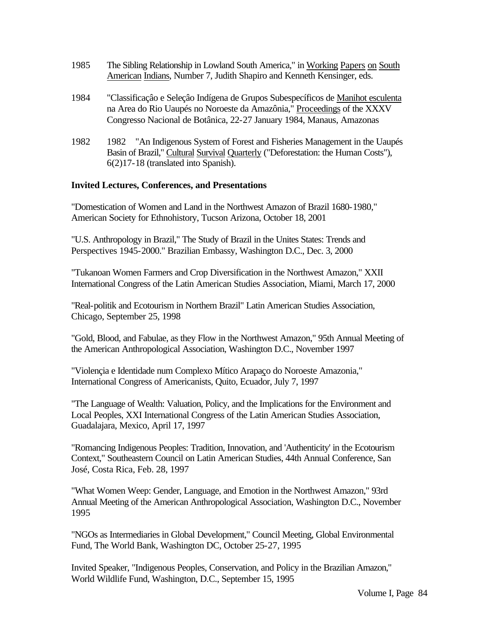- 1985 The Sibling Relationship in Lowland South America," in Working Papers on South American Indians, Number 7, Judith Shapiro and Kenneth Kensinger, eds.
- 1984 "Classificaçâo e Seleçâo Indígena de Grupos Subespecíficos de Manihot esculenta na Area do Rio Uaupés no Noroeste da Amazônia," Proceedings of the XXXV Congresso Nacional de Botânica, 22-27 January 1984, Manaus, Amazonas
- 1982 1982 "An Indigenous System of Forest and Fisheries Management in the Uaupés Basin of Brazil," Cultural Survival Quarterly ("Deforestation: the Human Costs"), 6(2)17-18 (translated into Spanish).

### **Invited Lectures, Conferences, and Presentations**

"Domestication of Women and Land in the Northwest Amazon of Brazil 1680-1980," American Society for Ethnohistory, Tucson Arizona, October 18, 2001

"U.S. Anthropology in Brazil," The Study of Brazil in the Unites States: Trends and Perspectives 1945-2000." Brazilian Embassy, Washington D.C., Dec. 3, 2000

"Tukanoan Women Farmers and Crop Diversification in the Northwest Amazon," XXII International Congress of the Latin American Studies Association, Miami, March 17, 2000

"Real-politik and Ecotourism in Northern Brazil" Latin American Studies Association, Chicago, September 25, 1998

"Gold, Blood, and Fabulae, as they Flow in the Northwest Amazon," 95th Annual Meeting of the American Anthropological Association, Washington D.C., November 1997

"Violençia e Identidade num Complexo Mítico Arapaço do Noroeste Amazonia," International Congress of Americanists, Quito, Ecuador, July 7, 1997

"The Language of Wealth: Valuation, Policy, and the Implications for the Environment and Local Peoples, XXI International Congress of the Latin American Studies Association, Guadalajara, Mexico, April 17, 1997

"Romancing Indigenous Peoples: Tradition, Innovation, and 'Authenticity' in the Ecotourism Context," Southeastern Council on Latin American Studies, 44th Annual Conference, San José, Costa Rica, Feb. 28, 1997

"What Women Weep: Gender, Language, and Emotion in the Northwest Amazon," 93rd Annual Meeting of the American Anthropological Association, Washington D.C., November 1995

"NGOs as Intermediaries in Global Development," Council Meeting, Global Environmental Fund, The World Bank, Washington DC, October 25-27, 1995

Invited Speaker, "Indigenous Peoples, Conservation, and Policy in the Brazilian Amazon," World Wildlife Fund, Washington, D.C., September 15, 1995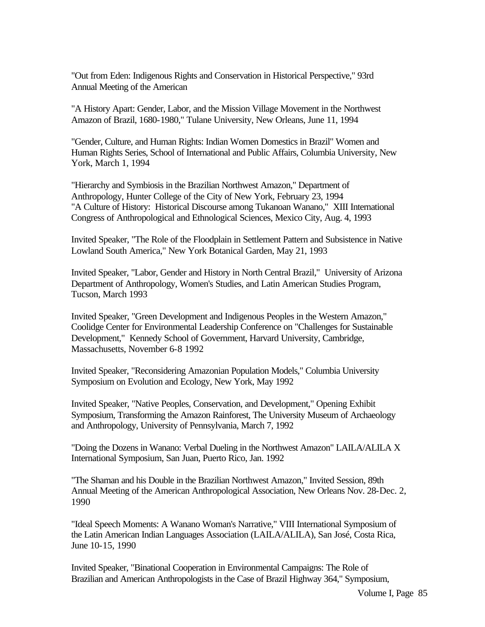"Out from Eden: Indigenous Rights and Conservation in Historical Perspective," 93rd Annual Meeting of the American

"A History Apart: Gender, Labor, and the Mission Village Movement in the Northwest Amazon of Brazil, 1680-1980," Tulane University, New Orleans, June 11, 1994

"Gender, Culture, and Human Rights: Indian Women Domestics in Brazil" Women and Human Rights Series, School of International and Public Affairs, Columbia University, New York, March 1, 1994

"Hierarchy and Symbiosis in the Brazilian Northwest Amazon," Department of Anthropology, Hunter College of the City of New York, February 23, 1994 "A Culture of History: Historical Discourse among Tukanoan Wanano," XIII International Congress of Anthropological and Ethnological Sciences, Mexico City, Aug. 4, 1993

Invited Speaker, "The Role of the Floodplain in Settlement Pattern and Subsistence in Native Lowland South America," New York Botanical Garden, May 21, 1993

Invited Speaker, "Labor, Gender and History in North Central Brazil," University of Arizona Department of Anthropology, Women's Studies, and Latin American Studies Program, Tucson, March 1993

Invited Speaker, "Green Development and Indigenous Peoples in the Western Amazon," Coolidge Center for Environmental Leadership Conference on "Challenges for Sustainable Development," Kennedy School of Government, Harvard University, Cambridge, Massachusetts, November 6-8 1992

Invited Speaker, "Reconsidering Amazonian Population Models," Columbia University Symposium on Evolution and Ecology, New York, May 1992

Invited Speaker, "Native Peoples, Conservation, and Development," Opening Exhibit Symposium, Transforming the Amazon Rainforest, The University Museum of Archaeology and Anthropology, University of Pennsylvania, March 7, 1992

"Doing the Dozens in Wanano: Verbal Dueling in the Northwest Amazon" LAILA/ALILA X International Symposium, San Juan, Puerto Rico, Jan. 1992

"The Shaman and his Double in the Brazilian Northwest Amazon," Invited Session, 89th Annual Meeting of the American Anthropological Association, New Orleans Nov. 28-Dec. 2, 1990

"Ideal Speech Moments: A Wanano Woman's Narrative," VIII International Symposium of the Latin American Indian Languages Association (LAILA/ALILA), San José, Costa Rica, June 10-15, 1990

Invited Speaker, "Binational Cooperation in Environmental Campaigns: The Role of Brazilian and American Anthropologists in the Case of Brazil Highway 364," Symposium,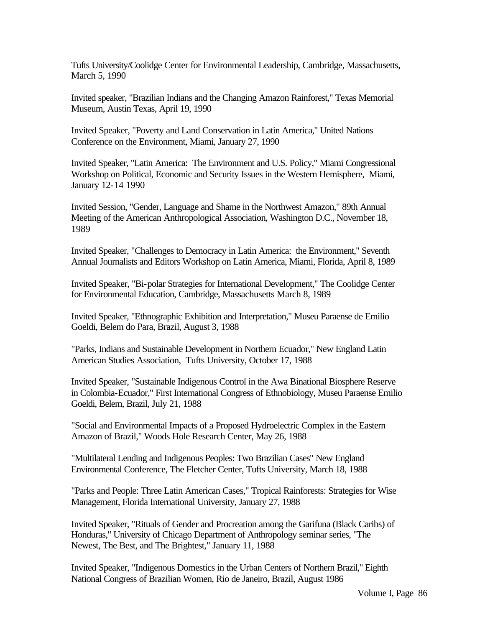Tufts University/Coolidge Center for Environmental Leadership, Cambridge, Massachusetts, March 5, 1990

Invited speaker, "Brazilian Indians and the Changing Amazon Rainforest," Texas Memorial Museum, Austin Texas, April 19, 1990

Invited Speaker, "Poverty and Land Conservation in Latin America," United Nations Conference on the Environment, Miami, January 27, 1990

Invited Speaker, "Latin America: The Environment and U.S. Policy," Miami Congressional Workshop on Political, Economic and Security Issues in the Western Hemisphere, Miami, January 12-14 1990

Invited Session, "Gender, Language and Shame in the Northwest Amazon," 89th Annual Meeting of the American Anthropological Association, Washington D.C., November 18, 1989

Invited Speaker, "Challenges to Democracy in Latin America: the Environment," Seventh Annual Journalists and Editors Workshop on Latin America, Miami, Florida, April 8, 1989

Invited Speaker, "Bi-polar Strategies for International Development," The Coolidge Center for Environmental Education, Cambridge, Massachusetts March 8, 1989

Invited Speaker, "Ethnographic Exhibition and Interpretation," Museu Paraense de Emilio Goeldi, Belem do Para, Brazil, August 3, 1988

"Parks, Indians and Sustainable Development in Northern Ecuador," New England Latin American Studies Association, Tufts University, October 17, 1988

Invited Speaker, "Sustainable Indigenous Control in the Awa Binational Biosphere Reserve in Colombia-Ecuador," First International Congress of Ethnobiology, Museu Paraense Emilio Goeldi, Belem, Brazil, July 21, 1988

"Social and Environmental Impacts of a Proposed Hydroelectric Complex in the Eastern Amazon of Brazil," Woods Hole Research Center, May 26, 1988

"Multilateral Lending and Indigenous Peoples: Two Brazilian Cases" New England Environmental Conference, The Fletcher Center, Tufts University, March 18, 1988

"Parks and People: Three Latin American Cases," Tropical Rainforests: Strategies for Wise Management, Florida International University, January 27, 1988

Invited Speaker, "Rituals of Gender and Procreation among the Garifuna (Black Caribs) of Honduras," University of Chicago Department of Anthropology seminar series, "The Newest, The Best, and The Brightest," January 11, 1988

Invited Speaker, "Indigenous Domestics in the Urban Centers of Northern Brazil," Eighth National Congress of Brazilian Women, Rio de Janeiro, Brazil, August 1986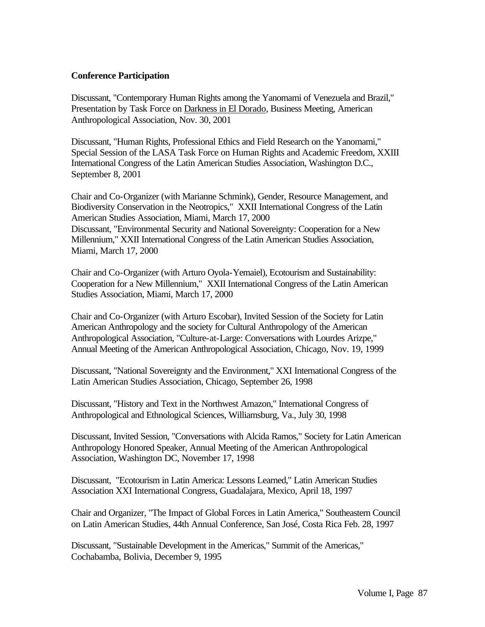## **Conference Participation**

Discussant, "Contemporary Human Rights among the Yanomami of Venezuela and Brazil," Presentation by Task Force on Darkness in El Dorado, Business Meeting, American Anthropological Association, Nov. 30, 2001

Discussant, "Human Rights, Professional Ethics and Field Research on the Yanomami," Special Session of the LASA Task Force on Human Rights and Academic Freedom, XXIII International Congress of the Latin American Studies Association, Washington D.C., September 8, 2001

Chair and Co-Organizer (with Marianne Schmink), Gender, Resource Management, and Biodiversity Conservation in the Neotropics," XXII International Congress of the Latin American Studies Association, Miami, March 17, 2000 Discussant, "Environmental Security and National Sovereignty: Cooperation for a New Millennium," XXII International Congress of the Latin American Studies Association, Miami, March 17, 2000

Chair and Co-Organizer (with Arturo Oyola-Yemaiel), Ecotourism and Sustainability: Cooperation for a New Millennium," XXII International Congress of the Latin American Studies Association, Miami, March 17, 2000

Chair and Co-Organizer (with Arturo Escobar), Invited Session of the Society for Latin American Anthropology and the society for Cultural Anthropology of the American Anthropological Association, "Culture-at-Large: Conversations with Lourdes Arizpe," Annual Meeting of the American Anthropological Association, Chicago, Nov. 19, 1999

Discussant, "National Sovereignty and the Environment," XXI International Congress of the Latin American Studies Association, Chicago, September 26, 1998

Discussant, "History and Text in the Northwest Amazon," International Congress of Anthropological and Ethnological Sciences, Williamsburg, Va., July 30, 1998

Discussant, Invited Session, "Conversations with Alcida Ramos," Society for Latin American Anthropology Honored Speaker, Annual Meeting of the American Anthropological Association, Washington DC, November 17, 1998

Discussant, "Ecotourism in Latin America: Lessons Learned," Latin American Studies Association XXI International Congress, Guadalajara, Mexico, April 18, 1997

Chair and Organizer, "The Impact of Global Forces in Latin America," Southeastern Council on Latin American Studies, 44th Annual Conference, San José, Costa Rica Feb. 28, 1997

Discussant, "Sustainable Development in the Americas," Summit of the Americas," Cochabamba, Bolivia, December 9, 1995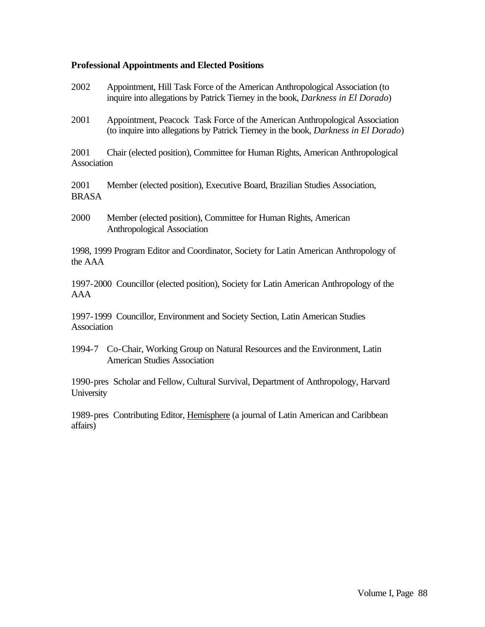## **Professional Appointments and Elected Positions**

| 2002                 | Appointment, Hill Task Force of the American Anthropological Association (to<br>inquire into allegations by Patrick Tierney in the book, Darkness in El Dorado)            |  |
|----------------------|----------------------------------------------------------------------------------------------------------------------------------------------------------------------------|--|
| 2001                 | Appointment, Peacock Task Force of the American Anthropological Association<br>(to inquire into allegations by Patrick Tierney in the book, <i>Darkness in El Dorado</i> ) |  |
| 2001<br>Association  | Chair (elected position), Committee for Human Rights, American Anthropological                                                                                             |  |
| 2001<br><b>BRASA</b> | Member (elected position), Executive Board, Brazilian Studies Association,                                                                                                 |  |
| 2000                 | Member (elected position), Committee for Human Rights, American<br><b>Anthropological Association</b>                                                                      |  |
| the AAA              | 1998, 1999 Program Editor and Coordinator, Society for Latin American Anthropology of                                                                                      |  |
|                      | 1007 2000 Councillor (algebra position) Society for Letin American Anthropology of the                                                                                     |  |

1997-2000 Councillor (elected position), Society for Latin American Anthropology of the AAA

1997-1999 Councillor, Environment and Society Section, Latin American Studies Association

1994-7 Co-Chair, Working Group on Natural Resources and the Environment, Latin American Studies Association

1990-pres Scholar and Fellow, Cultural Survival, Department of Anthropology, Harvard **University** 

1989-pres Contributing Editor, Hemisphere (a journal of Latin American and Caribbean affairs)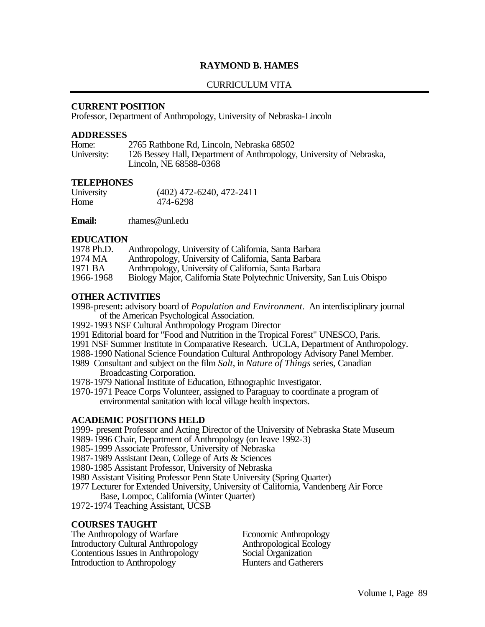## **RAYMOND B. HAMES**

### CURRICULUM VITA

### **CURRENT POSITION**

Professor, Department of Anthropology, University of Nebraska-Lincoln

### **ADDRESSES**

| Home:       | 2765 Rathbone Rd, Lincoln, Nebraska 68502                            |  |
|-------------|----------------------------------------------------------------------|--|
| University: | 126 Bessey Hall, Department of Anthropology, University of Nebraska, |  |
|             | Lincoln, NE 68588-0368                                               |  |

### **TELEPHONES**

| University | $(402)$ 472-6240, 472-2411 |
|------------|----------------------------|
| Home       | 474-6298                   |

**Email:** rhames@unl.edu

### **EDUCATION**

| 1978 Ph.D. | Anthropology, University of California, Santa Barbara                   |
|------------|-------------------------------------------------------------------------|
| 1974 MA    | Anthropology, University of California, Santa Barbara                   |
| 1971 BA    | Anthropology, University of California, Santa Barbara                   |
| 1966-1968  | Biology Major, California State Polytechnic University, San Luis Obispo |

### **OTHER ACTIVITIES**

- 1998-present**:** advisory board of *Population and Environment*. An interdisciplinary journal of the American Psychological Association.
- 1992-1993 NSF Cultural Anthropology Program Director
- 1991 Editorial board for "Food and Nutrition in the Tropical Forest" UNESCO, Paris.
- 1991 NSF Summer Institute in Comparative Research. UCLA, Department of Anthropology.
- 1988-1990 National Science Foundation Cultural Anthropology Advisory Panel Member.
- 1989 Consultant and subject on the film *Salt*, in *Nature of Things* series, Canadian Broadcasting Corporation.
- 1978-1979 National Institute of Education, Ethnographic Investigator.
- 1970-1971 Peace Corps Volunteer, assigned to Paraguay to coordinate a program of environmental sanitation with local village health inspectors.

### **ACADEMIC POSITIONS HELD**

- 1999- present Professor and Acting Director of the University of Nebraska State Museum
- 1989-1996 Chair, Department of Anthropology (on leave 1992-3)
- 1985-1999 Associate Professor, University of Nebraska
- 1987-1989 Assistant Dean, College of Arts & Sciences
- 1980-1985 Assistant Professor, University of Nebraska
- 1980 Assistant Visiting Professor Penn State University (Spring Quarter)
- 1977 Lecturer for Extended University, University of California, Vandenberg Air Force
- Base, Lompoc, California (Winter Quarter)
- 1972-1974 Teaching Assistant, UCSB

### **COURSES TAUGHT**

The Anthropology of Warfare Economic Anthropology<br>
Introductory Cultural Anthropology Anthropological Ecology Introductory Cultural Anthropology Anthropological Ecc<br>
Contentious Issues in Anthropology Social Organization Contentious Issues in Anthropology<br>
Introduction to Anthropology<br>
Hunters and Gatherers Introduction to Anthropology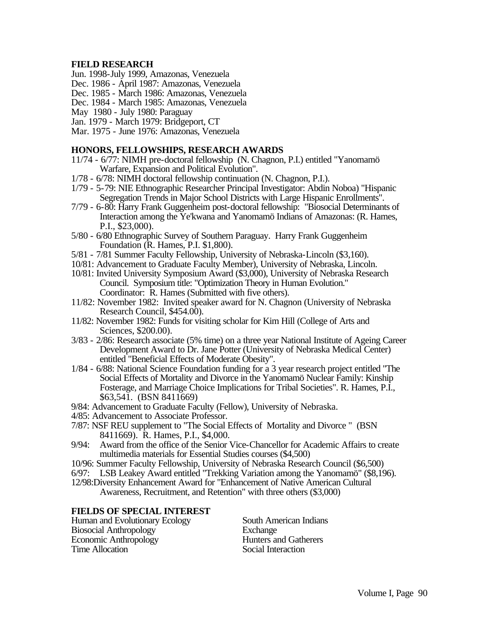### **FIELD RESEARCH**

- Jun. 1998-July 1999, Amazonas, Venezuela
- Dec. 1986 April 1987: Amazonas, Venezuela
- Dec. 1985 March 1986: Amazonas, Venezuela
- Dec. 1984 March 1985: Amazonas, Venezuela
- May 1980 July 1980: Paraguay
- Jan. 1979 March 1979: Bridgeport, CT
- Mar. 1975 June 1976: Amazonas, Venezuela

### **HONORS, FELLOWSHIPS, RESEARCH AWARDS**

- 11/74 6/77: NIMH pre-doctoral fellowship (N. Chagnon, P.I.) entitled "Yanomamö Warfare, Expansion and Political Evolution".
- 1/78 6/78: NIMH doctoral fellowship continuation (N. Chagnon, P.I.).
- 1/79 5-79: NIE Ethnographic Researcher Principal Investigator: Abdin Noboa) "Hispanic Segregation Trends in Major School Districts with Large Hispanic Enrollments".
- 7/79 6-80: Harry Frank Guggenheim post-doctoral fellowship: "Biosocial Determinants of Interaction among the Ye'kwana and Yanomamö Indians of Amazonas: (R. Hames, P.I., \$23,000).
- 5/80 6/80 Ethnographic Survey of Southern Paraguay. Harry Frank Guggenheim Foundation (R. Hames, P.I. \$1,800).
- 5/81 7/81 Summer Faculty Fellowship, University of Nebraska-Lincoln (\$3,160).
- 10/81: Advancement to Graduate Faculty Member), University of Nebraska, Lincoln.
- 10/81: Invited University Symposium Award (\$3,000), University of Nebraska Research Council. Symposium title: "Optimization Theory in Human Evolution." Coordinator: R. Hames (Submitted with five others).
- 11/82: November 1982: Invited speaker award for N. Chagnon (University of Nebraska Research Council, \$454.00).
- 11/82: November 1982: Funds for visiting scholar for Kim Hill (College of Arts and Sciences, \$200.00).
- 3/83 2/86: Research associate (5% time) on a three year National Institute of Ageing Career Development Award to Dr. Jane Potter (University of Nebraska Medical Center) entitled "Beneficial Effects of Moderate Obesity".
- 1/84 6/88: National Science Foundation funding for a 3 year research project entitled "The Social Effects of Mortality and Divorce in the Yanomamö Nuclear Family: Kinship Fosterage, and Marriage Choice Implications for Tribal Societies". R. Hames, P.I., \$63,541. (BSN 8411669)
- 9/84: Advancement to Graduate Faculty (Fellow), University of Nebraska.
- 4/85: Advancement to Associate Professor.
- 7/87: NSF REU supplement to "The Social Effects of Mortality and Divorce " (BSN 8411669). R. Hames, P.I., \$4,000.
- 9/94: Award from the office of the Senior Vice-Chancellor for Academic Affairs to create multimedia materials for Essential Studies courses (\$4,500)
- 10/96: Summer Faculty Fellowship, University of Nebraska Research Council (\$6,500)
- 6/97: LSB Leakey Award entitled "Trekking Variation among the Yanomamö" (\$8,196).
- 12/98:Diversity Enhancement Award for "Enhancement of Native American Cultural Awareness, Recruitment, and Retention" with three others (\$3,000)

### **FIELDS OF SPECIAL INTEREST**

| Human and Evolutionary Ecology |
|--------------------------------|
| <b>Biosocial Anthropology</b>  |
| Economic Anthropology          |
| <b>Time Allocation</b>         |

South American Indians Exchange Hunters and Gatherers Social Interaction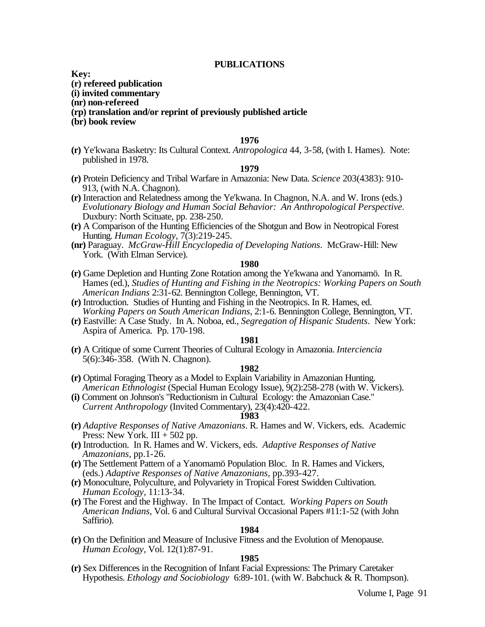### **PUBLICATIONS**

**Key:**

**(r) refereed publication**

**(i) invited commentary**

**(nr) non-refereed**

- **(rp) translation and/or reprint of previously published article**
- **(br) book review**

### **1976**

**(r)** Ye'kwana Basketry: Its Cultural Context. *Antropologica* 44, 3-58, (with I. Hames). Note: published in 1978.

#### **1979**

- **(r)** Protein Deficiency and Tribal Warfare in Amazonia: New Data. *Science* 203(4383): 910- 913, (with N.A. Chagnon).
- **(r)** Interaction and Relatedness among the Ye'kwana. In Chagnon, N.A. and W. Irons (eds.) *Evolutionary Biology and Human Social Behavior: An Anthropological Perspective*. Duxbury: North Scituate, pp. 238-250.
- **(r)** A Comparison of the Hunting Efficiencies of the Shotgun and Bow in Neotropical Forest Hunting. *Human Ecology*, 7(3):219-245.
- **(nr)** Paraguay. *McGraw-Hill Encyclopedia of Developing Nations*. McGraw-Hill: New York. (With Elman Service).

#### **1980**

- **(r)** Game Depletion and Hunting Zone Rotation among the Ye'kwana and Yanomamö. In R. Hames (ed.), *Studies of Hunting and Fishing in the Neotropics: Working Papers on South American Indians* 2:31-62. Bennington College, Bennington, VT.
- **(r)** Introduction. Studies of Hunting and Fishing in the Neotropics. In R. Hames, ed. *Working Papers on South American Indians*, 2:1-6. Bennington College, Bennington, VT.
- **(r)** Eastville: A Case Study. In A. Noboa, ed., *Segregation of Hispanic Students*. New York: Aspira of America. Pp. 170-198.

#### **1981**

**(r)** A Critique of some Current Theories of Cultural Ecology in Amazonia. *Interciencia* 5(6):346-358. (With N. Chagnon).

### **1982**

- **(r)** Optimal Foraging Theory as a Model to Explain Variability in Amazonian Hunting. *American Ethnologist* (Special Human Ecology Issue), 9(2):258-278 (with W. Vickers).
- **(i)** Comment on Johnson's "Reductionism in Cultural Ecology: the Amazonian Case." *Current Anthropology* (Invited Commentary), 23(4):420-422.

#### **1983**

- **(r)** *Adaptive Responses of Native Amazonians*. R. Hames and W. Vickers, eds. Academic Press: New York. III  $+ 502$  pp.
- **(r)** Introduction. In R. Hames and W. Vickers, eds. *Adaptive Responses of Native Amazonians,* pp.1-26.
- **(r)** The Settlement Pattern of a Yanomamö Population Bloc. In R. Hames and Vickers, (eds.) *Adaptive Responses of Native Amazonians,* pp.393-427.
- **(r)** Monoculture, Polyculture, and Polyvariety in Tropical Forest Swidden Cultivation. *Human Ecology*, 11:13-34.
- **(r)** The Forest and the Highway. In The Impact of Contact. *Working Papers on South American Indians*, Vol. 6 and Cultural Survival Occasional Papers #11:1-52 (with John Saffirio).

#### **1984**

**(r)** On the Definition and Measure of Inclusive Fitness and the Evolution of Menopause. *Human Ecology*, Vol. 12(1):87-91.

#### **1985**

**(r)** Sex Differences in the Recognition of Infant Facial Expressions: The Primary Caretaker Hypothesis. *Ethology and Sociobiology* 6:89-101. (with W. Babchuck & R. Thompson).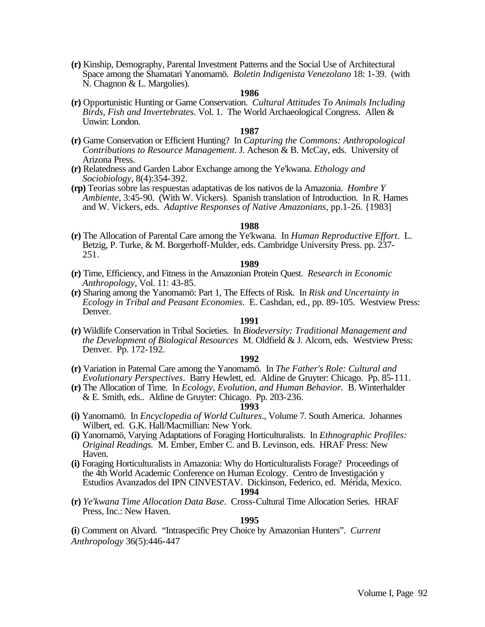**(r)** Kinship, Demography, Parental Investment Patterns and the Social Use of Architectural Space among the Shamatari Yanomamö. *Boletin Indigenista Venezolano* 18: 1-39. (with N. Chagnon & L. Margolies).

### **1986**

**(r)** Opportunistic Hunting or Game Conservation. *Cultural Attitudes To Animals Including Birds, Fish and Invertebrates*. Vol. 1. The World Archaeological Congress. Allen & Unwin: London.

### **1987**

- **(r)** Game Conservation or Efficient Hunting? In *Capturing the Commons: Anthropological Contributions to Resource Management*. J. Acheson & B. McCay, eds. University of Arizona Press.
- **(r)** Relatedness and Garden Labor Exchange among the Ye'kwana. *Ethology and Sociobiology*, 8(4):354-392.
- **(rp)** Teorias sobre las respuestas adaptativas de los nativos de la Amazonia. *Hombre Y Ambiente*, 3:45-90. (With W. Vickers). Spanish translation of Introduction. In R. Hames and W. Vickers, eds. *Adaptive Responses of Native Amazonians,* pp.1-26. {1983]

#### **1988**

**(r)** The Allocation of Parental Care among the Ye'kwana. In *Human Reproductive Effort*. L. Betzig, P. Turke, & M. Borgerhoff-Mulder, eds. Cambridge University Press. pp. 237- 251.

### **1989**

- **(r)** Time, Efficiency, and Fitness in the Amazonian Protein Quest. *Research in Economic Anthropology*, Vol. 11: 43-85.
- **(r)** Sharing among the Yanomamö: Part 1, The Effects of Risk. In *Risk and Uncertainty in Ecology in Tribal and Peasant Economies*. E. Cashdan, ed., pp. 89-105. Westview Press: Denver.

### **1991**

**(r)** Wildlife Conservation in Tribal Societies. In *Biodeversity: Traditional Management and the Development of Biological Resources* M. Oldfield & J. Alcorn, eds. Westview Press: Denver. Pp. 172-192.

#### **1992**

- **(r)** Variation in Paternal Care among the Yanomamö. In *The Father's Role: Cultural and Evolutionary Perspectives*. Barry Hewlett, ed. Aldine de Gruyter: Chicago. Pp. 85-111.
- **(r)** The Allocation of Time. In *Ecology, Evolution, and Human Behavior.* B. Winterhalder & E. Smith, eds.. Aldine de Gruyter: Chicago. Pp. 203-236.

### **1993**

- **(i)** Yanomamö. In *Encyclopedia of World Cultures*., Volume 7. South America. Johannes Wilbert, ed. G.K. Hall/Macmillian: New York.
- **(i)** Yanomamö, Varying Adaptations of Foraging Horticulturalists. In *Ethnographic Profiles: Original Readings.* M. Ember, Ember C. and B. Levinson, eds. HRAF Press: New Haven.
- **(i)** Foraging Horticulturalists in Amazonia: Why do Horticulturalists Forage? Proceedings of the 4th World Academic Conference on Human Ecology. Centro de Investigación y Estudios Avanzados del IPN CINVESTAV. Dickinson, Federico, ed. Mérida, Mexico.

#### **1994**

**(r)** *Ye'kwana Time Allocation Data Base*. Cross-Cultural Time Allocation Series. HRAF Press, Inc.: New Haven.

#### **1995**

**(i**) Comment on Alvard. "Intraspecific Prey Choice by Amazonian Hunters". *Current Anthropology* 36(5):446-447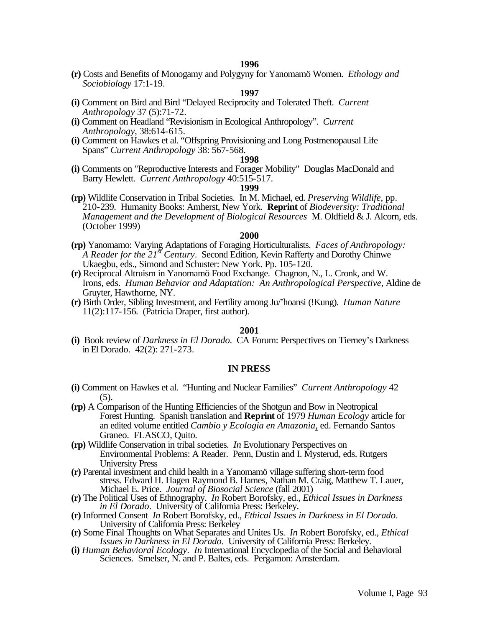#### **1996**

**(r)** Costs and Benefits of Monogamy and Polygyny for Yanomamö Women. *Ethology and Sociobiology* 17:1-19.

### **1997**

- **(i)** Comment on Bird and Bird "Delayed Reciprocity and Tolerated Theft. *Current Anthropology* 37 (5):71-72.
- **(i)** Comment on Headland "Revisionism in Ecological Anthropology". *Current Anthropology*, 38:614-615.
- **(i)** Comment on Hawkes et al. "Offspring Provisioning and Long Postmenopausal Life Spans" *Current Anthropology* 38: 567-568.

#### **1998**

**(i)** Comments on "Reproductive Interests and Forager Mobility" Douglas MacDonald and Barry Hewlett. *Current Anthropology* 40:515-517.

#### **1999**

**(rp)** Wildlife Conservation in Tribal Societies. In M. Michael, ed. *Preserving Wildlife*, pp. 210-239. Humanity Books: Amherst, New York. **Reprint** of *Biodeversity: Traditional Management and the Development of Biological Resources* M. Oldfield & J. Alcorn, eds. (October 1999)

#### **2000**

- **(rp)** Yanomamo: Varying Adaptations of Foraging Horticulturalists. *Faces of Anthropology: A Reader for the 21st Century*. Second Edition, Kevin Rafferty and Dorothy Chinwe Ukaegbu, eds., Simond and Schuster: New York. Pp. 105-120.
- **(r)** Reciprocal Altruism in Yanomamö Food Exchange. Chagnon, N., L. Cronk, and W. Irons, eds. *Human Behavior and Adaptation: An Anthropological Perspective*, Aldine de Gruyter, Hawthorne, NY.
- **(r)** Birth Order, Sibling Investment, and Fertility among Ju/'hoansi (!Kung). *Human Nature* 11(2):117-156. (Patricia Draper, first author).

#### **2001**

**(i)** Book review of *Darkness in El Dorado*. CA Forum: Perspectives on Tierney's Darkness in El Dorado. 42(2): 271-273.

### **IN PRESS**

- **(i)** Comment on Hawkes et al. "Hunting and Nuclear Families" *Current Anthropology* 42 (5).
- **(rp)** A Comparison of the Hunting Efficiencies of the Shotgun and Bow in Neotropical Forest Hunting. Spanish translation and **Reprint** of 1979 *Human Ecology* article for an edited volume entitled *Cambio y Ecologia en Amazonia*, ed. Fernando Santos Graneo. FLASCO, Quito.
- **(rp)** Wildlife Conservation in tribal societies. *In* Evolutionary Perspectives on Environmental Problems: A Reader. Penn, Dustin and I. Mysterud, eds. Rutgers University Press
- **(r)** Parental investment and child health in a Yanomamö village suffering short-term food stress. Edward H. Hagen Raymond B. Hames, Nathan M. Craig, Matthew T. Lauer, Michael E. Price. *Journal of Biosocial Science* (fall 2001)
- **(r)** The Political Uses of Ethnography. *In* Robert Borofsky, ed., *Ethical Issues in Darkness in El Dorado*. University of California Press: Berkeley.
- **(r)** Informed Consent *In* Robert Borofsky, ed., *Ethical Issues in Darkness in El Dorado*. University of California Press: Berkeley
- **(r)** Some Final Thoughts on What Separates and Unites Us. *In* Robert Borofsky, ed., *Ethical Issues in Darkness in El Dorado*. University of California Press: Berkeley.
- **(i)** *Human Behavioral Ecology*. *In* International Encyclopedia of the Social and Behavioral Sciences. Smelser, N. and P. Baltes, eds. Pergamon: Amsterdam.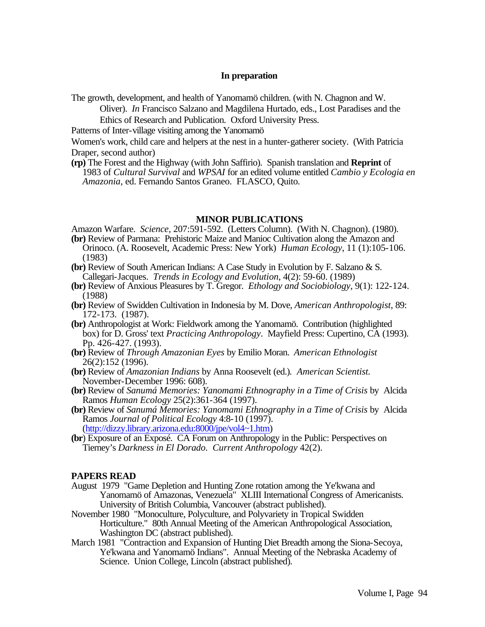### **In preparation**

The growth, development, and health of Yanomamö children. (with N. Chagnon and W.

Oliver). *In* Francisco Salzano and Magdilena Hurtado, eds., Lost Paradises and the Ethics of Research and Publication. Oxford University Press.

Patterns of Inter-village visiting among the Yanomamö

Women's work, child care and helpers at the nest in a hunter-gatherer society. (With Patricia Draper, second author)

**(rp)** The Forest and the Highway (with John Saffirio). Spanish translation and **Reprint** of 1983 of *Cultural Survival* and *WPSAI* for an edited volume entitled *Cambio y Ecologia en Amazonia*, ed. Fernando Santos Graneo. FLASCO, Quito.

### **MINOR PUBLICATIONS**

Amazon Warfare. *Science*, 207:591-592. (Letters Column). (With N. Chagnon). (1980).

- **(br)** Review of Parmana: Prehistoric Maize and Manioc Cultivation along the Amazon and Orinoco. (A. Roosevelt, Academic Press: New York) *Human Ecology*, 11 (1):105-106. (1983)
- **(br)** Review of South American Indians: A Case Study in Evolution by F. Salzano & S. Callegari-Jacques. *Trends in Ecology and Evolution*, 4(2): 59-60. (1989)
- **(br)** Review of Anxious Pleasures by T. Gregor. *Ethology and Sociobiology*, 9(1): 122-124. (1988)
- **(br)** Review of Swidden Cultivation in Indonesia by M. Dove, *American Anthropologist*, 89: 172-173. (1987).
- **(br)** Anthropologist at Work: Fieldwork among the Yanomamö. Contribution (highlighted box) for D. Gross' text *Practicing Anthropology*. Mayfield Press: Cupertino, CA (1993). Pp. 426-427. (1993).
- **(br)** Review of *Through Amazonian Eyes* by Emilio Moran. *American Ethnologist* 26(2):152 (1996).
- **(br)** Review of *Amazonian Indians* by Anna Roosevelt (ed.)*. American Scientist.*  November-December 1996: 608).
- **(br)** Review of *Sanumá Memories: Yanomami Ethnography in a Time of Crisis* by Alcida Ramos *Human Ecology* 25(2):361-364 (1997).
- **(br)** Review of *Sanumá Memories: Yanomami Ethnography in a Time of Crisis* by Alcida Ramos *Journal of Political Ecology* 4:8-10 (1997). (http://dizzy.library.arizona.edu:8000/jpe/vol4~1.htm)
- **(br**) Exposure of an Exposé. CA Forum on Anthropology in the Public: Perspectives on Tierney's *Darkness in El Dorado*. *Current Anthropology* 42(2).

### **PAPERS READ**

- August 1979 "Game Depletion and Hunting Zone rotation among the Ye'kwana and Yanomamö of Amazonas, Venezuela" XLIII International Congress of Americanists. University of British Columbia, Vancouver (abstract published).
- November 1980 "Monoculture, Polyculture, and Polyvariety in Tropical Swidden Horticulture." 80th Annual Meeting of the American Anthropological Association, Washington DC (abstract published).
- March 1981 "Contraction and Expansion of Hunting Diet Breadth among the Siona-Secoya, Ye'kwana and Yanomamö Indians". Annual Meeting of the Nebraska Academy of Science. Union College, Lincoln (abstract published).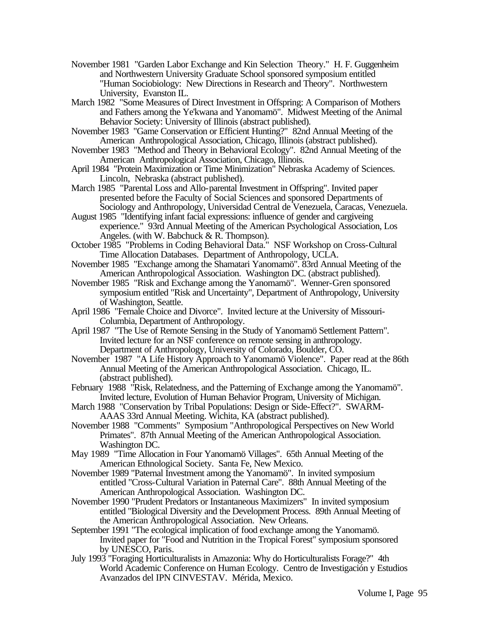- November 1981 "Garden Labor Exchange and Kin Selection Theory." H. F. Guggenheim and Northwestern University Graduate School sponsored symposium entitled "Human Sociobiology: New Directions in Research and Theory". Northwestern University, Evanston IL.
- March 1982 "Some Measures of Direct Investment in Offspring: A Comparison of Mothers and Fathers among the Ye'kwana and Yanomamö". Midwest Meeting of the Animal Behavior Society: University of Illinois (abstract published).
- November 1983 "Game Conservation or Efficient Hunting?" 82nd Annual Meeting of the American Anthropological Association, Chicago, Illinois (abstract published).
- November 1983 "Method and Theory in Behavioral Ecology". 82nd Annual Meeting of the American Anthropological Association, Chicago, Illinois.
- April 1984 "Protein Maximization or Time Minimization" Nebraska Academy of Sciences. Lincoln, Nebraska (abstract published).
- March 1985 "Parental Loss and Allo-parental Investment in Offspring". Invited paper presented before the Faculty of Social Sciences and sponsored Departments of Sociology and Anthropology, Universidad Central de Venezuela, Caracas, Venezuela.
- August 1985 "Identifying infant facial expressions: influence of gender and cargiveing experience." 93rd Annual Meeting of the American Psychological Association, Los Angeles. (with W. Babchuck & R. Thompson).
- October 1985 "Problems in Coding Behavioral Data." NSF Workshop on Cross-Cultural Time Allocation Databases. Department of Anthropology, UCLA.
- November 1985 "Exchange among the Shamatari Yanomamö". 83rd Annual Meeting of the American Anthropological Association. Washington DC. (abstract published).
- November 1985 "Risk and Exchange among the Yanomamö". Wenner-Gren sponsored symposium entitled "Risk and Uncertainty", Department of Anthropology, University of Washington, Seattle.
- April 1986 "Female Choice and Divorce". Invited lecture at the University of Missouri-Columbia, Department of Anthropology.
- April 1987 "The Use of Remote Sensing in the Study of Yanomamö Settlement Pattern". Invited lecture for an NSF conference on remote sensing in anthropology. Department of Anthropology, University of Colorado, Boulder, CO.
- November 1987 "A Life History Approach to Yanomamö Violence". Paper read at the 86th Annual Meeting of the American Anthropological Association. Chicago, IL. (abstract published).
- February 1988 "Risk, Relatedness, and the Patterning of Exchange among the Yanomamö". Invited lecture, Evolution of Human Behavior Program, University of Michigan.
- March 1988 "Conservation by Tribal Populations: Design or Side-Effect?". SWARM-AAAS 33rd Annual Meeting. Wichita, KA (abstract published).
- November 1988 "Comments" Symposium "Anthropological Perspectives on New World Primates". 87th Annual Meeting of the American Anthropological Association. Washington DC.
- May 1989 "Time Allocation in Four Yanomamö Villages". 65th Annual Meeting of the American Ethnological Society. Santa Fe, New Mexico.
- November 1989 "Paternal Investment among the Yanomamö". In invited symposium entitled "Cross-Cultural Variation in Paternal Care". 88th Annual Meeting of the American Anthropological Association. Washington DC.
- November 1990 "Prudent Predators or Instantaneous Maximizers" In invited symposium entitled "Biological Diversity and the Development Process. 89th Annual Meeting of the American Anthropological Association. New Orleans.
- September 1991 "The ecological implication of food exchange among the Yanomamö. Invited paper for "Food and Nutrition in the Tropical Forest" symposium sponsored by UNESCO, Paris.
- July 1993 "Foraging Horticulturalists in Amazonia: Why do Horticulturalists Forage?" 4th World Academic Conference on Human Ecology. Centro de Investigación y Estudios Avanzados del IPN CINVESTAV. Mérida, Mexico.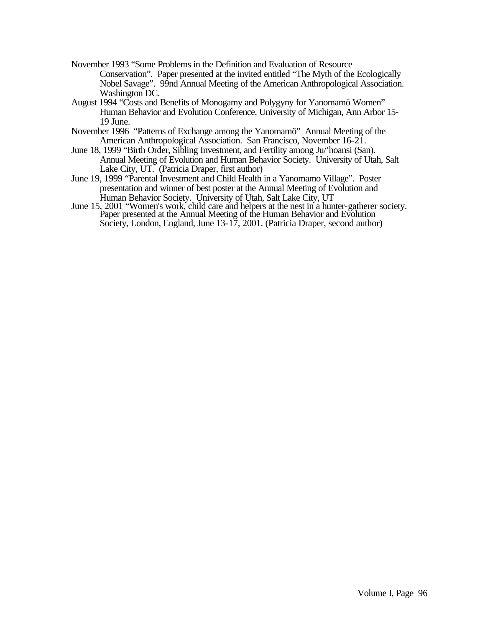- November 1993 "Some Problems in the Definition and Evaluation of Resource Conservation". Paper presented at the invited entitled "The Myth of the Ecologically Nobel Savage". 99nd Annual Meeting of the American Anthropological Association. Washington DC.
- August 1994 "Costs and Benefits of Monogamy and Polygyny for Yanomamö Women" Human Behavior and Evolution Conference, University of Michigan, Ann Arbor 15- 19 June.
- November 1996 "Patterns of Exchange among the Yanomamö" Annual Meeting of the American Anthropological Association. San Francisco, November 16-21.
- June 18, 1999 "Birth Order, Sibling Investment, and Fertility among Ju/'hoansi (San). Annual Meeting of Evolution and Human Behavior Society. University of Utah, Salt Lake City, UT. (Patricia Draper, first author)
- June 19, 1999 "Parental Investment and Child Health in a Yanomamo Village". Poster presentation and winner of best poster at the Annual Meeting of Evolution and Human Behavior Society. University of Utah, Salt Lake City, UT
- June 15, 2001 "Women's work, child care and helpers at the nest in a hunter-gatherer society. Paper presented at the Annual Meeting of the Human Behavior and Evolution Society, London, England, June 13-17, 2001. (Patricia Draper, second author)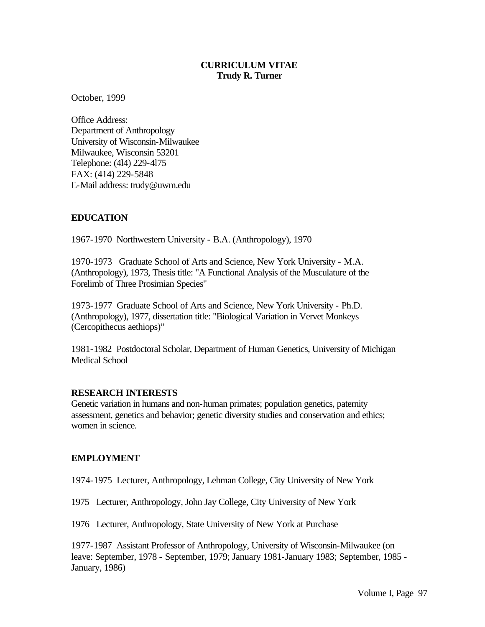# **CURRICULUM VITAE Trudy R. Turner**

October, 1999

Office Address: Department of Anthropology University of Wisconsin-Milwaukee Milwaukee, Wisconsin 53201 Telephone: (4l4) 229-4l75 FAX: (414) 229-5848 E-Mail address: trudy@uwm.edu

# **EDUCATION**

1967-1970 Northwestern University - B.A. (Anthropology), 1970

1970-1973 Graduate School of Arts and Science, New York University - M.A. (Anthropology), 1973, Thesis title: "A Functional Analysis of the Musculature of the Forelimb of Three Prosimian Species"

1973-1977 Graduate School of Arts and Science, New York University - Ph.D. (Anthropology), 1977, dissertation title: "Biological Variation in Vervet Monkeys (Cercopithecus aethiops)"

1981-1982 Postdoctoral Scholar, Department of Human Genetics, University of Michigan Medical School

## **RESEARCH INTERESTS**

Genetic variation in humans and non-human primates; population genetics, paternity assessment, genetics and behavior; genetic diversity studies and conservation and ethics; women in science.

## **EMPLOYMENT**

1974-1975 Lecturer, Anthropology, Lehman College, City University of New York

1975 Lecturer, Anthropology, John Jay College, City University of New York

1976 Lecturer, Anthropology, State University of New York at Purchase

1977-1987 Assistant Professor of Anthropology, University of Wisconsin-Milwaukee (on leave: September, 1978 - September, 1979; January 1981-January 1983; September, 1985 - January, 1986)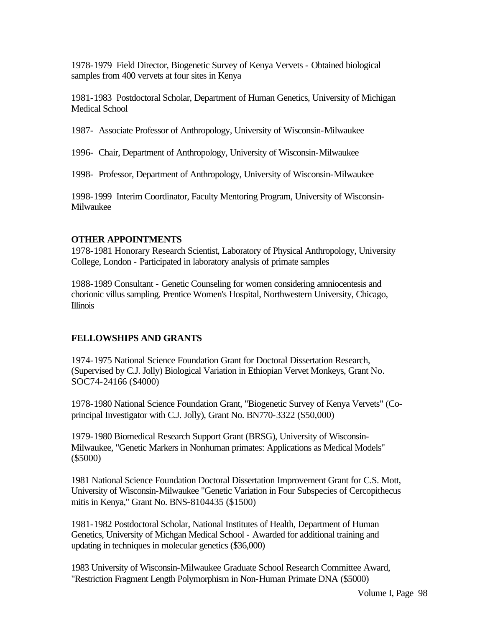1978-1979 Field Director, Biogenetic Survey of Kenya Vervets - Obtained biological samples from 400 vervets at four sites in Kenya

1981-1983 Postdoctoral Scholar, Department of Human Genetics, University of Michigan Medical School

1987- Associate Professor of Anthropology, University of Wisconsin-Milwaukee

1996- Chair, Department of Anthropology, University of Wisconsin-Milwaukee

1998- Professor, Department of Anthropology, University of Wisconsin-Milwaukee

1998-1999 Interim Coordinator, Faculty Mentoring Program, University of Wisconsin-Milwaukee

## **OTHER APPOINTMENTS**

1978-1981 Honorary Research Scientist, Laboratory of Physical Anthropology, University College, London - Participated in laboratory analysis of primate samples

1988-1989 Consultant - Genetic Counseling for women considering amniocentesis and chorionic villus sampling. Prentice Women's Hospital, Northwestern University, Chicago, Illinois

# **FELLOWSHIPS AND GRANTS**

1974-1975 National Science Foundation Grant for Doctoral Dissertation Research, (Supervised by C.J. Jolly) Biological Variation in Ethiopian Vervet Monkeys, Grant No. SOC74-24166 (\$4000)

1978-1980 National Science Foundation Grant, "Biogenetic Survey of Kenya Vervets" (Coprincipal Investigator with C.J. Jolly), Grant No. BN770-3322 (\$50,000)

1979-1980 Biomedical Research Support Grant (BRSG), University of Wisconsin-Milwaukee, "Genetic Markers in Nonhuman primates: Applications as Medical Models" (\$5000)

1981 National Science Foundation Doctoral Dissertation Improvement Grant for C.S. Mott, University of Wisconsin-Milwaukee "Genetic Variation in Four Subspecies of Cercopithecus mitis in Kenya," Grant No. BNS-8104435 (\$1500)

1981-1982 Postdoctoral Scholar, National Institutes of Health, Department of Human Genetics, University of Michgan Medical School - Awarded for additional training and updating in techniques in molecular genetics (\$36,000)

1983 University of Wisconsin-Milwaukee Graduate School Research Committee Award, "Restriction Fragment Length Polymorphism in Non-Human Primate DNA (\$5000)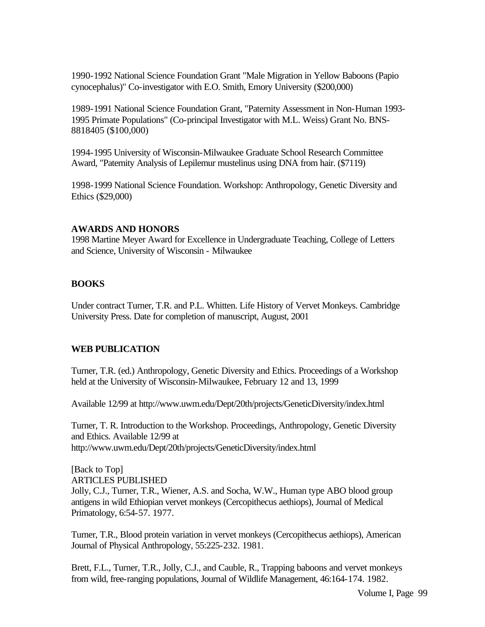1990-1992 National Science Foundation Grant "Male Migration in Yellow Baboons (Papio cynocephalus)" Co-investigator with E.O. Smith, Emory University (\$200,000)

1989-1991 National Science Foundation Grant, "Paternity Assessment in Non-Human 1993- 1995 Primate Populations" (Co-principal Investigator with M.L. Weiss) Grant No. BNS-8818405 (\$100,000)

1994-1995 University of Wisconsin-Milwaukee Graduate School Research Committee Award, "Paternity Analysis of Lepilemur mustelinus using DNA from hair. (\$7119)

1998-1999 National Science Foundation. Workshop: Anthropology, Genetic Diversity and Ethics (\$29,000)

## **AWARDS AND HONORS**

1998 Martine Meyer Award for Excellence in Undergraduate Teaching, College of Letters and Science, University of Wisconsin - Milwaukee

## **BOOKS**

Under contract Turner, T.R. and P.L. Whitten. Life History of Vervet Monkeys. Cambridge University Press. Date for completion of manuscript, August, 2001

# **WEB PUBLICATION**

Turner, T.R. (ed.) Anthropology, Genetic Diversity and Ethics. Proceedings of a Workshop held at the University of Wisconsin-Milwaukee, February 12 and 13, 1999

Available 12/99 at http://www.uwm.edu/Dept/20th/projects/GeneticDiversity/index.html

Turner, T. R. Introduction to the Workshop. Proceedings, Anthropology, Genetic Diversity and Ethics. Available 12/99 at http://www.uwm.edu/Dept/20th/projects/GeneticDiversity/index.html

[Back to Top] ARTICLES PUBLISHED Jolly, C.J., Turner, T.R., Wiener, A.S. and Socha, W.W., Human type ABO blood group antigens in wild Ethiopian vervet monkeys (Cercopithecus aethiops), Journal of Medical Primatology, 6:54-57. 1977.

Turner, T.R., Blood protein variation in vervet monkeys (Cercopithecus aethiops), American Journal of Physical Anthropology, 55:225-232. 1981.

Brett, F.L., Turner, T.R., Jolly, C.J., and Cauble, R., Trapping baboons and vervet monkeys from wild, free-ranging populations, Journal of Wildlife Management, 46:164-174. 1982.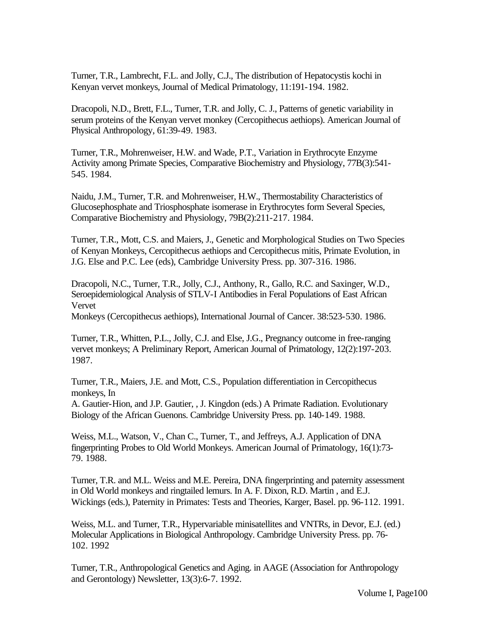Turner, T.R., Lambrecht, F.L. and Jolly, C.J., The distribution of Hepatocystis kochi in Kenyan vervet monkeys, Journal of Medical Primatology, 11:191-194. 1982.

Dracopoli, N.D., Brett, F.L., Turner, T.R. and Jolly, C. J., Patterns of genetic variability in serum proteins of the Kenyan vervet monkey (Cercopithecus aethiops). American Journal of Physical Anthropology, 61:39-49. 1983.

Turner, T.R., Mohrenweiser, H.W. and Wade, P.T., Variation in Erythrocyte Enzyme Activity among Primate Species, Comparative Biochemistry and Physiology, 77B(3):541- 545. 1984.

Naidu, J.M., Turner, T.R. and Mohrenweiser, H.W., Thermostability Characteristics of Glucosephosphate and Triosphosphate isomerase in Erythrocytes form Several Species, Comparative Biochemistry and Physiology, 79B(2):211-217. 1984.

Turner, T.R., Mott, C.S. and Maiers, J., Genetic and Morphological Studies on Two Species of Kenyan Monkeys, Cercopithecus aethiops and Cercopithecus mitis, Primate Evolution, in J.G. Else and P.C. Lee (eds), Cambridge University Press. pp. 307-316. 1986.

Dracopoli, N.C., Turner, T.R., Jolly, C.J., Anthony, R., Gallo, R.C. and Saxinger, W.D., Seroepidemiological Analysis of STLV-I Antibodies in Feral Populations of East African Vervet

Monkeys (Cercopithecus aethiops), International Journal of Cancer. 38:523-530. 1986.

Turner, T.R., Whitten, P.L., Jolly, C.J. and Else, J.G., Pregnancy outcome in free-ranging vervet monkeys; A Preliminary Report, American Journal of Primatology, 12(2):197-203. 1987.

Turner, T.R., Maiers, J.E. and Mott, C.S., Population differentiation in Cercopithecus monkeys, In

A. Gautier-Hion, and J.P. Gautier, , J. Kingdon (eds.) A Primate Radiation. Evolutionary Biology of the African Guenons. Cambridge University Press. pp. 140-149. 1988.

Weiss, M.L., Watson, V., Chan C., Turner, T., and Jeffreys, A.J. Application of DNA fingerprinting Probes to Old World Monkeys. American Journal of Primatology, 16(1):73- 79. 1988.

Turner, T.R. and M.L. Weiss and M.E. Pereira, DNA fingerprinting and paternity assessment in Old World monkeys and ringtailed lemurs. In A. F. Dixon, R.D. Martin , and E.J. Wickings (eds.), Paternity in Primates: Tests and Theories, Karger, Basel. pp. 96-112. 1991.

Weiss, M.L. and Turner, T.R., Hypervariable minisatellites and VNTRs, in Devor, E.J. (ed.) Molecular Applications in Biological Anthropology. Cambridge University Press. pp. 76- 102. 1992

Turner, T.R., Anthropological Genetics and Aging. in AAGE (Association for Anthropology and Gerontology) Newsletter, 13(3):6-7. 1992.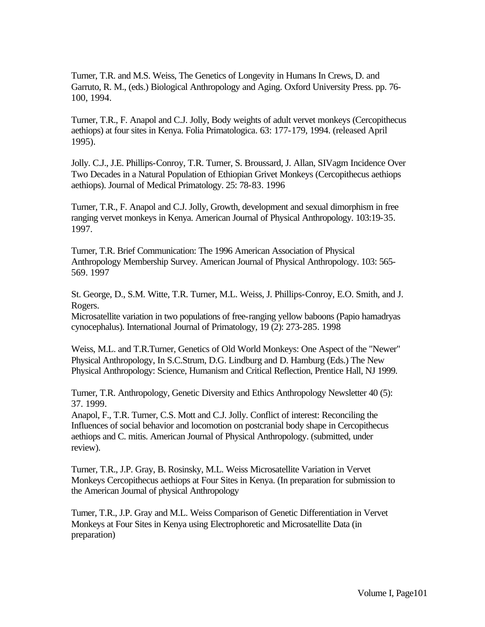Turner, T.R. and M.S. Weiss, The Genetics of Longevity in Humans In Crews, D. and Garruto, R. M., (eds.) Biological Anthropology and Aging. Oxford University Press. pp. 76- 100, 1994.

Turner, T.R., F. Anapol and C.J. Jolly, Body weights of adult vervet monkeys (Cercopithecus aethiops) at four sites in Kenya. Folia Primatologica. 63: 177-179, 1994. (released April 1995).

Jolly. C.J., J.E. Phillips-Conroy, T.R. Turner, S. Broussard, J. Allan, SIVagm Incidence Over Two Decades in a Natural Population of Ethiopian Grivet Monkeys (Cercopithecus aethiops aethiops). Journal of Medical Primatology. 25: 78-83. 1996

Turner, T.R., F. Anapol and C.J. Jolly, Growth, development and sexual dimorphism in free ranging vervet monkeys in Kenya. American Journal of Physical Anthropology. 103:19-35. 1997.

Turner, T.R. Brief Communication: The 1996 American Association of Physical Anthropology Membership Survey. American Journal of Physical Anthropology. 103: 565- 569. 1997

St. George, D., S.M. Witte, T.R. Turner, M.L. Weiss, J. Phillips-Conroy, E.O. Smith, and J. Rogers.

Microsatellite variation in two populations of free-ranging yellow baboons (Papio hamadryas cynocephalus). International Journal of Primatology, 19 (2): 273-285. 1998

Weiss, M.L. and T.R.Turner, Genetics of Old World Monkeys: One Aspect of the "Newer" Physical Anthropology, In S.C.Strum, D.G. Lindburg and D. Hamburg (Eds.) The New Physical Anthropology: Science, Humanism and Critical Reflection, Prentice Hall, NJ 1999.

Turner, T.R. Anthropology, Genetic Diversity and Ethics Anthropology Newsletter 40 (5): 37. 1999.

Anapol, F., T.R. Turner, C.S. Mott and C.J. Jolly. Conflict of interest: Reconciling the Influences of social behavior and locomotion on postcranial body shape in Cercopithecus aethiops and C. mitis. American Journal of Physical Anthropology. (submitted, under review).

Turner, T.R., J.P. Gray, B. Rosinsky, M.L. Weiss Microsatellite Variation in Vervet Monkeys Cercopithecus aethiops at Four Sites in Kenya. (In preparation for submission to the American Journal of physical Anthropology

Turner, T.R., J.P. Gray and M.L. Weiss Comparison of Genetic Differentiation in Vervet Monkeys at Four Sites in Kenya using Electrophoretic and Microsatellite Data (in preparation)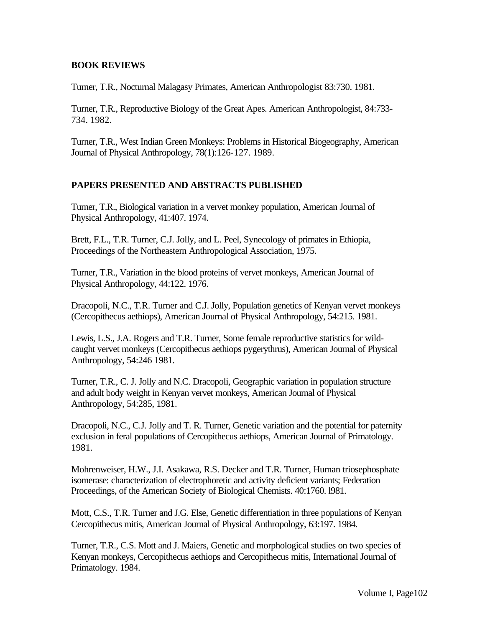## **BOOK REVIEWS**

Turner, T.R., Nocturnal Malagasy Primates, American Anthropologist 83:730. 1981.

Turner, T.R., Reproductive Biology of the Great Apes. American Anthropologist, 84:733- 734. 1982.

Turner, T.R., West Indian Green Monkeys: Problems in Historical Biogeography, American Journal of Physical Anthropology, 78(1):126-127. 1989.

## **PAPERS PRESENTED AND ABSTRACTS PUBLISHED**

Turner, T.R., Biological variation in a vervet monkey population, American Journal of Physical Anthropology, 41:407. 1974.

Brett, F.L., T.R. Turner, C.J. Jolly, and L. Peel, Synecology of primates in Ethiopia, Proceedings of the Northeastern Anthropological Association, 1975.

Turner, T.R., Variation in the blood proteins of vervet monkeys, American Journal of Physical Anthropology, 44:122. 1976.

Dracopoli, N.C., T.R. Turner and C.J. Jolly, Population genetics of Kenyan vervet monkeys (Cercopithecus aethiops), American Journal of Physical Anthropology, 54:215. 1981.

Lewis, L.S., J.A. Rogers and T.R. Turner, Some female reproductive statistics for wildcaught vervet monkeys (Cercopithecus aethiops pygerythrus), American Journal of Physical Anthropology, 54:246 1981.

Turner, T.R., C. J. Jolly and N.C. Dracopoli, Geographic variation in population structure and adult body weight in Kenyan vervet monkeys, American Journal of Physical Anthropology, 54:285, 1981.

Dracopoli, N.C., C.J. Jolly and T. R. Turner, Genetic variation and the potential for paternity exclusion in feral populations of Cercopithecus aethiops, American Journal of Primatology. 1981.

Mohrenweiser, H.W., J.I. Asakawa, R.S. Decker and T.R. Turner, Human triosephosphate isomerase: characterization of electrophoretic and activity deficient variants; Federation Proceedings, of the American Society of Biological Chemists. 40:1760. l981.

Mott, C.S., T.R. Turner and J.G. Else, Genetic differentiation in three populations of Kenyan Cercopithecus mitis, American Journal of Physical Anthropology, 63:197. 1984.

Turner, T.R., C.S. Mott and J. Maiers, Genetic and morphological studies on two species of Kenyan monkeys, Cercopithecus aethiops and Cercopithecus mitis, International Journal of Primatology. 1984.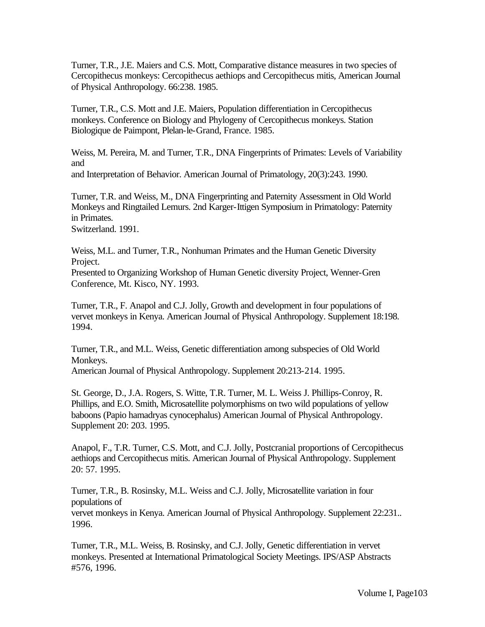Turner, T.R., J.E. Maiers and C.S. Mott, Comparative distance measures in two species of Cercopithecus monkeys: Cercopithecus aethiops and Cercopithecus mitis, American Journal of Physical Anthropology. 66:238. 1985.

Turner, T.R., C.S. Mott and J.E. Maiers, Population differentiation in Cercopithecus monkeys. Conference on Biology and Phylogeny of Cercopithecus monkeys. Station Biologique de Paimpont, Plelan-le-Grand, France. 1985.

Weiss, M. Pereira, M. and Turner, T.R., DNA Fingerprints of Primates: Levels of Variability and

and Interpretation of Behavior. American Journal of Primatology, 20(3):243. 1990.

Turner, T.R. and Weiss, M., DNA Fingerprinting and Paternity Assessment in Old World Monkeys and Ringtailed Lemurs. 2nd Karger-Ittigen Symposium in Primatology: Paternity in Primates.

Switzerland. 1991.

Weiss, M.L. and Turner, T.R., Nonhuman Primates and the Human Genetic Diversity Project.

Presented to Organizing Workshop of Human Genetic diversity Project, Wenner-Gren Conference, Mt. Kisco, NY. 1993.

Turner, T.R., F. Anapol and C.J. Jolly, Growth and development in four populations of vervet monkeys in Kenya. American Journal of Physical Anthropology. Supplement 18:198. 1994.

Turner, T.R., and M.L. Weiss, Genetic differentiation among subspecies of Old World Monkeys.

American Journal of Physical Anthropology. Supplement 20:213-214. 1995.

St. George, D., J.A. Rogers, S. Witte, T.R. Turner, M. L. Weiss J. Phillips-Conroy, R. Phillips, and E.O. Smith, Microsatellite polymorphisms on two wild populations of yellow baboons (Papio hamadryas cynocephalus) American Journal of Physical Anthropology. Supplement 20: 203. 1995.

Anapol, F., T.R. Turner, C.S. Mott, and C.J. Jolly, Postcranial proportions of Cercopithecus aethiops and Cercopithecus mitis. American Journal of Physical Anthropology. Supplement 20: 57. 1995.

Turner, T.R., B. Rosinsky, M.L. Weiss and C.J. Jolly, Microsatellite variation in four populations of vervet monkeys in Kenya. American Journal of Physical Anthropology. Supplement 22:231.. 1996.

Turner, T.R., M.L. Weiss, B. Rosinsky, and C.J. Jolly, Genetic differentiation in vervet monkeys. Presented at International Primatological Society Meetings. IPS/ASP Abstracts #576, 1996.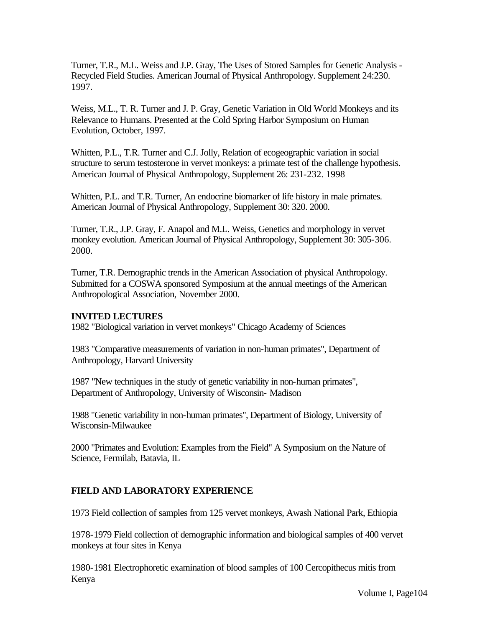Turner, T.R., M.L. Weiss and J.P. Gray, The Uses of Stored Samples for Genetic Analysis - Recycled Field Studies. American Journal of Physical Anthropology. Supplement 24:230. 1997.

Weiss, M.L., T. R. Turner and J. P. Gray, Genetic Variation in Old World Monkeys and its Relevance to Humans. Presented at the Cold Spring Harbor Symposium on Human Evolution, October, 1997.

Whitten, P.L., T.R. Turner and C.J. Jolly, Relation of ecogeographic variation in social structure to serum testosterone in vervet monkeys: a primate test of the challenge hypothesis. American Journal of Physical Anthropology, Supplement 26: 231-232. 1998

Whitten, P.L. and T.R. Turner, An endocrine biomarker of life history in male primates. American Journal of Physical Anthropology, Supplement 30: 320. 2000.

Turner, T.R., J.P. Gray, F. Anapol and M.L. Weiss, Genetics and morphology in vervet monkey evolution. American Journal of Physical Anthropology, Supplement 30: 305-306. 2000.

Turner, T.R. Demographic trends in the American Association of physical Anthropology. Submitted for a COSWA sponsored Symposium at the annual meetings of the American Anthropological Association, November 2000.

### **INVITED LECTURES**

1982 "Biological variation in vervet monkeys" Chicago Academy of Sciences

1983 "Comparative measurements of variation in non-human primates", Department of Anthropology, Harvard University

1987 "New techniques in the study of genetic variability in non-human primates", Department of Anthropology, University of Wisconsin- Madison

1988 "Genetic variability in non-human primates", Department of Biology, University of Wisconsin-Milwaukee

2000 "Primates and Evolution: Examples from the Field" A Symposium on the Nature of Science, Fermilab, Batavia, IL

## **FIELD AND LABORATORY EXPERIENCE**

1973 Field collection of samples from 125 vervet monkeys, Awash National Park, Ethiopia

1978-1979 Field collection of demographic information and biological samples of 400 vervet monkeys at four sites in Kenya

1980-1981 Electrophoretic examination of blood samples of 100 Cercopithecus mitis from Kenya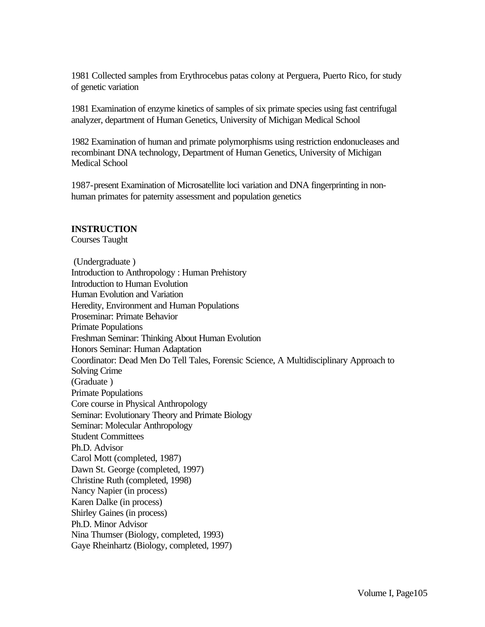1981 Collected samples from Erythrocebus patas colony at Perguera, Puerto Rico, for study of genetic variation

1981 Examination of enzyme kinetics of samples of six primate species using fast centrifugal analyzer, department of Human Genetics, University of Michigan Medical School

1982 Examination of human and primate polymorphisms using restriction endonucleases and recombinant DNA technology, Department of Human Genetics, University of Michigan Medical School

1987-present Examination of Microsatellite loci variation and DNA fingerprinting in nonhuman primates for paternity assessment and population genetics

## **INSTRUCTION**

Courses Taught

 (Undergraduate ) Introduction to Anthropology : Human Prehistory Introduction to Human Evolution Human Evolution and Variation Heredity, Environment and Human Populations Proseminar: Primate Behavior Primate Populations Freshman Seminar: Thinking About Human Evolution Honors Seminar: Human Adaptation Coordinator: Dead Men Do Tell Tales, Forensic Science, A Multidisciplinary Approach to Solving Crime (Graduate ) Primate Populations Core course in Physical Anthropology Seminar: Evolutionary Theory and Primate Biology Seminar: Molecular Anthropology Student Committees Ph.D. Advisor Carol Mott (completed, 1987) Dawn St. George (completed, 1997) Christine Ruth (completed, 1998) Nancy Napier (in process) Karen Dalke (in process) Shirley Gaines (in process) Ph.D. Minor Advisor Nina Thumser (Biology, completed, 1993) Gaye Rheinhartz (Biology, completed, 1997)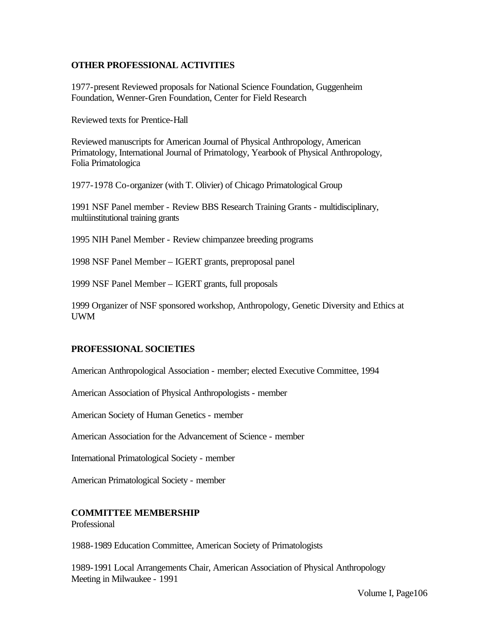## **OTHER PROFESSIONAL ACTIVITIES**

1977-present Reviewed proposals for National Science Foundation, Guggenheim Foundation, Wenner-Gren Foundation, Center for Field Research

Reviewed texts for Prentice-Hall

Reviewed manuscripts for American Journal of Physical Anthropology, American Primatology, International Journal of Primatology, Yearbook of Physical Anthropology, Folia Primatologica

1977-1978 Co-organizer (with T. Olivier) of Chicago Primatological Group

1991 NSF Panel member - Review BBS Research Training Grants - multidisciplinary, multiinstitutional training grants

1995 NIH Panel Member - Review chimpanzee breeding programs

1998 NSF Panel Member – IGERT grants, preproposal panel

1999 NSF Panel Member – IGERT grants, full proposals

1999 Organizer of NSF sponsored workshop, Anthropology, Genetic Diversity and Ethics at UWM

## **PROFESSIONAL SOCIETIES**

American Anthropological Association - member; elected Executive Committee, 1994

American Association of Physical Anthropologists - member

American Society of Human Genetics - member

American Association for the Advancement of Science - member

International Primatological Society - member

American Primatological Society - member

# **COMMITTEE MEMBERSHIP**

Professional

1988-1989 Education Committee, American Society of Primatologists

1989-1991 Local Arrangements Chair, American Association of Physical Anthropology Meeting in Milwaukee - 1991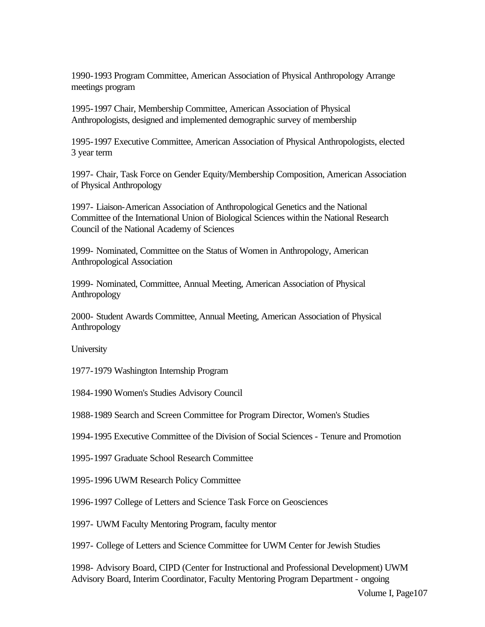1990-1993 Program Committee, American Association of Physical Anthropology Arrange meetings program

1995-1997 Chair, Membership Committee, American Association of Physical Anthropologists, designed and implemented demographic survey of membership

1995-1997 Executive Committee, American Association of Physical Anthropologists, elected 3 year term

1997- Chair, Task Force on Gender Equity/Membership Composition, American Association of Physical Anthropology

1997- Liaison-American Association of Anthropological Genetics and the National Committee of the International Union of Biological Sciences within the National Research Council of the National Academy of Sciences

1999- Nominated, Committee on the Status of Women in Anthropology, American Anthropological Association

1999- Nominated, Committee, Annual Meeting, American Association of Physical Anthropology

2000- Student Awards Committee, Annual Meeting, American Association of Physical Anthropology

**University** 

1977-1979 Washington Internship Program

- 1984-1990 Women's Studies Advisory Council
- 1988-1989 Search and Screen Committee for Program Director, Women's Studies
- 1994-1995 Executive Committee of the Division of Social Sciences Tenure and Promotion
- 1995-1997 Graduate School Research Committee
- 1995-1996 UWM Research Policy Committee
- 1996-1997 College of Letters and Science Task Force on Geosciences
- 1997- UWM Faculty Mentoring Program, faculty mentor

1997- College of Letters and Science Committee for UWM Center for Jewish Studies

1998- Advisory Board, CIPD (Center for Instructional and Professional Development) UWM Advisory Board, Interim Coordinator, Faculty Mentoring Program Department - ongoing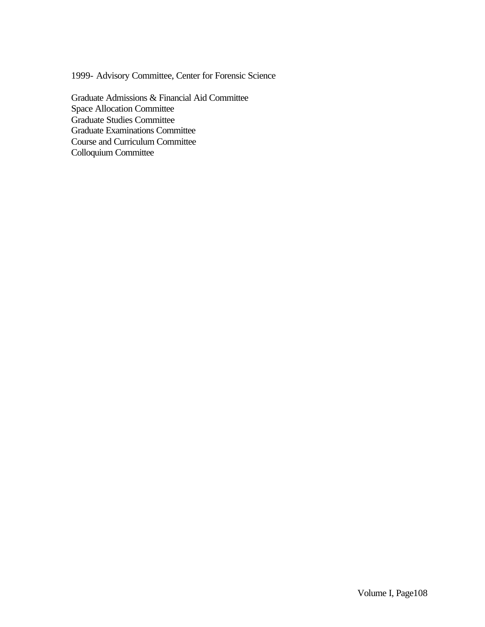1999- Advisory Committee, Center for Forensic Science

Graduate Admissions & Financial Aid Committee Space Allocation Committee Graduate Studies Committee Graduate Examinations Committee Course and Curriculum Committee Colloquium Committee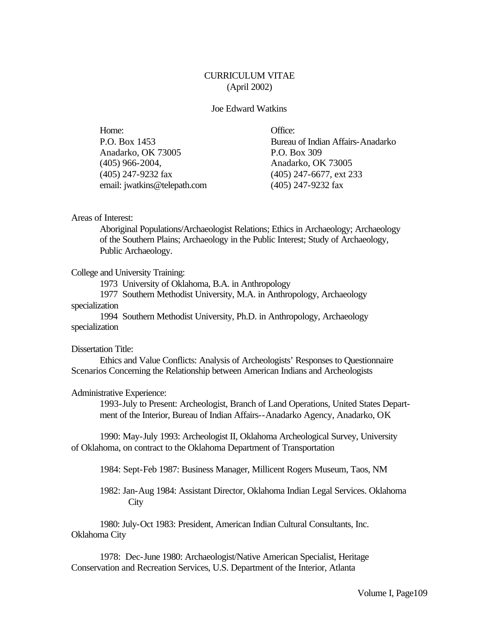# CURRICULUM VITAE (April 2002)

# Joe Edward Watkins

Home: Office: Anadarko, OK 73005 P.O. Box 309 (405) 966-2004, Anadarko, OK 73005 (405) 247-9232 fax (405) 247-6677, ext 233 email: jwatkins@telepath.com (405) 247-9232 fax

P.O. Box 1453 Bureau of Indian Affairs-Anadarko

# Areas of Interest:

Aboriginal Populations/Archaeologist Relations; Ethics in Archaeology; Archaeology of the Southern Plains; Archaeology in the Public Interest; Study of Archaeology, Public Archaeology.

### College and University Training:

1973 University of Oklahoma, B.A. in Anthropology

1977 Southern Methodist University, M.A. in Anthropology, Archaeology specialization

1994 Southern Methodist University, Ph.D. in Anthropology, Archaeology specialization

#### Dissertation Title:

Ethics and Value Conflicts: Analysis of Archeologists' Responses to Questionnaire Scenarios Concerning the Relationship between American Indians and Archeologists

#### Administrative Experience:

1993-July to Present: Archeologist, Branch of Land Operations, United States Department of the Interior, Bureau of Indian Affairs--Anadarko Agency, Anadarko, OK

1990: May-July 1993: Archeologist II, Oklahoma Archeological Survey, University of Oklahoma, on contract to the Oklahoma Department of Transportation

1984: Sept-Feb 1987: Business Manager, Millicent Rogers Museum, Taos, NM

1982: Jan-Aug 1984: Assistant Director, Oklahoma Indian Legal Services. Oklahoma **City** 

1980: July-Oct 1983: President, American Indian Cultural Consultants, Inc. Oklahoma City

1978: Dec-June 1980: Archaeologist/Native American Specialist, Heritage Conservation and Recreation Services, U.S. Department of the Interior, Atlanta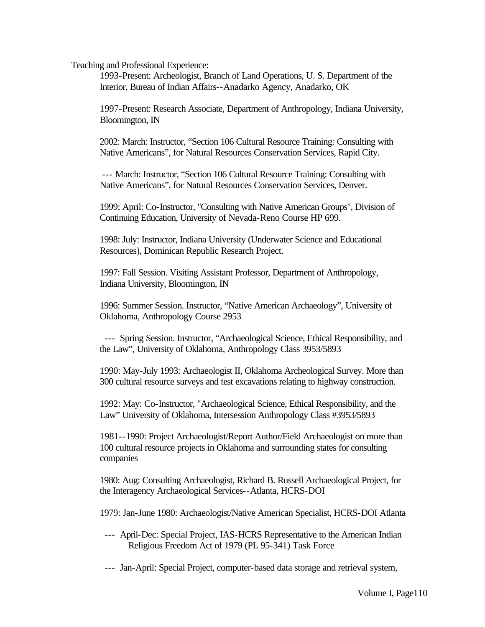Teaching and Professional Experience:

1993-Present: Archeologist, Branch of Land Operations, U. S. Department of the Interior, Bureau of Indian Affairs--Anadarko Agency, Anadarko, OK

1997-Present: Research Associate, Department of Anthropology, Indiana University, Bloomington, IN

2002: March: Instructor, "Section 106 Cultural Resource Training: Consulting with Native Americans", for Natural Resources Conservation Services, Rapid City.

--- March: Instructor, "Section 106 Cultural Resource Training: Consulting with Native Americans", for Natural Resources Conservation Services, Denver.

1999: April: Co-Instructor, "Consulting with Native American Groups", Division of Continuing Education, University of Nevada-Reno Course HP 699.

1998: July: Instructor, Indiana University (Underwater Science and Educational Resources), Dominican Republic Research Project.

1997: Fall Session. Visiting Assistant Professor, Department of Anthropology, Indiana University, Bloomington, IN

1996: Summer Session. Instructor, "Native American Archaeology", University of Oklahoma, Anthropology Course 2953

 --- Spring Session. Instructor, "Archaeological Science, Ethical Responsibility, and the Law", University of Oklahoma, Anthropology Class 3953/5893

1990: May-July 1993: Archaeologist II, Oklahoma Archeological Survey. More than 300 cultural resource surveys and test excavations relating to highway construction.

1992: May: Co-Instructor, "Archaeological Science, Ethical Responsibility, and the Law" University of Oklahoma, Intersession Anthropology Class #3953/5893

1981--1990: Project Archaeologist/Report Author/Field Archaeologist on more than 100 cultural resource projects in Oklahoma and surrounding states for consulting companies

1980: Aug: Consulting Archaeologist, Richard B. Russell Archaeological Project, for the Interagency Archaeological Services--Atlanta, HCRS-DOI

1979: Jan-June 1980: Archaeologist/Native American Specialist, HCRS-DOI Atlanta

--- April-Dec: Special Project, IAS-HCRS Representative to the American Indian Religious Freedom Act of 1979 (PL 95-341) Task Force

--- Jan-April: Special Project, computer-based data storage and retrieval system,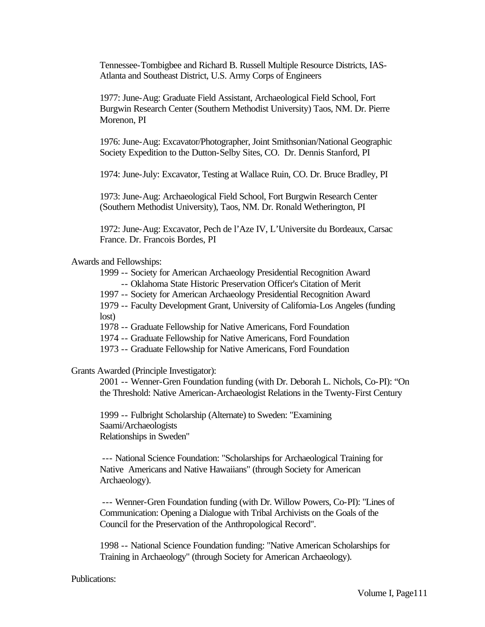Tennessee-Tombigbee and Richard B. Russell Multiple Resource Districts, IAS-Atlanta and Southeast District, U.S. Army Corps of Engineers

1977: June-Aug: Graduate Field Assistant, Archaeological Field School, Fort Burgwin Research Center (Southern Methodist University) Taos, NM. Dr. Pierre Morenon, PI

1976: June-Aug: Excavator/Photographer, Joint Smithsonian/National Geographic Society Expedition to the Dutton-Selby Sites, CO. Dr. Dennis Stanford, PI

1974: June-July: Excavator, Testing at Wallace Ruin, CO. Dr. Bruce Bradley, PI

1973: June-Aug: Archaeological Field School, Fort Burgwin Research Center (Southern Methodist University), Taos, NM. Dr. Ronald Wetherington, PI

1972: June-Aug: Excavator, Pech de l'Aze IV, L'Universite du Bordeaux, Carsac France. Dr. Francois Bordes, PI

# Awards and Fellowships:

1999 -- Society for American Archaeology Presidential Recognition Award -- Oklahoma State Historic Preservation Officer's Citation of Merit

1997 -- Society for American Archaeology Presidential Recognition Award

1979 -- Faculty Development Grant, University of California-Los Angeles (funding lost)

1978 -- Graduate Fellowship for Native Americans, Ford Foundation

1974 -- Graduate Fellowship for Native Americans, Ford Foundation

1973 -- Graduate Fellowship for Native Americans, Ford Foundation

Grants Awarded (Principle Investigator):

2001 -- Wenner-Gren Foundation funding (with Dr. Deborah L. Nichols, Co-PI): "On the Threshold: Native American-Archaeologist Relations in the Twenty-First Century

1999 -- Fulbright Scholarship (Alternate) to Sweden: "Examining Saami/Archaeologists Relationships in Sweden"

--- National Science Foundation: "Scholarships for Archaeological Training for Native Americans and Native Hawaiians" (through Society for American Archaeology).

--- Wenner-Gren Foundation funding (with Dr. Willow Powers, Co-PI): "Lines of Communication: Opening a Dialogue with Tribal Archivists on the Goals of the Council for the Preservation of the Anthropological Record".

1998 -- National Science Foundation funding: "Native American Scholarships for Training in Archaeology" (through Society for American Archaeology).

Publications: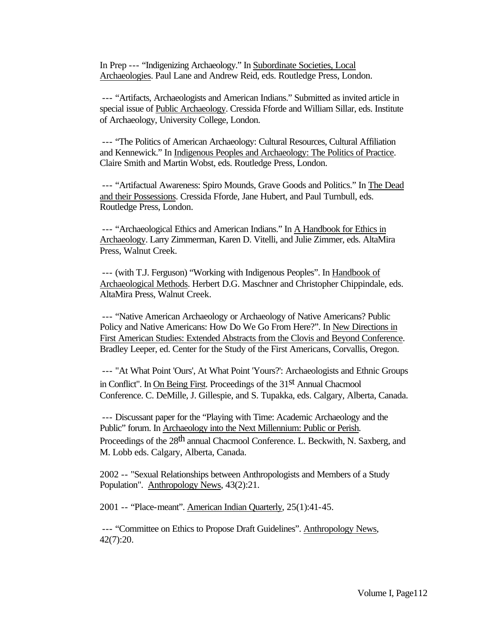In Prep --- "Indigenizing Archaeology." In Subordinate Societies, Local Archaeologies. Paul Lane and Andrew Reid, eds. Routledge Press, London.

--- "Artifacts, Archaeologists and American Indians." Submitted as invited article in special issue of Public Archaeology. Cressida Fforde and William Sillar, eds. Institute of Archaeology, University College, London.

--- "The Politics of American Archaeology: Cultural Resources, Cultural Affiliation and Kennewick." In Indigenous Peoples and Archaeology: The Politics of Practice. Claire Smith and Martin Wobst, eds. Routledge Press, London.

--- "Artifactual Awareness: Spiro Mounds, Grave Goods and Politics." In The Dead and their Possessions. Cressida Fforde, Jane Hubert, and Paul Turnbull, eds. Routledge Press, London.

--- "Archaeological Ethics and American Indians." In A Handbook for Ethics in Archaeology. Larry Zimmerman, Karen D. Vitelli, and Julie Zimmer, eds. AltaMira Press, Walnut Creek.

--- (with T.J. Ferguson) "Working with Indigenous Peoples". In Handbook of Archaeological Methods. Herbert D.G. Maschner and Christopher Chippindale, eds. AltaMira Press, Walnut Creek.

--- "Native American Archaeology or Archaeology of Native Americans? Public Policy and Native Americans: How Do We Go From Here?". In New Directions in First American Studies: Extended Abstracts from the Clovis and Beyond Conference. Bradley Leeper, ed. Center for the Study of the First Americans, Corvallis, Oregon.

--- "At What Point 'Ours', At What Point 'Yours?': Archaeologists and Ethnic Groups in Conflict". In On Being First. Proceedings of the 31st Annual Chacmool Conference. C. DeMille, J. Gillespie, and S. Tupakka, eds. Calgary, Alberta, Canada.

--- Discussant paper for the "Playing with Time: Academic Archaeology and the Public" forum. In Archaeology into the Next Millennium: Public or Perish. Proceedings of the 28<sup>th</sup> annual Chacmool Conference. L. Beckwith, N. Saxberg, and M. Lobb eds. Calgary, Alberta, Canada.

2002 -- "Sexual Relationships between Anthropologists and Members of a Study Population". Anthropology News, 43(2):21.

2001 -- "Place-meant". American Indian Quarterly, 25(1):41-45.

--- "Committee on Ethics to Propose Draft Guidelines". Anthropology News, 42(7):20.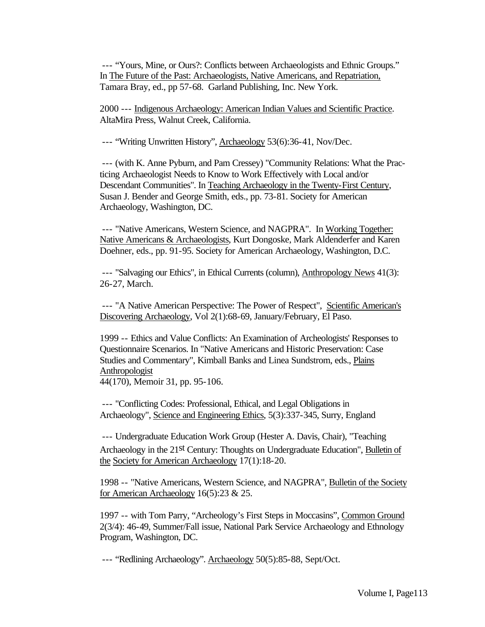--- "Yours, Mine, or Ours?: Conflicts between Archaeologists and Ethnic Groups." In The Future of the Past: Archaeologists, Native Americans, and Repatriation, Tamara Bray, ed., pp 57-68. Garland Publishing, Inc. New York.

2000 --- Indigenous Archaeology: American Indian Values and Scientific Practice. AltaMira Press, Walnut Creek, California.

--- "Writing Unwritten History", Archaeology 53(6):36-41, Nov/Dec.

--- (with K. Anne Pyburn, and Pam Cressey) "Community Relations: What the Practicing Archaeologist Needs to Know to Work Effectively with Local and/or Descendant Communities". In Teaching Archaeology in the Twenty-First Century, Susan J. Bender and George Smith, eds., pp. 73-81. Society for American Archaeology, Washington, DC.

--- "Native Americans, Western Science, and NAGPRA". In Working Together: Native Americans & Archaeologists, Kurt Dongoske, Mark Aldenderfer and Karen Doehner, eds., pp. 91-95. Society for American Archaeology, Washington, D.C.

--- "Salvaging our Ethics", in Ethical Currents (column), Anthropology News 41(3): 26-27, March.

--- "A Native American Perspective: The Power of Respect", Scientific American's Discovering Archaeology, Vol 2(1):68-69, January/February, El Paso.

1999 -- Ethics and Value Conflicts: An Examination of Archeologists' Responses to Questionnaire Scenarios. In "Native Americans and Historic Preservation: Case Studies and Commentary", Kimball Banks and Linea Sundstrom, eds., Plains Anthropologist

44(170), Memoir 31, pp. 95-106.

--- "Conflicting Codes: Professional, Ethical, and Legal Obligations in Archaeology", Science and Engineering Ethics, 5(3):337-345, Surry, England

--- Undergraduate Education Work Group (Hester A. Davis, Chair), "Teaching

Archaeology in the 21<sup>st</sup> Century: Thoughts on Undergraduate Education", Bulletin of the Society for American Archaeology 17(1):18-20.

1998 -- "Native Americans, Western Science, and NAGPRA", Bulletin of the Society for American Archaeology 16(5):23 & 25.

1997 -- with Tom Parry, "Archeology's First Steps in Moccasins", Common Ground 2(3/4): 46-49, Summer/Fall issue, National Park Service Archaeology and Ethnology Program, Washington, DC.

--- "Redlining Archaeology". Archaeology 50(5):85-88, Sept/Oct.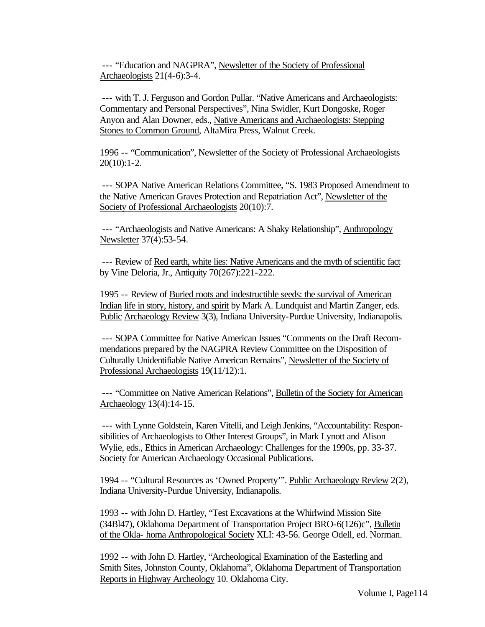--- "Education and NAGPRA", Newsletter of the Society of Professional Archaeologists 21(4-6):3-4.

--- with T. J. Ferguson and Gordon Pullar. "Native Americans and Archaeologists: Commentary and Personal Perspectives", Nina Swidler, Kurt Dongoske, Roger Anyon and Alan Downer, eds., Native Americans and Archaeologists: Stepping Stones to Common Ground, AltaMira Press, Walnut Creek.

1996 -- "Communication", Newsletter of the Society of Professional Archaeologists  $20(10):1-2.$ 

--- SOPA Native American Relations Committee, "S. 1983 Proposed Amendment to the Native American Graves Protection and Repatriation Act", Newsletter of the Society of Professional Archaeologists 20(10):7.

--- "Archaeologists and Native Americans: A Shaky Relationship", Anthropology Newsletter 37(4):53-54.

--- Review of Red earth, white lies: Native Americans and the myth of scientific fact by Vine Deloria, Jr., Antiquity 70(267):221-222.

1995 -- Review of Buried roots and indestructible seeds: the survival of American Indian life in story, history, and spirit by Mark A. Lundquist and Martin Zanger, eds. Public Archaeology Review 3(3), Indiana University-Purdue University, Indianapolis.

--- SOPA Committee for Native American Issues "Comments on the Draft Recommendations prepared by the NAGPRA Review Committee on the Disposition of Culturally Unidentifiable Native American Remains", Newsletter of the Society of Professional Archaeologists 19(11/12):1.

--- "Committee on Native American Relations", Bulletin of the Society for American Archaeology 13(4):14-15.

--- with Lynne Goldstein, Karen Vitelli, and Leigh Jenkins, "Accountability: Responsibilities of Archaeologists to Other Interest Groups", in Mark Lynott and Alison Wylie, eds., Ethics in American Archaeology: Challenges for the 1990s, pp. 33-37. Society for American Archaeology Occasional Publications.

1994 -- "Cultural Resources as 'Owned Property'". Public Archaeology Review 2(2), Indiana University-Purdue University, Indianapolis.

1993 -- with John D. Hartley, "Test Excavations at the Whirlwind Mission Site (34Bl47), Oklahoma Department of Transportation Project BRO-6(126)c", Bulletin of the Okla- homa Anthropological Society XLI: 43-56. George Odell, ed. Norman.

1992 -- with John D. Hartley, "Archeological Examination of the Easterling and Smith Sites, Johnston County, Oklahoma", Oklahoma Department of Transportation Reports in Highway Archeology 10. Oklahoma City.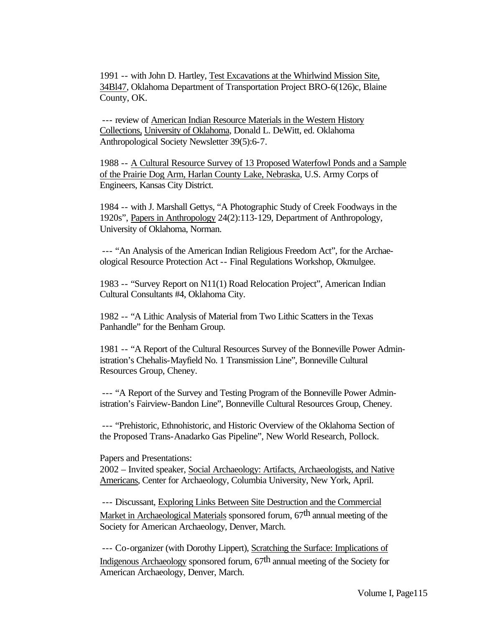1991 -- with John D. Hartley, Test Excavations at the Whirlwind Mission Site, 34Bl47, Oklahoma Department of Transportation Project BRO-6(126)c, Blaine County, OK.

--- review of American Indian Resource Materials in the Western History Collections, University of Oklahoma, Donald L. DeWitt, ed. Oklahoma Anthropological Society Newsletter 39(5):6-7.

1988 -- A Cultural Resource Survey of 13 Proposed Waterfowl Ponds and a Sample of the Prairie Dog Arm, Harlan County Lake, Nebraska, U.S. Army Corps of Engineers, Kansas City District.

1984 -- with J. Marshall Gettys, "A Photographic Study of Creek Foodways in the 1920s", Papers in Anthropology 24(2):113-129, Department of Anthropology, University of Oklahoma, Norman.

--- "An Analysis of the American Indian Religious Freedom Act", for the Archaeological Resource Protection Act -- Final Regulations Workshop, Okmulgee.

1983 -- "Survey Report on N11(1) Road Relocation Project", American Indian Cultural Consultants #4, Oklahoma City.

1982 -- "A Lithic Analysis of Material from Two Lithic Scatters in the Texas Panhandle" for the Benham Group.

1981 -- "A Report of the Cultural Resources Survey of the Bonneville Power Administration's Chehalis-Mayfield No. 1 Transmission Line", Bonneville Cultural Resources Group, Cheney.

--- "A Report of the Survey and Testing Program of the Bonneville Power Administration's Fairview-Bandon Line", Bonneville Cultural Resources Group, Cheney.

--- "Prehistoric, Ethnohistoric, and Historic Overview of the Oklahoma Section of the Proposed Trans-Anadarko Gas Pipeline", New World Research, Pollock.

Papers and Presentations:

2002 – Invited speaker, Social Archaeology: Artifacts, Archaeologists, and Native Americans, Center for Archaeology, Columbia University, New York, April.

--- Discussant, Exploring Links Between Site Destruction and the Commercial Market in Archaeological Materials sponsored forum, 67<sup>th</sup> annual meeting of the Society for American Archaeology, Denver, March.

--- Co-organizer (with Dorothy Lippert), Scratching the Surface: Implications of Indigenous Archaeology sponsored forum, 67th annual meeting of the Society for American Archaeology, Denver, March.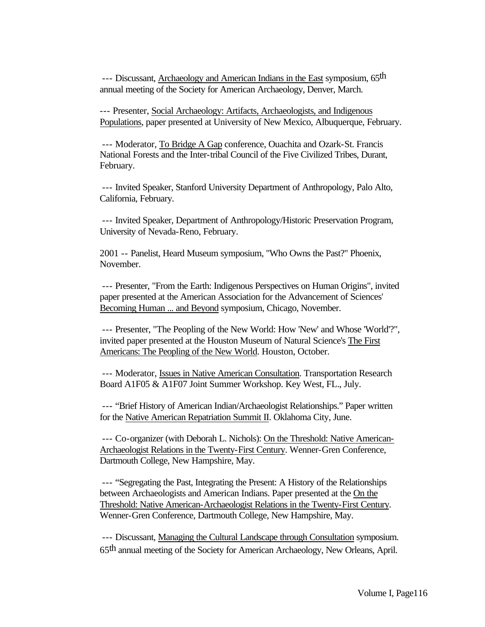--- Discussant, Archaeology and American Indians in the East symposium, 65<sup>th</sup> annual meeting of the Society for American Archaeology, Denver, March.

--- Presenter, Social Archaeology: Artifacts, Archaeologists, and Indigenous Populations, paper presented at University of New Mexico, Albuquerque, February.

--- Moderator, To Bridge A Gap conference, Ouachita and Ozark-St. Francis National Forests and the Inter-tribal Council of the Five Civilized Tribes, Durant, February.

--- Invited Speaker, Stanford University Department of Anthropology, Palo Alto, California, February.

--- Invited Speaker, Department of Anthropology/Historic Preservation Program, University of Nevada-Reno, February.

2001 -- Panelist, Heard Museum symposium, "Who Owns the Past?" Phoenix, November.

--- Presenter, "From the Earth: Indigenous Perspectives on Human Origins", invited paper presented at the American Association for the Advancement of Sciences' Becoming Human ... and Beyond symposium, Chicago, November.

--- Presenter, "The Peopling of the New World: How 'New' and Whose 'World'?", invited paper presented at the Houston Museum of Natural Science's The First Americans: The Peopling of the New World. Houston, October.

--- Moderator, Issues in Native American Consultation. Transportation Research Board A1F05 & A1F07 Joint Summer Workshop. Key West, FL., July.

--- "Brief History of American Indian/Archaeologist Relationships." Paper written for the Native American Repatriation Summit II. Oklahoma City, June.

--- Co-organizer (with Deborah L. Nichols): On the Threshold: Native American-Archaeologist Relations in the Twenty-First Century. Wenner-Gren Conference, Dartmouth College, New Hampshire, May.

--- "Segregating the Past, Integrating the Present: A History of the Relationships between Archaeologists and American Indians. Paper presented at the On the Threshold: Native American-Archaeologist Relations in the Twenty-First Century. Wenner-Gren Conference, Dartmouth College, New Hampshire, May.

--- Discussant, Managing the Cultural Landscape through Consultation symposium. 65th annual meeting of the Society for American Archaeology, New Orleans, April.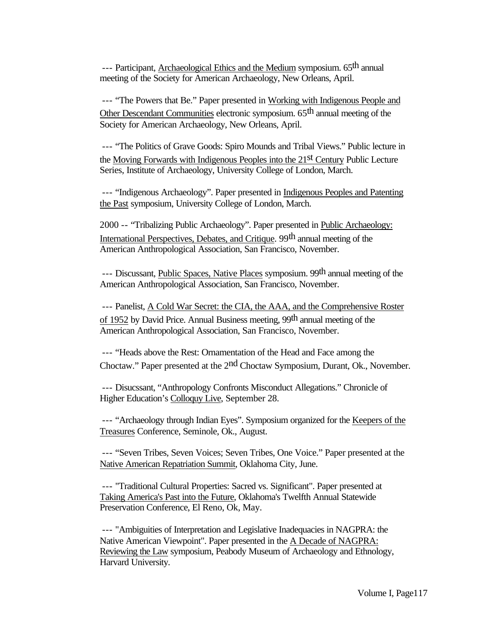--- Participant, Archaeological Ethics and the Medium symposium. 65<sup>th</sup> annual meeting of the Society for American Archaeology, New Orleans, April.

--- "The Powers that Be." Paper presented in Working with Indigenous People and Other Descendant Communities electronic symposium. 65th annual meeting of the Society for American Archaeology, New Orleans, April.

--- "The Politics of Grave Goods: Spiro Mounds and Tribal Views." Public lecture in the Moving Forwards with Indigenous Peoples into the 21st Century Public Lecture Series, Institute of Archaeology, University College of London, March.

--- "Indigenous Archaeology". Paper presented in Indigenous Peoples and Patenting the Past symposium, University College of London, March.

2000 -- "Tribalizing Public Archaeology". Paper presented in Public Archaeology: International Perspectives, Debates, and Critique. 99th annual meeting of the American Anthropological Association, San Francisco, November.

--- Discussant, Public Spaces, Native Places symposium. 99<sup>th</sup> annual meeting of the American Anthropological Association, San Francisco, November.

--- Panelist, A Cold War Secret: the CIA, the AAA, and the Comprehensive Roster of 1952 by David Price. Annual Business meeting, 99th annual meeting of the American Anthropological Association, San Francisco, November.

--- "Heads above the Rest: Ornamentation of the Head and Face among the Choctaw." Paper presented at the 2nd Choctaw Symposium, Durant, Ok., November.

--- Disucssant, "Anthropology Confronts Misconduct Allegations." Chronicle of Higher Education's Colloquy Live, September 28.

--- "Archaeology through Indian Eyes". Symposium organized for the Keepers of the Treasures Conference, Seminole, Ok., August.

--- "Seven Tribes, Seven Voices; Seven Tribes, One Voice." Paper presented at the Native American Repatriation Summit, Oklahoma City, June.

--- "Traditional Cultural Properties: Sacred vs. Significant". Paper presented at Taking America's Past into the Future, Oklahoma's Twelfth Annual Statewide Preservation Conference, El Reno, Ok, May.

--- "Ambiguities of Interpretation and Legislative Inadequacies in NAGPRA: the Native American Viewpoint". Paper presented in the A Decade of NAGPRA: Reviewing the Law symposium, Peabody Museum of Archaeology and Ethnology, Harvard University.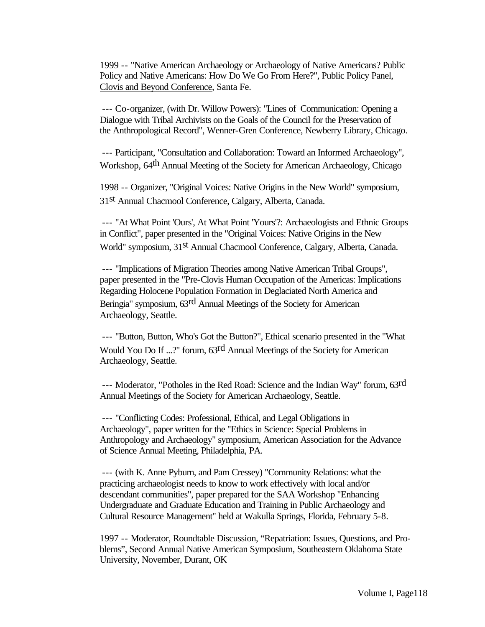1999 -- "Native American Archaeology or Archaeology of Native Americans? Public Policy and Native Americans: How Do We Go From Here?", Public Policy Panel, Clovis and Beyond Conference, Santa Fe.

--- Co-organizer, (with Dr. Willow Powers): "Lines of Communication: Opening a Dialogue with Tribal Archivists on the Goals of the Council for the Preservation of the Anthropological Record", Wenner-Gren Conference, Newberry Library, Chicago.

--- Participant, "Consultation and Collaboration: Toward an Informed Archaeology", Workshop, 64<sup>th</sup> Annual Meeting of the Society for American Archaeology, Chicago

1998 -- Organizer, "Original Voices: Native Origins in the New World" symposium, 31st Annual Chacmool Conference, Calgary, Alberta, Canada.

--- "At What Point 'Ours', At What Point 'Yours'?: Archaeologists and Ethnic Groups in Conflict", paper presented in the "Original Voices: Native Origins in the New World" symposium, 31<sup>st</sup> Annual Chacmool Conference, Calgary, Alberta, Canada.

--- "Implications of Migration Theories among Native American Tribal Groups", paper presented in the "Pre-Clovis Human Occupation of the Americas: Implications Regarding Holocene Population Formation in Deglaciated North America and Beringia" symposium, 63<sup>rd</sup> Annual Meetings of the Society for American Archaeology, Seattle.

--- "Button, Button, Who's Got the Button?", Ethical scenario presented in the "What Would You Do If ...?" forum, 63rd Annual Meetings of the Society for American Archaeology, Seattle.

--- Moderator, "Potholes in the Red Road: Science and the Indian Way" forum, 63rd Annual Meetings of the Society for American Archaeology, Seattle.

--- "Conflicting Codes: Professional, Ethical, and Legal Obligations in Archaeology", paper written for the "Ethics in Science: Special Problems in Anthropology and Archaeology" symposium, American Association for the Advance of Science Annual Meeting, Philadelphia, PA.

--- (with K. Anne Pyburn, and Pam Cressey) "Community Relations: what the practicing archaeologist needs to know to work effectively with local and/or descendant communities", paper prepared for the SAA Workshop "Enhancing Undergraduate and Graduate Education and Training in Public Archaeology and Cultural Resource Management" held at Wakulla Springs, Florida, February 5-8.

1997 -- Moderator, Roundtable Discussion, "Repatriation: Issues, Questions, and Problems", Second Annual Native American Symposium, Southeastern Oklahoma State University, November, Durant, OK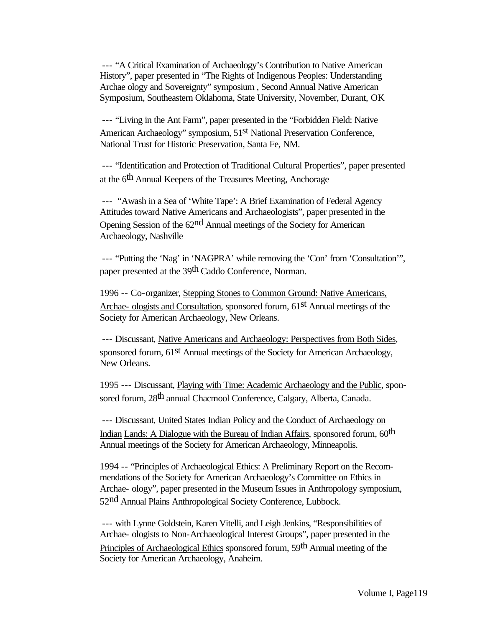--- "A Critical Examination of Archaeology's Contribution to Native American History", paper presented in "The Rights of Indigenous Peoples: Understanding Archae ology and Sovereignty" symposium , Second Annual Native American Symposium, Southeastern Oklahoma, State University, November, Durant, OK

--- "Living in the Ant Farm", paper presented in the "Forbidden Field: Native American Archaeology" symposium, 51st National Preservation Conference, National Trust for Historic Preservation, Santa Fe, NM.

--- "Identification and Protection of Traditional Cultural Properties", paper presented at the 6<sup>th</sup> Annual Keepers of the Treasures Meeting, Anchorage

--- "Awash in a Sea of 'White Tape': A Brief Examination of Federal Agency Attitudes toward Native Americans and Archaeologists", paper presented in the Opening Session of the 62<sup>nd</sup> Annual meetings of the Society for American Archaeology, Nashville

--- "Putting the 'Nag' in 'NAGPRA' while removing the 'Con' from 'Consultation'", paper presented at the 39th Caddo Conference, Norman.

1996 -- Co-organizer, Stepping Stones to Common Ground: Native Americans, Archae- ologists and Consultation, sponsored forum, 61<sup>st</sup> Annual meetings of the Society for American Archaeology, New Orleans.

--- Discussant, Native Americans and Archaeology: Perspectives from Both Sides, sponsored forum, 61st Annual meetings of the Society for American Archaeology, New Orleans.

1995 --- Discussant, Playing with Time: Academic Archaeology and the Public, sponsored forum, 28<sup>th</sup> annual Chacmool Conference, Calgary, Alberta, Canada.

--- Discussant, United States Indian Policy and the Conduct of Archaeology on Indian Lands: A Dialogue with the Bureau of Indian Affairs, sponsored forum, 60<sup>th</sup> Annual meetings of the Society for American Archaeology, Minneapolis.

1994 -- "Principles of Archaeological Ethics: A Preliminary Report on the Recommendations of the Society for American Archaeology's Committee on Ethics in Archae- ology", paper presented in the Museum Issues in Anthropology symposium, 52<sup>nd</sup> Annual Plains Anthropological Society Conference, Lubbock.

--- with Lynne Goldstein, Karen Vitelli, and Leigh Jenkins, "Responsibilities of Archae- ologists to Non-Archaeological Interest Groups", paper presented in the Principles of Archaeological Ethics sponsored forum, 59<sup>th</sup> Annual meeting of the Society for American Archaeology, Anaheim.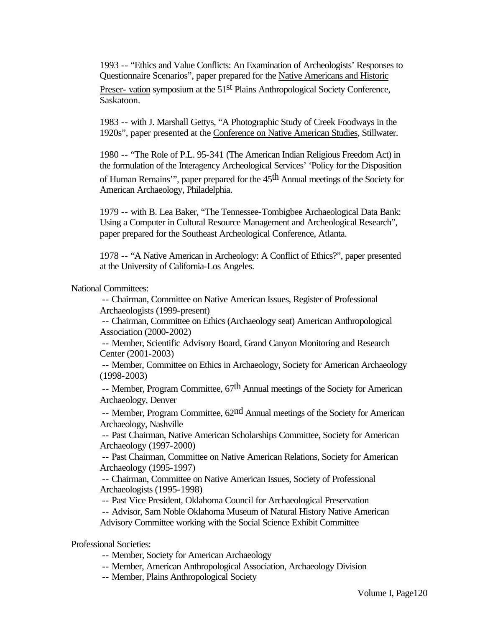1993 -- "Ethics and Value Conflicts: An Examination of Archeologists' Responses to Questionnaire Scenarios", paper prepared for the Native Americans and Historic

Preser- vation symposium at the 51<sup>st</sup> Plains Anthropological Society Conference, Saskatoon.

1983 -- with J. Marshall Gettys, "A Photographic Study of Creek Foodways in the 1920s", paper presented at the Conference on Native American Studies, Stillwater.

1980 -- "The Role of P.L. 95-341 (The American Indian Religious Freedom Act) in the formulation of the Interagency Archeological Services' 'Policy for the Disposition of Human Remains'", paper prepared for the 45th Annual meetings of the Society for American Archaeology, Philadelphia.

1979 -- with B. Lea Baker, "The Tennessee-Tombigbee Archaeological Data Bank: Using a Computer in Cultural Resource Management and Archeological Research", paper prepared for the Southeast Archeological Conference, Atlanta.

1978 -- "A Native American in Archeology: A Conflict of Ethics?", paper presented at the University of California-Los Angeles.

National Committees:

-- Chairman, Committee on Native American Issues, Register of Professional Archaeologists (1999-present)

-- Chairman, Committee on Ethics (Archaeology seat) American Anthropological Association (2000-2002)

-- Member, Scientific Advisory Board, Grand Canyon Monitoring and Research Center (2001-2003)

-- Member, Committee on Ethics in Archaeology, Society for American Archaeology (1998-2003)

-- Member, Program Committee,  $67<sup>th</sup>$  Annual meetings of the Society for American Archaeology, Denver

-- Member, Program Committee, 62<sup>nd</sup> Annual meetings of the Society for American Archaeology, Nashville

-- Past Chairman, Native American Scholarships Committee, Society for American Archaeology (1997-2000)

-- Past Chairman, Committee on Native American Relations, Society for American Archaeology (1995-1997)

-- Chairman, Committee on Native American Issues, Society of Professional Archaeologists (1995-1998)

-- Past Vice President, Oklahoma Council for Archaeological Preservation

-- Advisor, Sam Noble Oklahoma Museum of Natural History Native American Advisory Committee working with the Social Science Exhibit Committee

Professional Societies:

-- Member, Society for American Archaeology

-- Member, American Anthropological Association, Archaeology Division

-- Member, Plains Anthropological Society